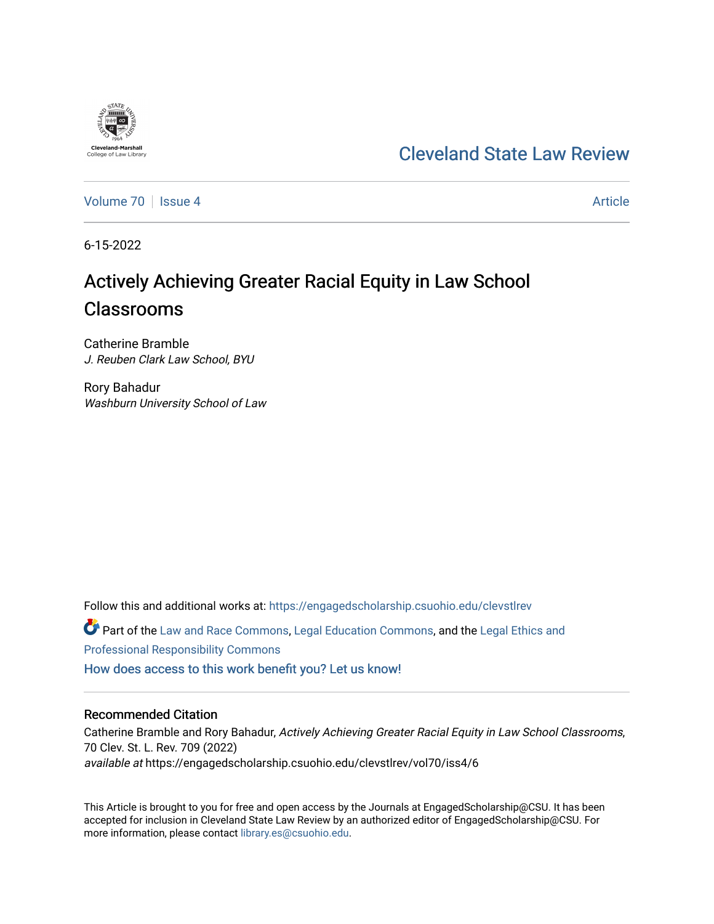## [Cleveland State Law Review](https://engagedscholarship.csuohio.edu/clevstlrev)

[Volume 70](https://engagedscholarship.csuohio.edu/clevstlrev/vol70) | [Issue 4](https://engagedscholarship.csuohio.edu/clevstlrev/vol70/iss4) Article

6-15-2022

# Actively Achieving Greater Racial Equity in Law School Classrooms

Catherine Bramble J. Reuben Clark Law School, BYU

Rory Bahadur Washburn University School of Law

Follow this and additional works at: [https://engagedscholarship.csuohio.edu/clevstlrev](https://engagedscholarship.csuohio.edu/clevstlrev?utm_source=engagedscholarship.csuohio.edu%2Fclevstlrev%2Fvol70%2Fiss4%2F6&utm_medium=PDF&utm_campaign=PDFCoverPages)

Part of the [Law and Race Commons,](https://network.bepress.com/hgg/discipline/1300?utm_source=engagedscholarship.csuohio.edu%2Fclevstlrev%2Fvol70%2Fiss4%2F6&utm_medium=PDF&utm_campaign=PDFCoverPages) [Legal Education Commons,](https://network.bepress.com/hgg/discipline/857?utm_source=engagedscholarship.csuohio.edu%2Fclevstlrev%2Fvol70%2Fiss4%2F6&utm_medium=PDF&utm_campaign=PDFCoverPages) and the [Legal Ethics and](https://network.bepress.com/hgg/discipline/895?utm_source=engagedscholarship.csuohio.edu%2Fclevstlrev%2Fvol70%2Fiss4%2F6&utm_medium=PDF&utm_campaign=PDFCoverPages)  [Professional Responsibility Commons](https://network.bepress.com/hgg/discipline/895?utm_source=engagedscholarship.csuohio.edu%2Fclevstlrev%2Fvol70%2Fiss4%2F6&utm_medium=PDF&utm_campaign=PDFCoverPages) 

[How does access to this work benefit you? Let us know!](http://library.csuohio.edu/engaged/)

## Recommended Citation

Catherine Bramble and Rory Bahadur, Actively Achieving Greater Racial Equity in Law School Classrooms, 70 Clev. St. L. Rev. 709 (2022) available at https://engagedscholarship.csuohio.edu/clevstlrev/vol70/iss4/6

This Article is brought to you for free and open access by the Journals at EngagedScholarship@CSU. It has been accepted for inclusion in Cleveland State Law Review by an authorized editor of EngagedScholarship@CSU. For more information, please contact [library.es@csuohio.edu](mailto:library.es@csuohio.edu).

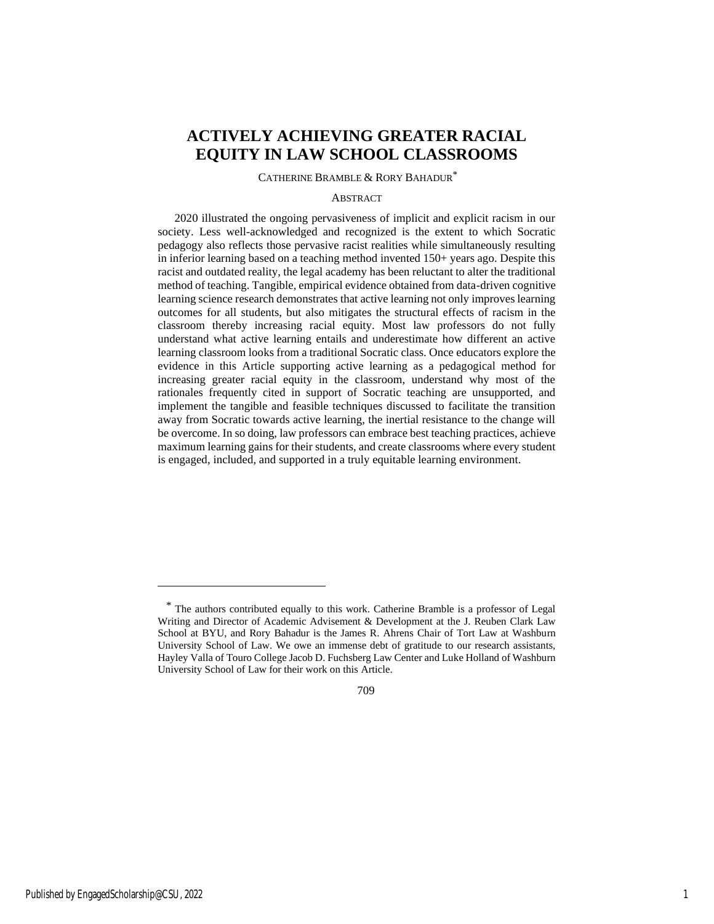## **ACTIVELY ACHIEVING GREATER RACIAL EQUITY IN LAW SCHOOL CLASSROOMS**

## CATHERINE BRAMBLE & RORY BAHADUR\*

#### ABSTRACT

2020 illustrated the ongoing pervasiveness of implicit and explicit racism in our society. Less well-acknowledged and recognized is the extent to which Socratic pedagogy also reflects those pervasive racist realities while simultaneously resulting in inferior learning based on a teaching method invented 150+ years ago. Despite this racist and outdated reality, the legal academy has been reluctant to alter the traditional method of teaching. Tangible, empirical evidence obtained from data-driven cognitive learning science research demonstrates that active learning not only improves learning outcomes for all students, but also mitigates the structural effects of racism in the classroom thereby increasing racial equity. Most law professors do not fully understand what active learning entails and underestimate how different an active learning classroom looks from a traditional Socratic class. Once educators explore the evidence in this Article supporting active learning as a pedagogical method for increasing greater racial equity in the classroom, understand why most of the rationales frequently cited in support of Socratic teaching are unsupported, and implement the tangible and feasible techniques discussed to facilitate the transition away from Socratic towards active learning, the inertial resistance to the change will be overcome. In so doing, law professors can embrace best teaching practices, achieve maximum learning gains for their students, and create classrooms where every student is engaged, included, and supported in a truly equitable learning environment.

<sup>\*</sup> The authors contributed equally to this work. Catherine Bramble is a professor of Legal Writing and Director of Academic Advisement & Development at the J. Reuben Clark Law School at BYU, and Rory Bahadur is the James R. Ahrens Chair of Tort Law at Washburn University School of Law. We owe an immense debt of gratitude to our research assistants, Hayley Valla of Touro College Jacob D. Fuchsberg Law Center and Luke Holland of Washburn University School of Law for their work on this Article.

<sup>709</sup>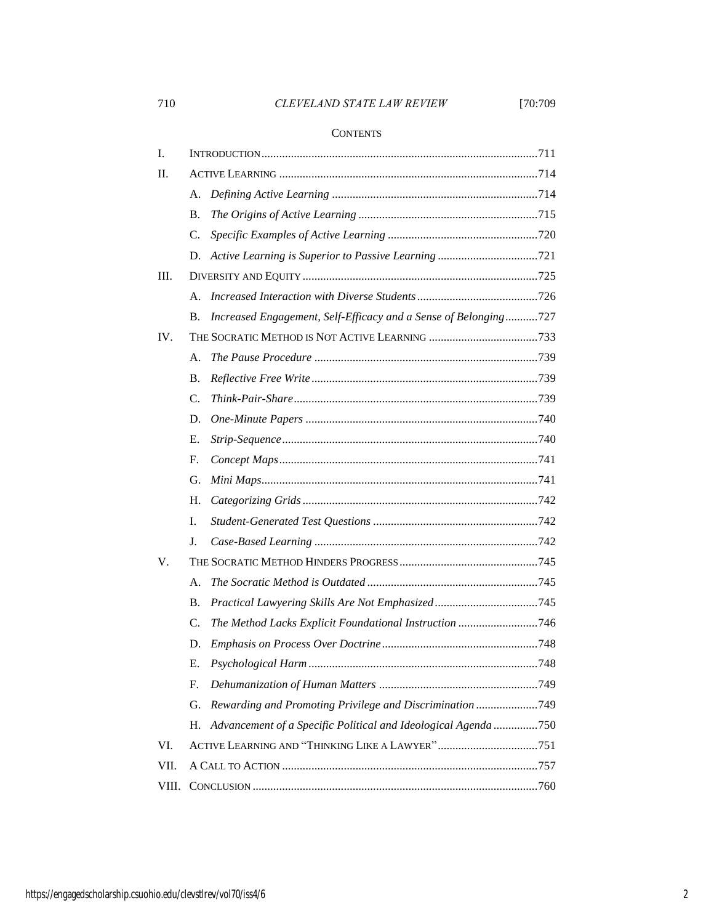## 710 *CLEVELAND STATE LAW REVIEW* [70:709

## **CONTENTS**

| I.    |                 |                                                                 |  |
|-------|-----------------|-----------------------------------------------------------------|--|
| П.    |                 |                                                                 |  |
|       | А.              |                                                                 |  |
|       | <b>B.</b>       |                                                                 |  |
|       | $\mathcal{C}$ . |                                                                 |  |
|       | D.              |                                                                 |  |
| Ш.    |                 |                                                                 |  |
|       | А.              |                                                                 |  |
|       | В.              | Increased Engagement, Self-Efficacy and a Sense of Belonging727 |  |
| IV.   |                 |                                                                 |  |
|       | А.              |                                                                 |  |
|       | <b>B.</b>       |                                                                 |  |
|       | C.              |                                                                 |  |
|       | D.              |                                                                 |  |
|       | Ε.              |                                                                 |  |
|       | F.              |                                                                 |  |
|       | G.              |                                                                 |  |
|       | H.              |                                                                 |  |
|       | I.              |                                                                 |  |
|       | J.              |                                                                 |  |
| V.    |                 |                                                                 |  |
|       | А.              |                                                                 |  |
|       | В.              |                                                                 |  |
|       | C.              | The Method Lacks Explicit Foundational Instruction 746          |  |
|       | D.              |                                                                 |  |
|       | Е.              |                                                                 |  |
|       | F.              |                                                                 |  |
|       | G.              | Rewarding and Promoting Privilege and Discrimination 749        |  |
|       | Н.              | Advancement of a Specific Political and Ideological Agenda 750  |  |
| VI.   |                 |                                                                 |  |
| VII.  |                 |                                                                 |  |
| VIII. |                 |                                                                 |  |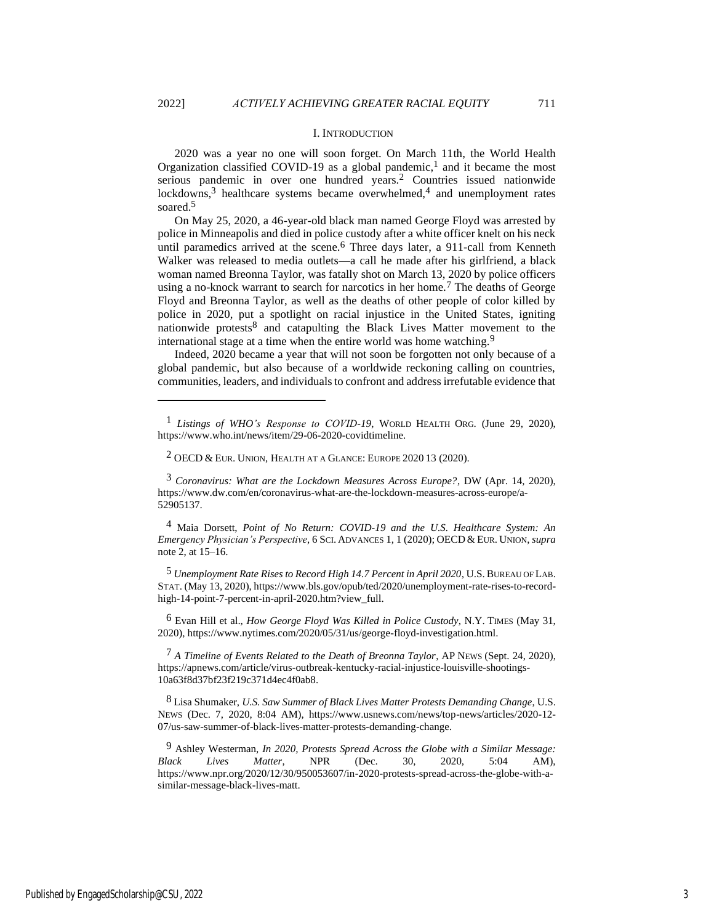#### I. INTRODUCTION

2020 was a year no one will soon forget. On March 11th, the World Health Organization classified COVID-19 as a global pandemic,<sup>1</sup> and it became the most serious pandemic in over one hundred years.<sup>2</sup> Countries issued nationwide lockdowns,<sup>3</sup> healthcare systems became overwhelmed,<sup>4</sup> and unemployment rates soared.<sup>5</sup>

On May 25, 2020, a 46-year-old black man named George Floyd was arrested by police in Minneapolis and died in police custody after a white officer knelt on his neck until paramedics arrived at the scene.<sup>6</sup> Three days later, a 911-call from Kenneth Walker was released to media outlets—a call he made after his girlfriend, a black woman named Breonna Taylor, was fatally shot on March 13, 2020 by police officers using a no-knock warrant to search for narcotics in her home.<sup>7</sup> The deaths of George Floyd and Breonna Taylor, as well as the deaths of other people of color killed by police in 2020, put a spotlight on racial injustice in the United States, igniting nationwide protests8 and catapulting the Black Lives Matter movement to the international stage at a time when the entire world was home watching.9

Indeed, 2020 became a year that will not soon be forgotten not only because of a global pandemic, but also because of a worldwide reckoning calling on countries, communities, leaders, and individuals to confront and address irrefutable evidence that

3 *Coronavirus: What are the Lockdown Measures Across Europe?*, DW (Apr. 14, 2020), https://www.dw.com/en/coronavirus-what-are-the-lockdown-measures-across-europe/a-52905137.

4 Maia Dorsett, *Point of No Return: COVID-19 and the U.S. Healthcare System: An Emergency Physician's Perspective*, 6 SCI. ADVANCES 1, 1 (2020); OECD & EUR. UNION, *supra* note 2, at 15–16.

5 *Unemployment Rate Rises to Record High 14.7 Percent in April 2020*, U.S.BUREAU OF LAB. STAT. (May 13, 2020), https://www.bls.gov/opub/ted/2020/unemployment-rate-rises-to-recordhigh-14-point-7-percent-in-april-2020.htm?view\_full.

6 Evan Hill et al., *How George Floyd Was Killed in Police Custody*, N.Y. TIMES (May 31, 2020), https://www.nytimes.com/2020/05/31/us/george-floyd-investigation.html.

7 *A Timeline of Events Related to the Death of Breonna Taylor*, AP NEWS (Sept. 24, 2020), https://apnews.com/article/virus-outbreak-kentucky-racial-injustice-louisville-shootings-10a63f8d37bf23f219c371d4ec4f0ab8.

8 Lisa Shumaker, *U.S. Saw Summer of Black Lives Matter Protests Demanding Change*, U.S. NEWS (Dec. 7, 2020, 8:04 AM), https://www.usnews.com/news/top-news/articles/2020-12- 07/us-saw-summer-of-black-lives-matter-protests-demanding-change.

9 Ashley Westerman, *In 2020, Protests Spread Across the Globe with a Similar Message: Black Lives Matter*, NPR (Dec. 30, 2020, 5:04 AM), https://www.npr.org/2020/12/30/950053607/in-2020-protests-spread-across-the-globe-with-asimilar-message-black-lives-matt.

<sup>1</sup> *Listings of WHO's Response to COVID-19*, WORLD HEALTH ORG. (June 29, 2020), https://www.who.int/news/item/29-06-2020-covidtimeline.

 $2$  OECD & EUR. UNION, HEALTH AT A GLANCE: EUROPE 2020 13 (2020).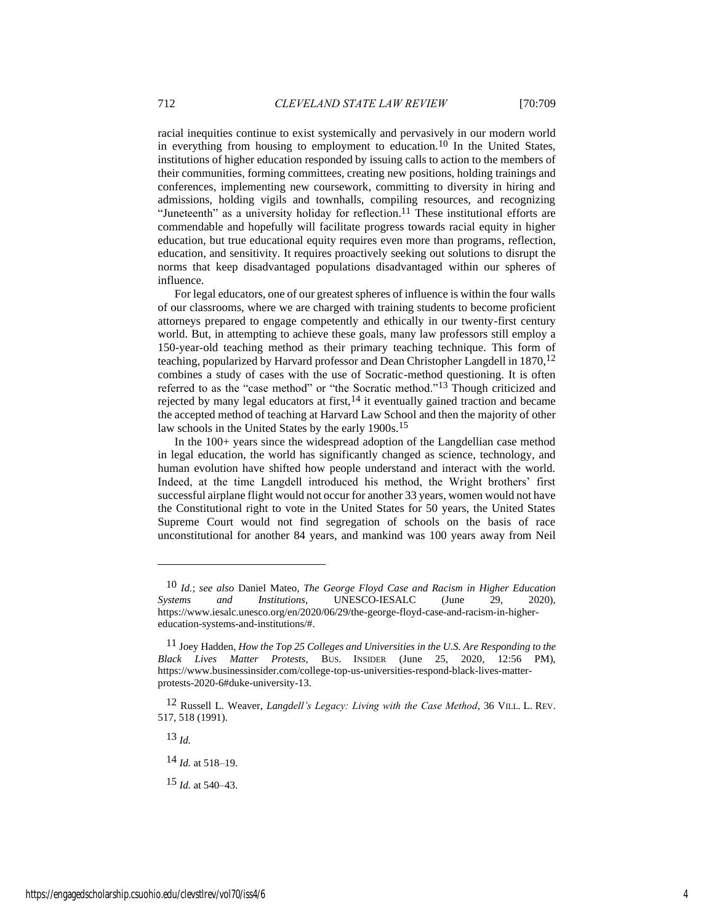racial inequities continue to exist systemically and pervasively in our modern world in everything from housing to employment to education.<sup>10</sup> In the United States, institutions of higher education responded by issuing calls to action to the members of their communities, forming committees, creating new positions, holding trainings and conferences, implementing new coursework, committing to diversity in hiring and admissions, holding vigils and townhalls, compiling resources, and recognizing "Juneteenth" as a university holiday for reflection.<sup>11</sup> These institutional efforts are commendable and hopefully will facilitate progress towards racial equity in higher education, but true educational equity requires even more than programs, reflection, education, and sensitivity. It requires proactively seeking out solutions to disrupt the norms that keep disadvantaged populations disadvantaged within our spheres of influence.

For legal educators, one of our greatest spheres of influence is within the four walls of our classrooms, where we are charged with training students to become proficient attorneys prepared to engage competently and ethically in our twenty-first century world. But, in attempting to achieve these goals, many law professors still employ a 150-year-old teaching method as their primary teaching technique. This form of teaching, popularized by Harvard professor and Dean Christopher Langdell in  $1870$ ,  $12$ combines a study of cases with the use of Socratic-method questioning. It is often referred to as the "case method" or "the Socratic method."13 Though criticized and rejected by many legal educators at first,  $14$  it eventually gained traction and became the accepted method of teaching at Harvard Law School and then the majority of other law schools in the United States by the early 1900s.<sup>15</sup>

In the 100+ years since the widespread adoption of the Langdellian case method in legal education, the world has significantly changed as science, technology, and human evolution have shifted how people understand and interact with the world. Indeed, at the time Langdell introduced his method, the Wright brothers' first successful airplane flight would not occur for another 33 years, women would not have the Constitutional right to vote in the United States for 50 years, the United States Supreme Court would not find segregation of schools on the basis of race unconstitutional for another 84 years, and mankind was 100 years away from Neil

13 *Id.*

14 *Id.* at 518–19.

15 *Id.* at 540–43.

<sup>10</sup> *Id.*; *see also* Daniel Mateo, *The George Floyd Case and Racism in Higher Education Systems and Institutions*, UNESCO-IESALC (June 29, 2020), https://www.iesalc.unesco.org/en/2020/06/29/the-george-floyd-case-and-racism-in-highereducation-systems-and-institutions/#.

<sup>11</sup> Joey Hadden, *How the Top 25 Colleges and Universities in the U.S. Are Responding to the Black Lives Matter Protests*, BUS. INSIDER (June 25, 2020, 12:56 PM), https://www.businessinsider.com/college-top-us-universities-respond-black-lives-matterprotests-2020-6#duke-university-13.

<sup>12</sup> Russell L. Weaver, *Langdell's Legacy: Living with the Case Method*, 36 VILL. L. REV. 517, 518 (1991).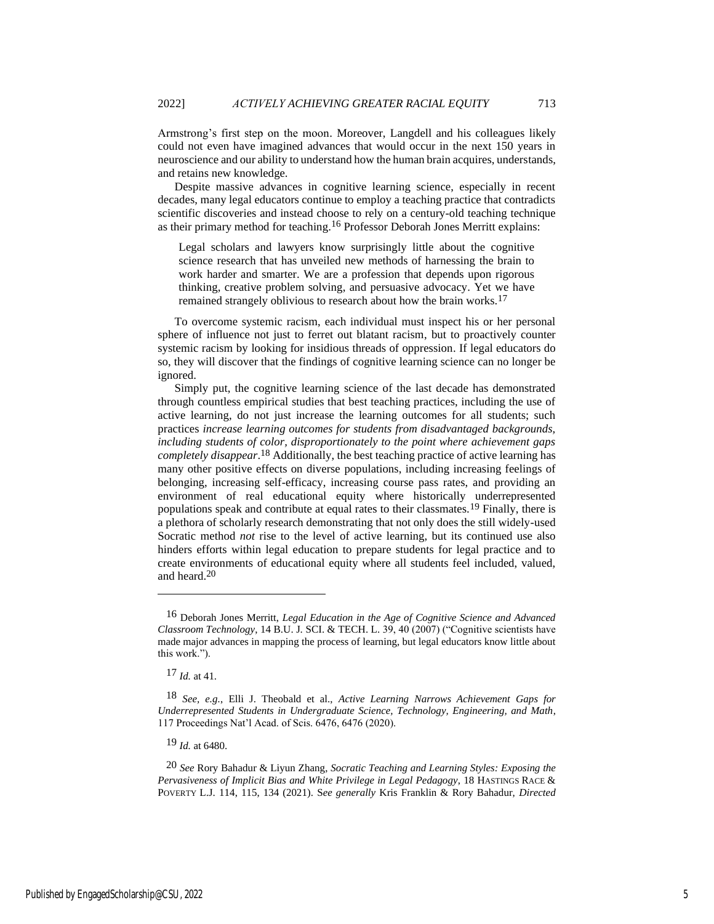Armstrong's first step on the moon. Moreover, Langdell and his colleagues likely could not even have imagined advances that would occur in the next 150 years in neuroscience and our ability to understand how the human brain acquires, understands, and retains new knowledge.

Despite massive advances in cognitive learning science, especially in recent decades, many legal educators continue to employ a teaching practice that contradicts scientific discoveries and instead choose to rely on a century-old teaching technique as their primary method for teaching.16 Professor Deborah Jones Merritt explains:

Legal scholars and lawyers know surprisingly little about the cognitive science research that has unveiled new methods of harnessing the brain to work harder and smarter. We are a profession that depends upon rigorous thinking, creative problem solving, and persuasive advocacy. Yet we have remained strangely oblivious to research about how the brain works.<sup>17</sup>

To overcome systemic racism, each individual must inspect his or her personal sphere of influence not just to ferret out blatant racism, but to proactively counter systemic racism by looking for insidious threads of oppression. If legal educators do so, they will discover that the findings of cognitive learning science can no longer be ignored.

Simply put, the cognitive learning science of the last decade has demonstrated through countless empirical studies that best teaching practices, including the use of active learning, do not just increase the learning outcomes for all students; such practices *increase learning outcomes for students from disadvantaged backgrounds, including students of color, disproportionately to the point where achievement gaps completely disappear*. 18 Additionally, the best teaching practice of active learning has many other positive effects on diverse populations, including increasing feelings of belonging, increasing self-efficacy, increasing course pass rates, and providing an environment of real educational equity where historically underrepresented populations speak and contribute at equal rates to their classmates.19 Finally, there is a plethora of scholarly research demonstrating that not only does the still widely-used Socratic method *not* rise to the level of active learning, but its continued use also hinders efforts within legal education to prepare students for legal practice and to create environments of educational equity where all students feel included, valued, and heard.20

<sup>16</sup> Deborah Jones Merritt, *Legal Education in the Age of Cognitive Science and Advanced Classroom Technology*, 14 B.U. J. SCI. & TECH. L. 39, 40 (2007) ("Cognitive scientists have made major advances in mapping the process of learning, but legal educators know little about this work.").

<sup>17</sup> *Id.* at 41.

<sup>18</sup> *See, e.g.*, Elli J. Theobald et al., *Active Learning Narrows Achievement Gaps for Underrepresented Students in Undergraduate Science, Technology, Engineering, and Math*, 117 Proceedings Nat'l Acad. of Scis. 6476, 6476 (2020).

<sup>19</sup> *Id.* at 6480.

<sup>20</sup> *See* Rory Bahadur & Liyun Zhang, *Socratic Teaching and Learning Styles: Exposing the Pervasiveness of Implicit Bias and White Privilege in Legal Pedagogy*, 18 HASTINGS RACE & POVERTY L.J. 114, 115, 134 (2021). S*ee generally* Kris Franklin & Rory Bahadur, *Directed*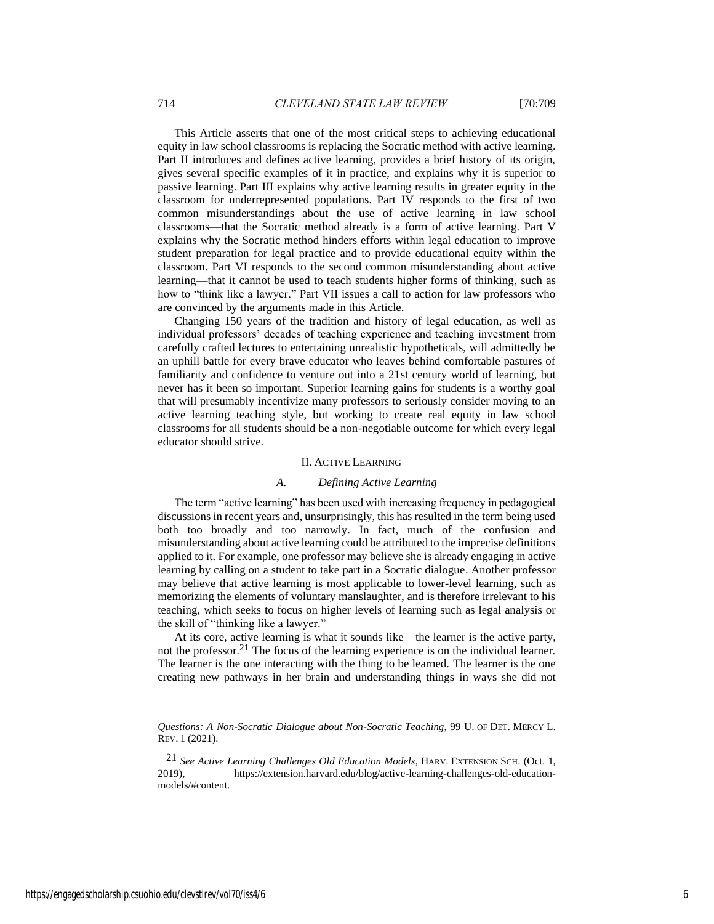This Article asserts that one of the most critical steps to achieving educational equity in law school classrooms is replacing the Socratic method with active learning. Part II introduces and defines active learning, provides a brief history of its origin, gives several specific examples of it in practice, and explains why it is superior to passive learning. Part III explains why active learning results in greater equity in the classroom for underrepresented populations. Part IV responds to the first of two common misunderstandings about the use of active learning in law school classrooms—that the Socratic method already is a form of active learning. Part V explains why the Socratic method hinders efforts within legal education to improve student preparation for legal practice and to provide educational equity within the classroom. Part VI responds to the second common misunderstanding about active learning—that it cannot be used to teach students higher forms of thinking, such as how to "think like a lawyer." Part VII issues a call to action for law professors who are convinced by the arguments made in this Article.

Changing 150 years of the tradition and history of legal education, as well as individual professors' decades of teaching experience and teaching investment from carefully crafted lectures to entertaining unrealistic hypotheticals, will admittedly be an uphill battle for every brave educator who leaves behind comfortable pastures of familiarity and confidence to venture out into a 21st century world of learning, but never has it been so important. Superior learning gains for students is a worthy goal that will presumably incentivize many professors to seriously consider moving to an active learning teaching style, but working to create real equity in law school classrooms for all students should be a non-negotiable outcome for which every legal educator should strive.

#### II. ACTIVE LEARNING

#### *A. Defining Active Learning*

The term "active learning" has been used with increasing frequency in pedagogical discussions in recent years and, unsurprisingly, this has resulted in the term being used both too broadly and too narrowly. In fact, much of the confusion and misunderstanding about active learning could be attributed to the imprecise definitions applied to it. For example, one professor may believe she is already engaging in active learning by calling on a student to take part in a Socratic dialogue. Another professor may believe that active learning is most applicable to lower-level learning, such as memorizing the elements of voluntary manslaughter, and is therefore irrelevant to his teaching, which seeks to focus on higher levels of learning such as legal analysis or the skill of "thinking like a lawyer."

At its core, active learning is what it sounds like—the learner is the active party, not the professor.21 The focus of the learning experience is on the individual learner. The learner is the one interacting with the thing to be learned. The learner is the one creating new pathways in her brain and understanding things in ways she did not

*Questions: A Non-Socratic Dialogue about Non-Socratic Teaching*, 99 U. OF DET. MERCY L. REV. 1 (2021).

<sup>21</sup> *See Active Learning Challenges Old Education Models*, HARV. EXTENSION SCH. (Oct. 1, 2019), https://extension.harvard.edu/blog/active-learning-challenges-old-educationmodels/#content.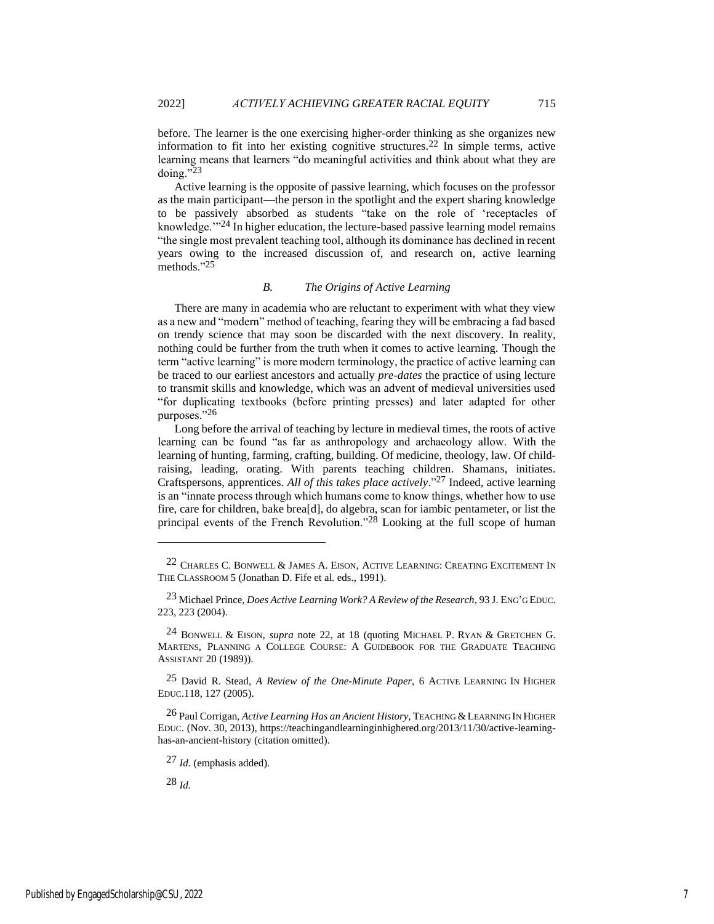before. The learner is the one exercising higher-order thinking as she organizes new information to fit into her existing cognitive structures.22 In simple terms, active learning means that learners "do meaningful activities and think about what they are doing."23

Active learning is the opposite of passive learning, which focuses on the professor as the main participant—the person in the spotlight and the expert sharing knowledge to be passively absorbed as students "take on the role of 'receptacles of knowledge."<sup>24</sup> In higher education, the lecture-based passive learning model remains "the single most prevalent teaching tool, although its dominance has declined in recent years owing to the increased discussion of, and research on, active learning methods."25

## *B. The Origins of Active Learning*

There are many in academia who are reluctant to experiment with what they view as a new and "modern" method of teaching, fearing they will be embracing a fad based on trendy science that may soon be discarded with the next discovery. In reality, nothing could be further from the truth when it comes to active learning. Though the term "active learning" is more modern terminology, the practice of active learning can be traced to our earliest ancestors and actually *pre-dates* the practice of using lecture to transmit skills and knowledge, which was an advent of medieval universities used "for duplicating textbooks (before printing presses) and later adapted for other purposes."26

Long before the arrival of teaching by lecture in medieval times, the roots of active learning can be found "as far as anthropology and archaeology allow. With the learning of hunting, farming, crafting, building. Of medicine, theology, law. Of childraising, leading, orating. With parents teaching children. Shamans, initiates. Craftspersons, apprentices. *All of this takes place actively*."27 Indeed, active learning is an "innate process through which humans come to know things, whether how to use fire, care for children, bake brea[d], do algebra, scan for iambic pentameter, or list the principal events of the French Revolution."28 Looking at the full scope of human

 $^{22}$  Charles C. Bonwell & James A. Eison, Active Learning: Creating Excitement In THE CLASSROOM 5 (Jonathan D. Fife et al. eds., 1991).

<sup>23</sup> Michael Prince, *Does Active Learning Work? A Review of the Research*, 93 J. ENG'G EDUC. 223, 223 (2004).

<sup>24</sup> BONWELL & EISON, *supra* note 22, at 18 (quoting MICHAEL P. RYAN & GRETCHEN G. MARTENS, PLANNING A COLLEGE COURSE: A GUIDEBOOK FOR THE GRADUATE TEACHING ASSISTANT 20 (1989)).

<sup>25</sup> David R. Stead, *A Review of the One-Minute Paper*, 6 ACTIVE LEARNING IN HIGHER EDUC.118, 127 (2005).

<sup>26</sup> Paul Corrigan, *Active Learning Has an Ancient History*, TEACHING &LEARNING IN HIGHER EDUC. (Nov. 30, 2013), https://teachingandlearninginhighered.org/2013/11/30/active-learninghas-an-ancient-history (citation omitted).

<sup>27</sup> *Id.* (emphasis added).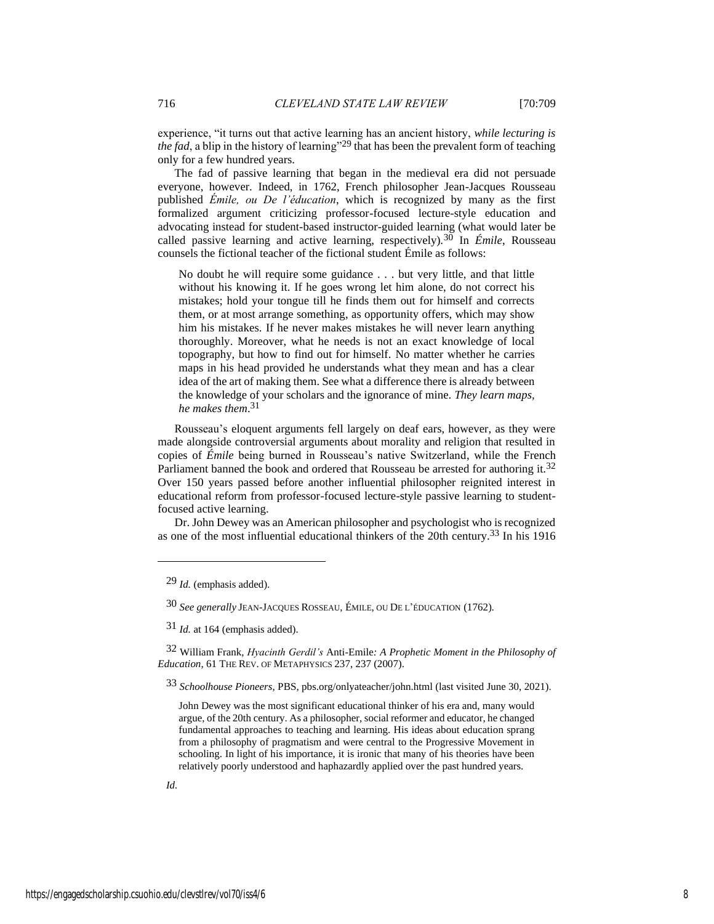experience, "it turns out that active learning has an ancient history, *while lecturing is the fad*, a blip in the history of learning"<sup>29</sup> that has been the prevalent form of teaching only for a few hundred years.

The fad of passive learning that began in the medieval era did not persuade everyone, however. Indeed, in 1762, French philosopher Jean-Jacques Rousseau published *Émile, ou De l'éducation*, which is recognized by many as the first formalized argument criticizing professor-focused lecture-style education and advocating instead for student-based instructor-guided learning (what would later be called passive learning and active learning, respectively).30 In *Émile*, Rousseau counsels the fictional teacher of the fictional student Émile as follows:

No doubt he will require some guidance . . . but very little, and that little without his knowing it. If he goes wrong let him alone, do not correct his mistakes; hold your tongue till he finds them out for himself and corrects them, or at most arrange something, as opportunity offers, which may show him his mistakes. If he never makes mistakes he will never learn anything thoroughly. Moreover, what he needs is not an exact knowledge of local topography, but how to find out for himself. No matter whether he carries maps in his head provided he understands what they mean and has a clear idea of the art of making them. See what a difference there is already between the knowledge of your scholars and the ignorance of mine. *They learn maps, he makes them*. 31

Rousseau's eloquent arguments fell largely on deaf ears, however, as they were made alongside controversial arguments about morality and religion that resulted in copies of *Émile* being burned in Rousseau's native Switzerland, while the French Parliament banned the book and ordered that Rousseau be arrested for authoring it.<sup>32</sup> Over 150 years passed before another influential philosopher reignited interest in educational reform from professor-focused lecture-style passive learning to studentfocused active learning.

Dr. John Dewey was an American philosopher and psychologist who is recognized as one of the most influential educational thinkers of the 20th century.33 In his 1916

32 William Frank, *Hyacinth Gerdil's* Anti-Emile*: A Prophetic Moment in the Philosophy of Education*, 61 THE REV. OF METAPHYSICS 237, 237 (2007).

33 *Schoolhouse Pioneers*, PBS, pbs.org/onlyateacher/john.html (last visited June 30, 2021).

John Dewey was the most significant educational thinker of his era and, many would argue, of the 20th century. As a philosopher, social reformer and educator, he changed fundamental approaches to teaching and learning. His ideas about education sprang from a philosophy of pragmatism and were central to the Progressive Movement in schooling. In light of his importance, it is ironic that many of his theories have been relatively poorly understood and haphazardly applied over the past hundred years.

<sup>29</sup> *Id.* (emphasis added).

<sup>30</sup> *See generally* JEAN-JACQUES ROSSEAU, ÉMILE, OU DE L'ÉDUCATION (1762).

<sup>31</sup> *Id.* at 164 (emphasis added).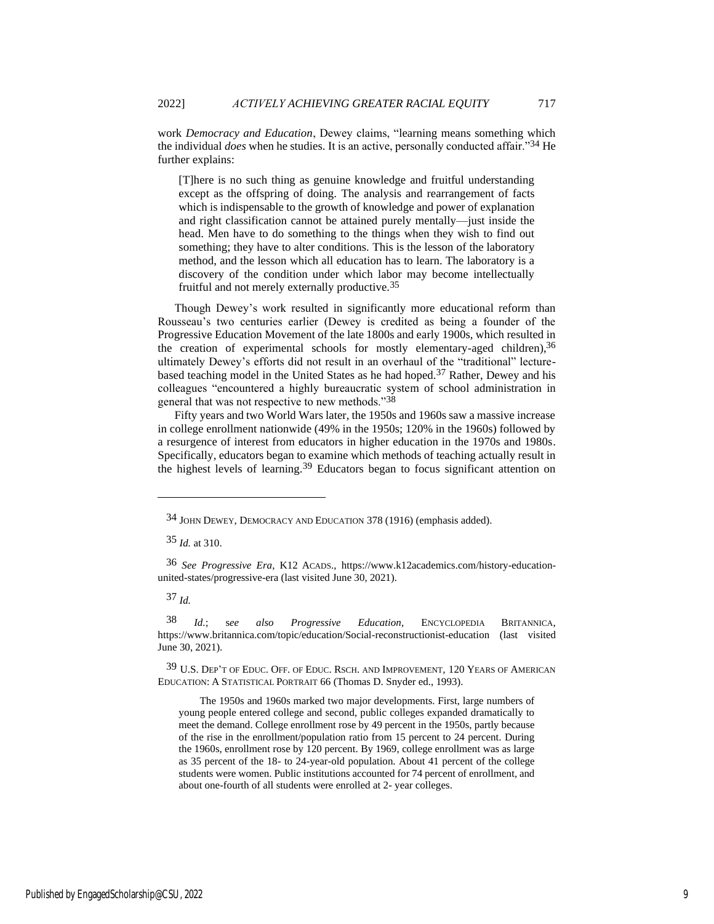work *Democracy and Education*, Dewey claims, "learning means something which the individual *does* when he studies. It is an active, personally conducted affair."34 He further explains:

[T]here is no such thing as genuine knowledge and fruitful understanding except as the offspring of doing. The analysis and rearrangement of facts which is indispensable to the growth of knowledge and power of explanation and right classification cannot be attained purely mentally—just inside the head. Men have to do something to the things when they wish to find out something; they have to alter conditions. This is the lesson of the laboratory method, and the lesson which all education has to learn. The laboratory is a discovery of the condition under which labor may become intellectually fruitful and not merely externally productive.35

Though Dewey's work resulted in significantly more educational reform than Rousseau's two centuries earlier (Dewey is credited as being a founder of the Progressive Education Movement of the late 1800s and early 1900s, which resulted in the creation of experimental schools for mostly elementary-aged children),  $3<sup>6</sup>$ ultimately Dewey's efforts did not result in an overhaul of the "traditional" lecturebased teaching model in the United States as he had hoped.37 Rather, Dewey and his colleagues "encountered a highly bureaucratic system of school administration in general that was not respective to new methods."38

Fifty years and two World Wars later, the 1950s and 1960s saw a massive increase in college enrollment nationwide (49% in the 1950s; 120% in the 1960s) followed by a resurgence of interest from educators in higher education in the 1970s and 1980s. Specifically, educators began to examine which methods of teaching actually result in the highest levels of learning.39 Educators began to focus significant attention on

37 *Id.*

38 *Id.*; s*ee also Progressive Education*, ENCYCLOPEDIA BRITANNICA, https://www.britannica.com/topic/education/Social-reconstructionist-education (last visited June 30, 2021).

39 U.S. DEP'T OF EDUC. OFF. OF EDUC. RSCH. AND IMPROVEMENT*,* 120 YEARS OF AMERICAN EDUCATION: A STATISTICAL PORTRAIT 66 (Thomas D. Snyder ed., 1993).

The 1950s and 1960s marked two major developments. First, large numbers of young people entered college and second, public colleges expanded dramatically to meet the demand. College enrollment rose by 49 percent in the 1950s, partly because of the rise in the enrollment/population ratio from 15 percent to 24 percent. During the 1960s, enrollment rose by 120 percent. By 1969, college enrollment was as large as 35 percent of the 18- to 24-year-old population. About 41 percent of the college students were women. Public institutions accounted for 74 percent of enrollment, and about one-fourth of all students were enrolled at 2- year colleges.

<sup>34</sup> JOHN DEWEY, DEMOCRACY AND EDUCATION 378 (1916) (emphasis added).

<sup>35</sup> *Id.* at 310.

<sup>36</sup> *See Progressive Era*, K12 ACADS., https://www.k12academics.com/history-educationunited-states/progressive-era (last visited June 30, 2021).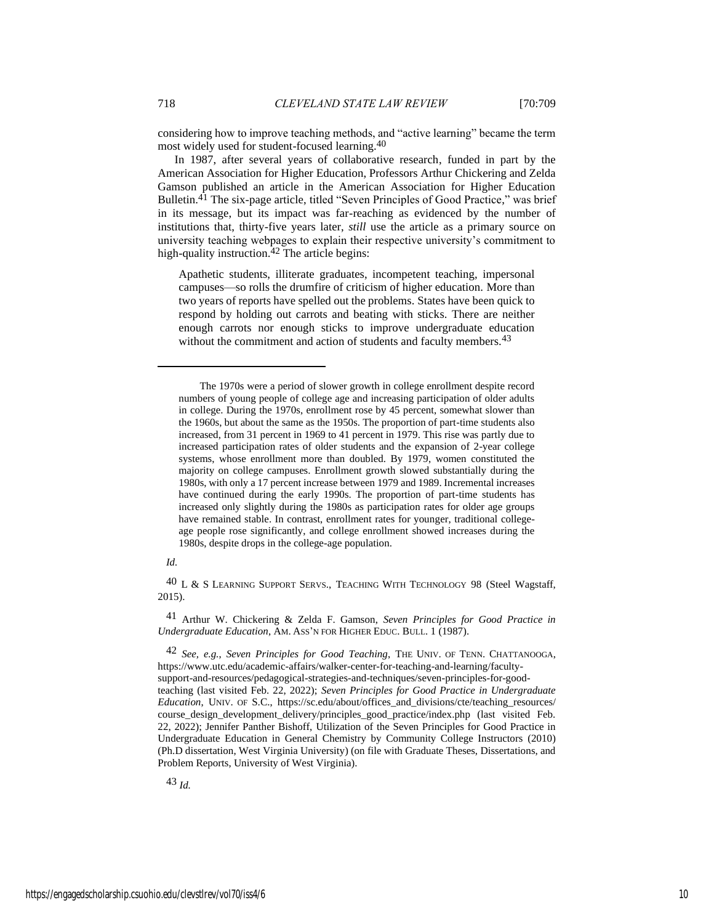considering how to improve teaching methods, and "active learning" became the term most widely used for student-focused learning.40

In 1987, after several years of collaborative research, funded in part by the American Association for Higher Education, Professors Arthur Chickering and Zelda Gamson published an article in the American Association for Higher Education Bulletin.<sup>41</sup> The six-page article, titled "Seven Principles of Good Practice," was brief in its message, but its impact was far-reaching as evidenced by the number of institutions that, thirty-five years later, *still* use the article as a primary source on university teaching webpages to explain their respective university's commitment to high-quality instruction. $42$  The article begins:

Apathetic students, illiterate graduates, incompetent teaching, impersonal campuses—so rolls the drumfire of criticism of higher education. More than two years of reports have spelled out the problems. States have been quick to respond by holding out carrots and beating with sticks. There are neither enough carrots nor enough sticks to improve undergraduate education without the commitment and action of students and faculty members.<sup>43</sup>

## *Id.*

 $^{40}$  L & S LEARNING SUPPORT SERVS., TEACHING WITH TECHNOLOGY 98 (Steel Wagstaff, 2015).

41 Arthur W. Chickering & Zelda F. Gamson, *Seven Principles for Good Practice in Undergraduate Education*, AM. ASS'N FOR HIGHER EDUC. BULL. 1 (1987).

42 *See, e.g.*, *Seven Principles for Good Teaching*, THE UNIV. OF TENN. CHATTANOOGA, https://www.utc.edu/academic-affairs/walker-center-for-teaching-and-learning/facultysupport-and-resources/pedagogical-strategies-and-techniques/seven-principles-for-goodteaching (last visited Feb. 22, 2022); *Seven Principles for Good Practice in Undergraduate Education*, UNIV. OF S.C., https://sc.edu/about/offices\_and\_divisions/cte/teaching\_resources/ course design development delivery/principles good practice/index.php (last visited Feb. 22, 2022); Jennifer Panther Bishoff, Utilization of the Seven Principles for Good Practice in Undergraduate Education in General Chemistry by Community College Instructors (2010) (Ph.D dissertation, West Virginia University) (on file with Graduate Theses, Dissertations, and Problem Reports, University of West Virginia).

The 1970s were a period of slower growth in college enrollment despite record numbers of young people of college age and increasing participation of older adults in college. During the 1970s, enrollment rose by 45 percent, somewhat slower than the 1960s, but about the same as the 1950s. The proportion of part-time students also increased, from 31 percent in 1969 to 41 percent in 1979. This rise was partly due to increased participation rates of older students and the expansion of 2-year college systems, whose enrollment more than doubled. By 1979, women constituted the majority on college campuses. Enrollment growth slowed substantially during the 1980s, with only a 17 percent increase between 1979 and 1989. Incremental increases have continued during the early 1990s. The proportion of part-time students has increased only slightly during the 1980s as participation rates for older age groups have remained stable. In contrast, enrollment rates for younger, traditional collegeage people rose significantly, and college enrollment showed increases during the 1980s, despite drops in the college-age population.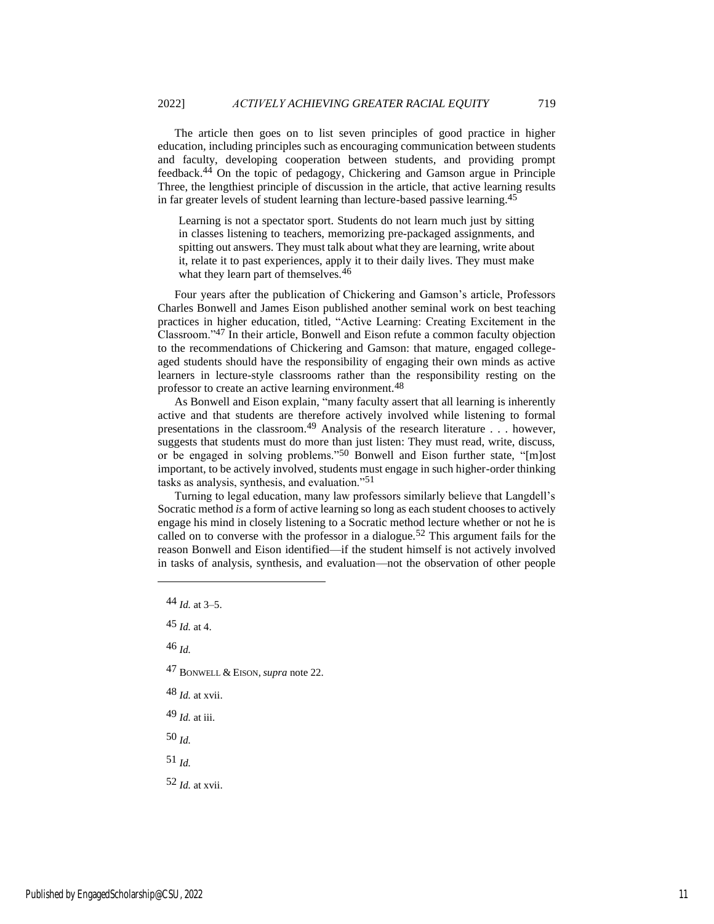The article then goes on to list seven principles of good practice in higher education, including principles such as encouraging communication between students and faculty, developing cooperation between students, and providing prompt feedback.44 On the topic of pedagogy, Chickering and Gamson argue in Principle Three, the lengthiest principle of discussion in the article, that active learning results in far greater levels of student learning than lecture-based passive learning.45

Learning is not a spectator sport. Students do not learn much just by sitting in classes listening to teachers, memorizing pre-packaged assignments, and spitting out answers. They must talk about what they are learning, write about it, relate it to past experiences, apply it to their daily lives. They must make what they learn part of themselves.<sup>46</sup>

Four years after the publication of Chickering and Gamson's article, Professors Charles Bonwell and James Eison published another seminal work on best teaching practices in higher education, titled, "Active Learning: Creating Excitement in the Classroom."47 In their article, Bonwell and Eison refute a common faculty objection to the recommendations of Chickering and Gamson: that mature, engaged collegeaged students should have the responsibility of engaging their own minds as active learners in lecture-style classrooms rather than the responsibility resting on the professor to create an active learning environment.48

As Bonwell and Eison explain, "many faculty assert that all learning is inherently active and that students are therefore actively involved while listening to formal presentations in the classroom.49 Analysis of the research literature . . . however, suggests that students must do more than just listen: They must read, write, discuss, or be engaged in solving problems."50 Bonwell and Eison further state, "[m]ost important, to be actively involved, students must engage in such higher-order thinking tasks as analysis, synthesis, and evaluation."51

Turning to legal education, many law professors similarly believe that Langdell's Socratic method *is* a form of active learning so long as each student chooses to actively engage his mind in closely listening to a Socratic method lecture whether or not he is called on to converse with the professor in a dialogue.<sup>52</sup> This argument fails for the reason Bonwell and Eison identified—if the student himself is not actively involved in tasks of analysis, synthesis, and evaluation—not the observation of other people

46 *Id.*

- 47 BONWELL & EISON, *supra* note 22.
- 48 *Id.* at xvii.
- 49 *Id.* at iii.

50 *Id.*

51 *Id.*

52 *Id.* at xvii.

<sup>44</sup> *Id.* at 3–5.

 $45$  *Id.* at 4.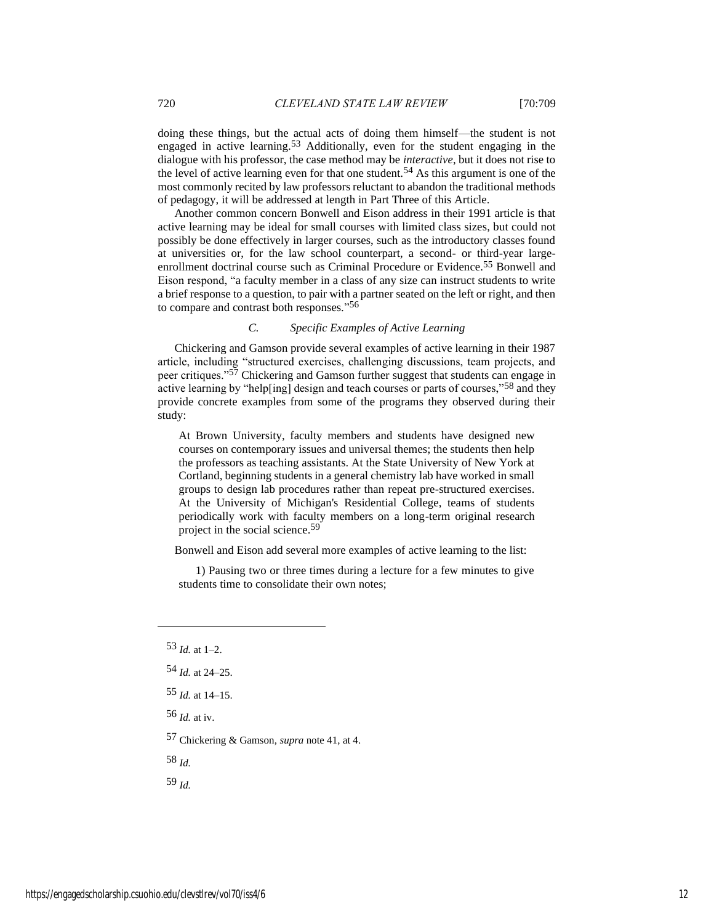doing these things, but the actual acts of doing them himself—the student is not engaged in active learning.<sup>53</sup> Additionally, even for the student engaging in the dialogue with his professor, the case method may be *interactive*, but it does not rise to the level of active learning even for that one student.54 As this argument is one of the most commonly recited by law professors reluctant to abandon the traditional methods of pedagogy, it will be addressed at length in Part Three of this Article.

Another common concern Bonwell and Eison address in their 1991 article is that active learning may be ideal for small courses with limited class sizes, but could not possibly be done effectively in larger courses, such as the introductory classes found at universities or, for the law school counterpart, a second- or third-year largeenrollment doctrinal course such as Criminal Procedure or Evidence.<sup>55</sup> Bonwell and Eison respond, "a faculty member in a class of any size can instruct students to write a brief response to a question, to pair with a partner seated on the left or right, and then to compare and contrast both responses." 56

## *C. Specific Examples of Active Learning*

Chickering and Gamson provide several examples of active learning in their 1987 article, including "structured exercises, challenging discussions, team projects, and peer critiques."57 Chickering and Gamson further suggest that students can engage in active learning by "help[ing] design and teach courses or parts of courses,"58 and they provide concrete examples from some of the programs they observed during their study:

At Brown University, faculty members and students have designed new courses on contemporary issues and universal themes; the students then help the professors as teaching assistants. At the State University of New York at Cortland, beginning students in a general chemistry lab have worked in small groups to design lab procedures rather than repeat pre-structured exercises. At the University of Michigan's Residential College, teams of students periodically work with faculty members on a long-term original research project in the social science.59

Bonwell and Eison add several more examples of active learning to the list:

1) Pausing two or three times during a lecture for a few minutes to give students time to consolidate their own notes;

57 Chickering & Gamson, *supra* note 41, at 4.

58 *Id.*

<sup>53</sup> *Id.* at 1–2.

<sup>54</sup> *Id.* at 24–25.

<sup>55</sup> *Id.* at 14–15.

<sup>56</sup> *Id.* at iv.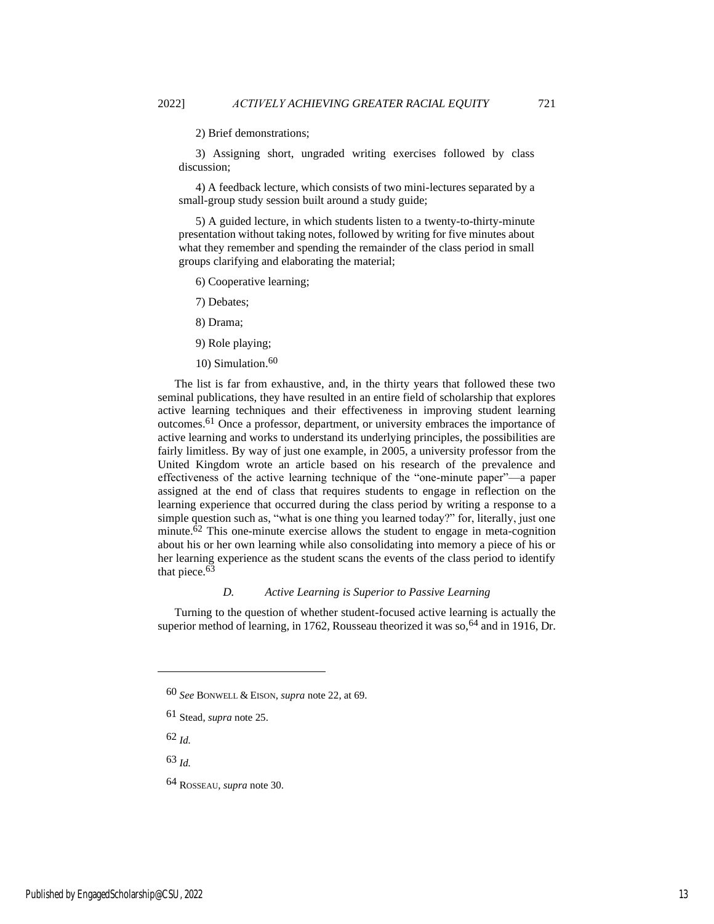2) Brief demonstrations;

3) Assigning short, ungraded writing exercises followed by class discussion;

4) A feedback lecture, which consists of two mini-lectures separated by a small-group study session built around a study guide;

5) A guided lecture, in which students listen to a twenty-to-thirty-minute presentation without taking notes, followed by writing for five minutes about what they remember and spending the remainder of the class period in small groups clarifying and elaborating the material;

6) Cooperative learning;

7) Debates;

- 8) Drama;
- 9) Role playing;
- 10) Simulation.<sup>60</sup>

The list is far from exhaustive, and, in the thirty years that followed these two seminal publications, they have resulted in an entire field of scholarship that explores active learning techniques and their effectiveness in improving student learning outcomes.61 Once a professor, department, or university embraces the importance of active learning and works to understand its underlying principles, the possibilities are fairly limitless. By way of just one example, in 2005, a university professor from the United Kingdom wrote an article based on his research of the prevalence and effectiveness of the active learning technique of the "one-minute paper"—a paper assigned at the end of class that requires students to engage in reflection on the learning experience that occurred during the class period by writing a response to a simple question such as, "what is one thing you learned today?" for, literally, just one minute. $\overline{6}^2$  This one-minute exercise allows the student to engage in meta-cognition about his or her own learning while also consolidating into memory a piece of his or her learning experience as the student scans the events of the class period to identify that piece. $63$ 

## *D. Active Learning is Superior to Passive Learning*

Turning to the question of whether student-focused active learning is actually the superior method of learning, in 1762, Rousseau theorized it was so, <sup>64</sup> and in 1916, Dr.

62 *Id.*

<sup>60</sup> *See* BONWELL & EISON, *supra* note 22, at 69.

<sup>61</sup> Stead, *supra* note 25.

<sup>64</sup> ROSSEAU, *supra* note 30.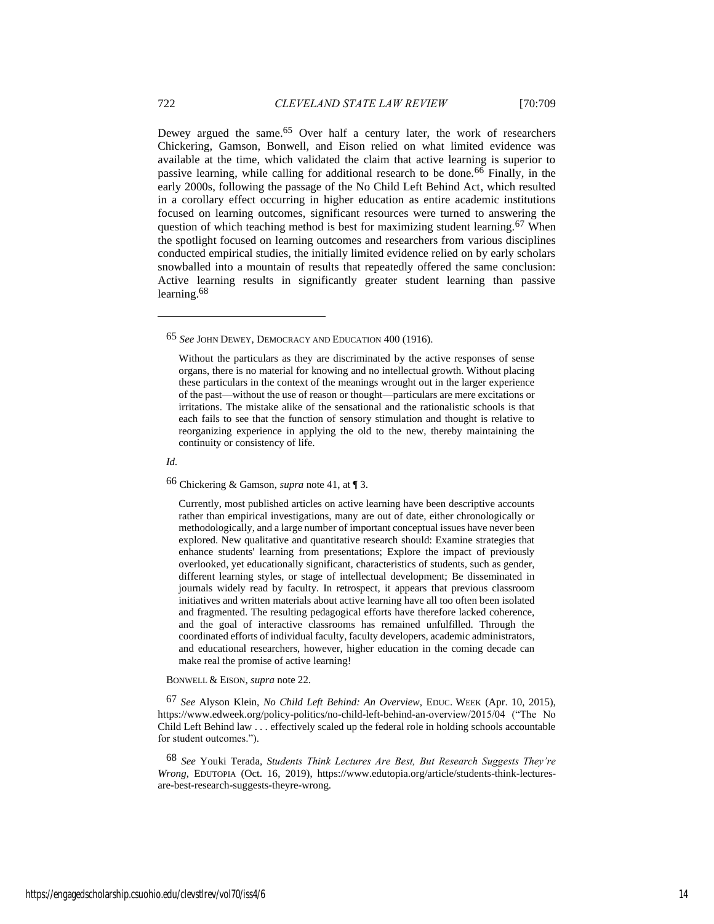Dewey argued the same.<sup>65</sup> Over half a century later, the work of researchers Chickering, Gamson, Bonwell, and Eison relied on what limited evidence was available at the time, which validated the claim that active learning is superior to passive learning, while calling for additional research to be done.66 Finally, in the early 2000s, following the passage of the No Child Left Behind Act, which resulted in a corollary effect occurring in higher education as entire academic institutions focused on learning outcomes, significant resources were turned to answering the question of which teaching method is best for maximizing student learning.<sup>67</sup> When the spotlight focused on learning outcomes and researchers from various disciplines conducted empirical studies, the initially limited evidence relied on by early scholars snowballed into a mountain of results that repeatedly offered the same conclusion: Active learning results in significantly greater student learning than passive learning.68

*Id.*

66 Chickering & Gamson, *supra* note 41, at ¶ 3.

Currently, most published articles on active learning have been descriptive accounts rather than empirical investigations, many are out of date, either chronologically or methodologically, and a large number of important conceptual issues have never been explored. New qualitative and quantitative research should: Examine strategies that enhance students' learning from presentations; Explore the impact of previously overlooked, yet educationally significant, characteristics of students, such as gender, different learning styles, or stage of intellectual development; Be disseminated in journals widely read by faculty. In retrospect, it appears that previous classroom initiatives and written materials about active learning have all too often been isolated and fragmented. The resulting pedagogical efforts have therefore lacked coherence, and the goal of interactive classrooms has remained unfulfilled. Through the coordinated efforts of individual faculty, faculty developers, academic administrators, and educational researchers, however, higher education in the coming decade can make real the promise of active learning!

BONWELL & EISON, *supra* note 22.

67 *See* Alyson Klein, *No Child Left Behind: An Overview*, EDUC. WEEK (Apr. 10, 2015), https://www.edweek.org/policy-politics/no-child-left-behind-an-overview/2015/04 ("The No Child Left Behind law . . . effectively scaled up the federal role in holding schools accountable for student outcomes.").

68 *See* Youki Terada, *Students Think Lectures Are Best, But Research Suggests They're Wrong*, EDUTOPIA (Oct. 16, 2019), https://www.edutopia.org/article/students-think-lecturesare-best-research-suggests-theyre-wrong.

<sup>65</sup> *See* JOHN DEWEY, DEMOCRACY AND EDUCATION 400 (1916).

Without the particulars as they are discriminated by the active responses of sense organs, there is no material for knowing and no intellectual growth. Without placing these particulars in the context of the meanings wrought out in the larger experience of the past—without the use of reason or thought—particulars are mere excitations or irritations. The mistake alike of the sensational and the rationalistic schools is that each fails to see that the function of sensory stimulation and thought is relative to reorganizing experience in applying the old to the new, thereby maintaining the continuity or consistency of life.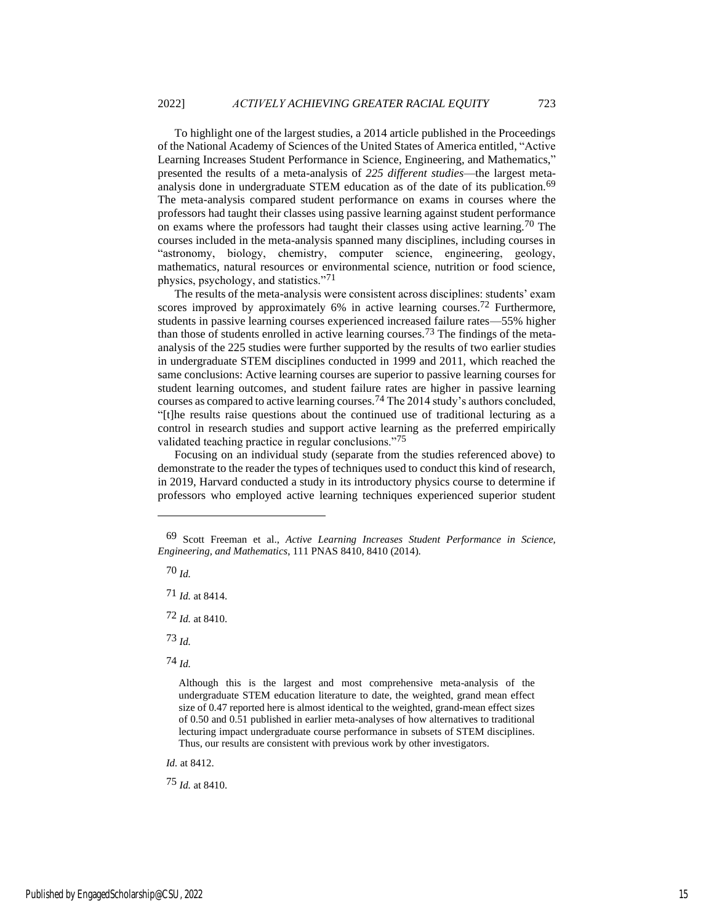To highlight one of the largest studies, a 2014 article published in the Proceedings of the National Academy of Sciences of the United States of America entitled, "Active Learning Increases Student Performance in Science, Engineering, and Mathematics," presented the results of a meta-analysis of *225 different studies*—the largest metaanalysis done in undergraduate STEM education as of the date of its publication.<sup>69</sup> The meta-analysis compared student performance on exams in courses where the professors had taught their classes using passive learning against student performance on exams where the professors had taught their classes using active learning.<sup>70</sup> The courses included in the meta-analysis spanned many disciplines, including courses in "astronomy, biology, chemistry, computer science, engineering, geology, mathematics, natural resources or environmental science, nutrition or food science, physics, psychology, and statistics."71

The results of the meta-analysis were consistent across disciplines: students' exam scores improved by approximately 6% in active learning courses.<sup>72</sup> Furthermore, students in passive learning courses experienced increased failure rates—55% higher than those of students enrolled in active learning courses.73 The findings of the metaanalysis of the 225 studies were further supported by the results of two earlier studies in undergraduate STEM disciplines conducted in 1999 and 2011, which reached the same conclusions: Active learning courses are superior to passive learning courses for student learning outcomes, and student failure rates are higher in passive learning courses as compared to active learning courses.74 The 2014 study's authors concluded, "[t]he results raise questions about the continued use of traditional lecturing as a control in research studies and support active learning as the preferred empirically validated teaching practice in regular conclusions."<sup>75</sup>

Focusing on an individual study (separate from the studies referenced above) to demonstrate to the reader the types of techniques used to conduct this kind of research, in 2019, Harvard conducted a study in its introductory physics course to determine if professors who employed active learning techniques experienced superior student

70 *Id.*

72 *Id.* at 8410.

73 *Id.*

74 *Id.*

*Id.* at 8412.

75 *Id.* at 8410.

<sup>69</sup> Scott Freeman et al., *Active Learning Increases Student Performance in Science, Engineering, and Mathematics*, 111 PNAS 8410, 8410 (2014).

<sup>71</sup> *Id.* at 8414.

Although this is the largest and most comprehensive meta-analysis of the undergraduate STEM education literature to date, the weighted, grand mean effect size of 0.47 reported here is almost identical to the weighted, grand-mean effect sizes of 0.50 and 0.51 published in earlier meta-analyses of how alternatives to traditional lecturing impact undergraduate course performance in subsets of STEM disciplines. Thus, our results are consistent with previous work by other investigators.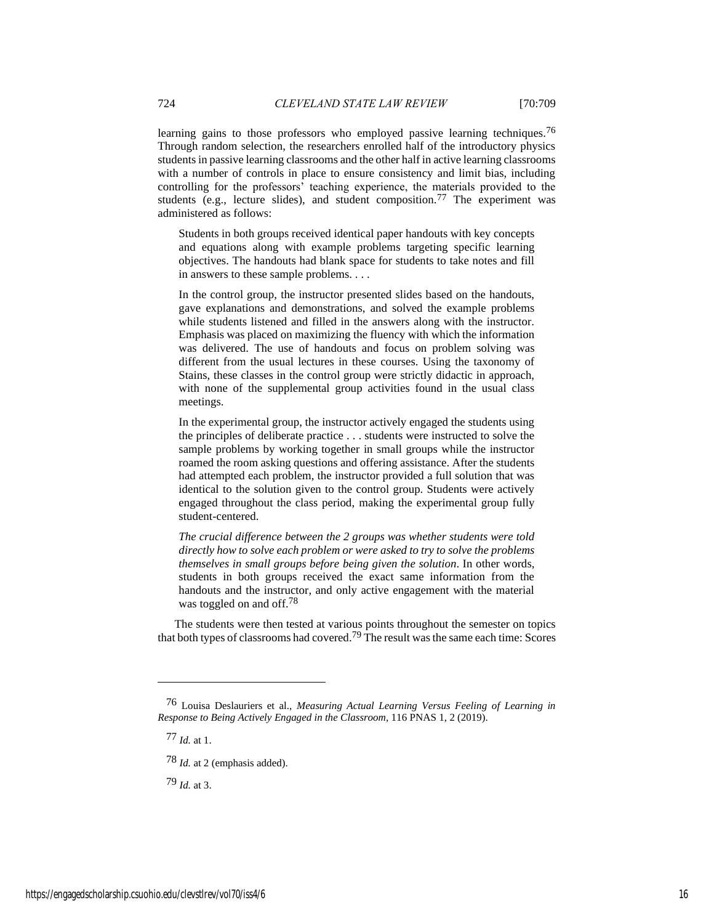learning gains to those professors who employed passive learning techniques.<sup>76</sup> Through random selection, the researchers enrolled half of the introductory physics students in passive learning classrooms and the other half in active learning classrooms with a number of controls in place to ensure consistency and limit bias, including controlling for the professors' teaching experience, the materials provided to the students (e.g., lecture slides), and student composition.<sup>77</sup> The experiment was administered as follows:

Students in both groups received identical paper handouts with key concepts and equations along with example problems targeting specific learning objectives. The handouts had blank space for students to take notes and fill in answers to these sample problems. . . .

In the control group, the instructor presented slides based on the handouts, gave explanations and demonstrations, and solved the example problems while students listened and filled in the answers along with the instructor. Emphasis was placed on maximizing the fluency with which the information was delivered. The use of handouts and focus on problem solving was different from the usual lectures in these courses. Using the taxonomy of Stains, these classes in the control group were strictly didactic in approach, with none of the supplemental group activities found in the usual class meetings.

In the experimental group, the instructor actively engaged the students using the principles of deliberate practice . . . students were instructed to solve the sample problems by working together in small groups while the instructor roamed the room asking questions and offering assistance. After the students had attempted each problem, the instructor provided a full solution that was identical to the solution given to the control group. Students were actively engaged throughout the class period, making the experimental group fully student-centered.

*The crucial difference between the 2 groups was whether students were told directly how to solve each problem or were asked to try to solve the problems themselves in small groups before being given the solution*. In other words, students in both groups received the exact same information from the handouts and the instructor, and only active engagement with the material was toggled on and off.<sup>78</sup>

The students were then tested at various points throughout the semester on topics that both types of classrooms had covered.<sup>79</sup> The result was the same each time: Scores

77 *Id.* at 1.

78 *Id.* at 2 (emphasis added).

79 *Id.* at 3.

<sup>76</sup> Louisa Deslauriers et al., *Measuring Actual Learning Versus Feeling of Learning in Response to Being Actively Engaged in the Classroom*, 116 PNAS 1, 2 (2019).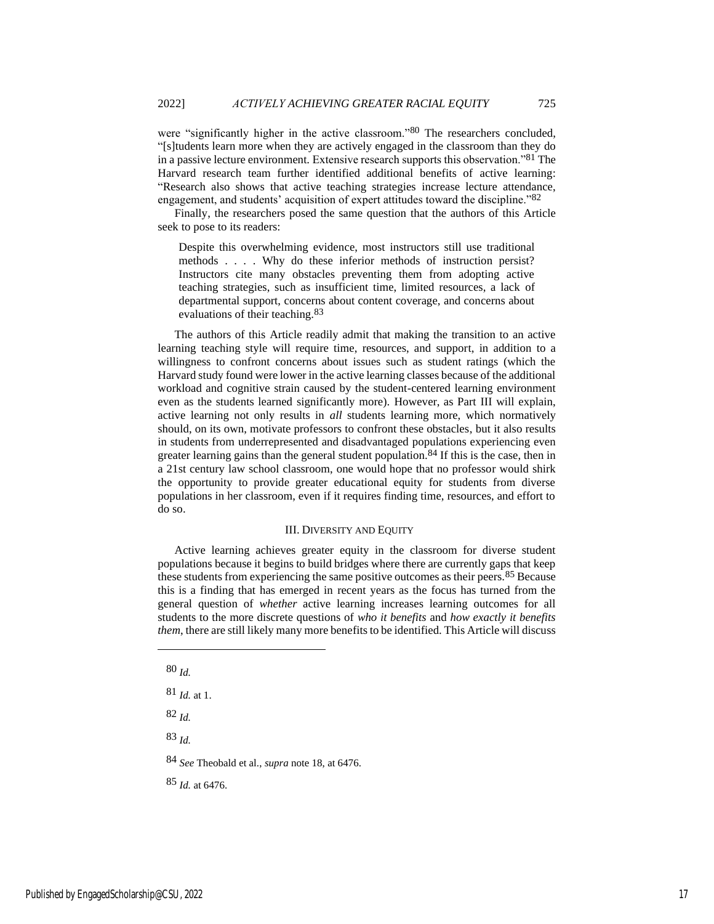were "significantly higher in the active classroom."<sup>80</sup> The researchers concluded. "[s]tudents learn more when they are actively engaged in the classroom than they do in a passive lecture environment. Extensive research supports this observation."81 The Harvard research team further identified additional benefits of active learning: "Research also shows that active teaching strategies increase lecture attendance, engagement, and students' acquisition of expert attitudes toward the discipline."82

Finally, the researchers posed the same question that the authors of this Article seek to pose to its readers:

Despite this overwhelming evidence, most instructors still use traditional methods . . . . Why do these inferior methods of instruction persist? Instructors cite many obstacles preventing them from adopting active teaching strategies, such as insufficient time, limited resources, a lack of departmental support, concerns about content coverage, and concerns about evaluations of their teaching.<sup>83</sup>

The authors of this Article readily admit that making the transition to an active learning teaching style will require time, resources, and support, in addition to a willingness to confront concerns about issues such as student ratings (which the Harvard study found were lower in the active learning classes because of the additional workload and cognitive strain caused by the student-centered learning environment even as the students learned significantly more). However, as Part III will explain, active learning not only results in *all* students learning more, which normatively should, on its own, motivate professors to confront these obstacles, but it also results in students from underrepresented and disadvantaged populations experiencing even greater learning gains than the general student population.<sup>84</sup> If this is the case, then in a 21st century law school classroom, one would hope that no professor would shirk the opportunity to provide greater educational equity for students from diverse populations in her classroom, even if it requires finding time, resources, and effort to do so.

#### III. DIVERSITY AND EQUITY

Active learning achieves greater equity in the classroom for diverse student populations because it begins to build bridges where there are currently gaps that keep these students from experiencing the same positive outcomes as their peers.<sup>85</sup> Because this is a finding that has emerged in recent years as the focus has turned from the general question of *whether* active learning increases learning outcomes for all students to the more discrete questions of *who it benefits* and *how exactly it benefits them*, there are still likely many more benefits to be identified. This Article will discuss

82 *Id.*

83 *Id.*

84 *See* Theobald et al., *supra* note 18, at 6476.

85 *Id.* at 6476.

<sup>80</sup> *Id.*

<sup>81</sup> *Id.* at 1.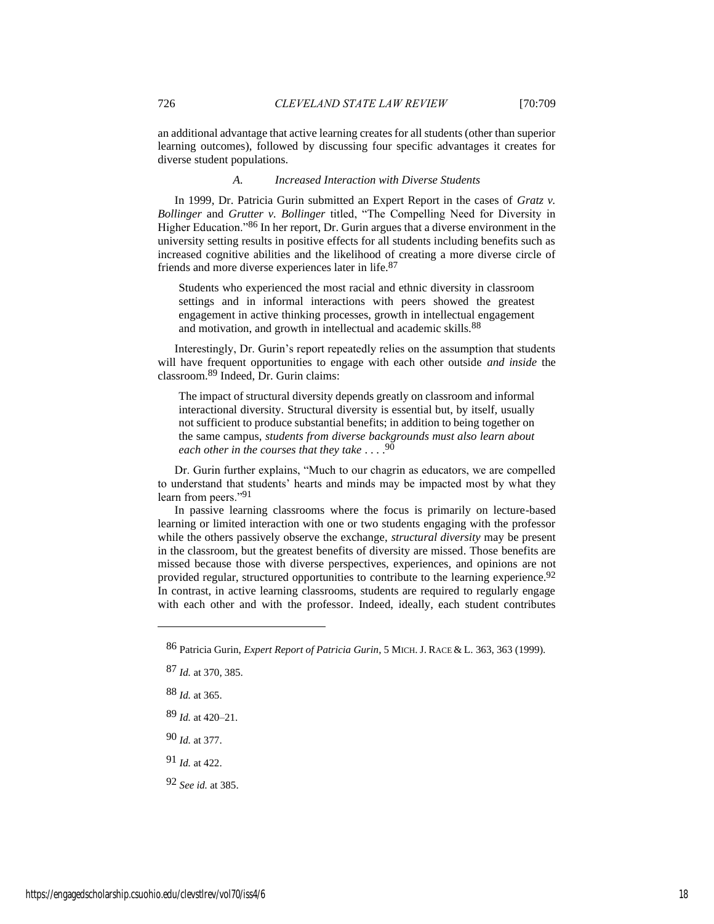an additional advantage that active learning creates for all students (other than superior learning outcomes), followed by discussing four specific advantages it creates for diverse student populations.

## *A. Increased Interaction with Diverse Students*

In 1999, Dr. Patricia Gurin submitted an Expert Report in the cases of *Gratz v. Bollinger* and *Grutter v. Bollinger* titled, "The Compelling Need for Diversity in Higher Education."86 In her report, Dr. Gurin argues that a diverse environment in the university setting results in positive effects for all students including benefits such as increased cognitive abilities and the likelihood of creating a more diverse circle of friends and more diverse experiences later in life.87

Students who experienced the most racial and ethnic diversity in classroom settings and in informal interactions with peers showed the greatest engagement in active thinking processes, growth in intellectual engagement and motivation, and growth in intellectual and academic skills.<sup>88</sup>

Interestingly, Dr. Gurin's report repeatedly relies on the assumption that students will have frequent opportunities to engage with each other outside *and inside* the classroom.89 Indeed, Dr. Gurin claims:

The impact of structural diversity depends greatly on classroom and informal interactional diversity. Structural diversity is essential but, by itself, usually not sufficient to produce substantial benefits; in addition to being together on the same campus, *students from diverse backgrounds must also learn about each other in the courses that they take* . . . . 90

Dr. Gurin further explains, "Much to our chagrin as educators, we are compelled to understand that students' hearts and minds may be impacted most by what they learn from peers."91

In passive learning classrooms where the focus is primarily on lecture-based learning or limited interaction with one or two students engaging with the professor while the others passively observe the exchange, *structural diversity* may be present in the classroom, but the greatest benefits of diversity are missed. Those benefits are missed because those with diverse perspectives, experiences, and opinions are not provided regular, structured opportunities to contribute to the learning experience.<sup>92</sup> In contrast, in active learning classrooms, students are required to regularly engage with each other and with the professor. Indeed, ideally, each student contributes

- 88 *Id.* at 365.
- 89 *Id.* at 420–21.
- 90 *Id.* at 377.
- 91 *Id.* at 422.
- 92 *See id.* at 385.

<sup>86</sup> Patricia Gurin, *Expert Report of Patricia Gurin*, 5 MICH. J. RACE & L. 363, 363 (1999).

<sup>87</sup> *Id.* at 370, 385.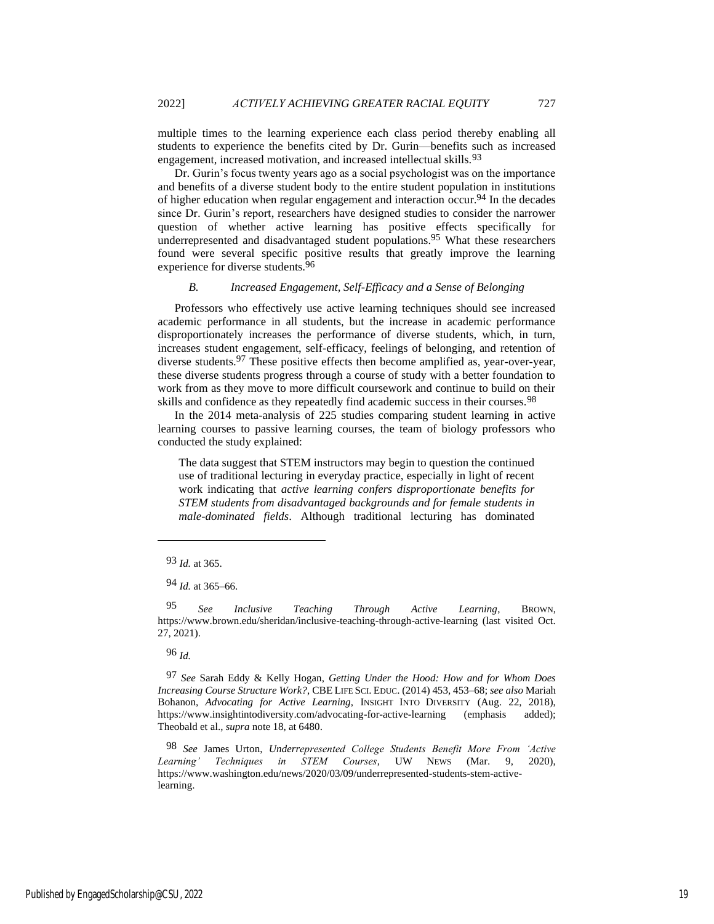multiple times to the learning experience each class period thereby enabling all students to experience the benefits cited by Dr. Gurin—benefits such as increased engagement, increased motivation, and increased intellectual skills.<sup>93</sup>

Dr. Gurin's focus twenty years ago as a social psychologist was on the importance and benefits of a diverse student body to the entire student population in institutions of higher education when regular engagement and interaction occur.<sup>94</sup> In the decades since Dr. Gurin's report, researchers have designed studies to consider the narrower question of whether active learning has positive effects specifically for underrepresented and disadvantaged student populations.<sup>95</sup> What these researchers found were several specific positive results that greatly improve the learning experience for diverse students.96

## *B. Increased Engagement, Self-Efficacy and a Sense of Belonging*

Professors who effectively use active learning techniques should see increased academic performance in all students, but the increase in academic performance disproportionately increases the performance of diverse students, which, in turn, increases student engagement, self-efficacy, feelings of belonging, and retention of diverse students.97 These positive effects then become amplified as, year-over-year, these diverse students progress through a course of study with a better foundation to work from as they move to more difficult coursework and continue to build on their skills and confidence as they repeatedly find academic success in their courses.<sup>98</sup>

In the 2014 meta-analysis of 225 studies comparing student learning in active learning courses to passive learning courses, the team of biology professors who conducted the study explained:

The data suggest that STEM instructors may begin to question the continued use of traditional lecturing in everyday practice, especially in light of recent work indicating that *active learning confers disproportionate benefits for STEM students from disadvantaged backgrounds and for female students in male-dominated fields*. Although traditional lecturing has dominated

95 *See Inclusive Teaching Through Active Learning*, BROWN, https://www.brown.edu/sheridan/inclusive-teaching-through-active-learning (last visited Oct. 27, 2021).

96 *Id.*

97 *See* Sarah Eddy & Kelly Hogan, *Getting Under the Hood: How and for Whom Does Increasing Course Structure Work?*, CBE LIFE SCI. EDUC. (2014) 453, 453–68; *see also* Mariah Bohanon, *Advocating for Active Learning*, INSIGHT INTO DIVERSITY (Aug. 22, 2018), https://www.insightintodiversity.com/advocating-for-active-learning (emphasis added); Theobald et al., *supra* note 18, at 6480.

98 *See* James Urton, *Underrepresented College Students Benefit More From 'Active Learning' Techniques in STEM Courses*, UW NEWS (Mar. 9, 2020), https://www.washington.edu/news/2020/03/09/underrepresented-students-stem-activelearning.

<sup>93</sup> *Id.* at 365.

<sup>94</sup> *Id.* at 365–66.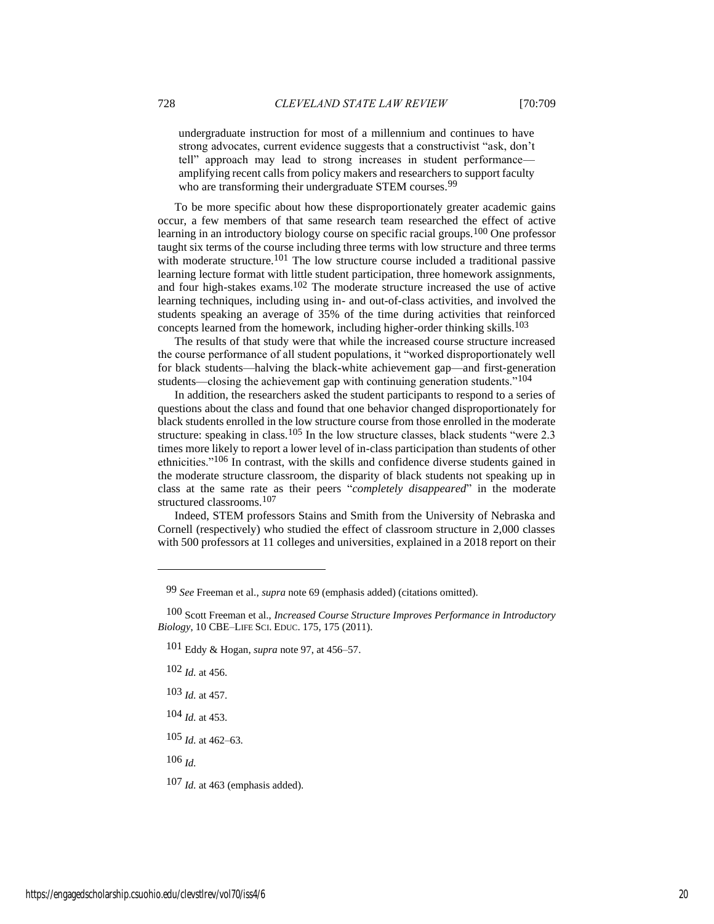undergraduate instruction for most of a millennium and continues to have strong advocates, current evidence suggests that a constructivist "ask, don't tell" approach may lead to strong increases in student performance amplifying recent calls from policy makers and researchers to support faculty who are transforming their undergraduate STEM courses.<sup>99</sup>

To be more specific about how these disproportionately greater academic gains occur, a few members of that same research team researched the effect of active learning in an introductory biology course on specific racial groups.<sup>100</sup> One professor taught six terms of the course including three terms with low structure and three terms with moderate structure.<sup>101</sup> The low structure course included a traditional passive learning lecture format with little student participation, three homework assignments, and four high-stakes exams.102 The moderate structure increased the use of active learning techniques, including using in- and out-of-class activities, and involved the students speaking an average of 35% of the time during activities that reinforced concepts learned from the homework, including higher-order thinking skills.<sup>103</sup>

The results of that study were that while the increased course structure increased the course performance of all student populations, it "worked disproportionately well for black students—halving the black-white achievement gap—and first-generation students—closing the achievement gap with continuing generation students."<sup>104</sup>

In addition, the researchers asked the student participants to respond to a series of questions about the class and found that one behavior changed disproportionately for black students enrolled in the low structure course from those enrolled in the moderate structure: speaking in class.<sup>105</sup> In the low structure classes, black students "were 2.3 times more likely to report a lower level of in-class participation than students of other ethnicities."106 In contrast, with the skills and confidence diverse students gained in the moderate structure classroom, the disparity of black students not speaking up in class at the same rate as their peers "*completely disappeared*" in the moderate structured classrooms.107

Indeed, STEM professors Stains and Smith from the University of Nebraska and Cornell (respectively) who studied the effect of classroom structure in 2,000 classes with 500 professors at 11 colleges and universities, explained in a 2018 report on their

- 103 *Id.* at 457.
- 104 *Id.* at 453.

105 *Id.* at 462–63.

106 *Id.*

107 *Id.* at 463 (emphasis added).

<sup>99</sup> *See* Freeman et al., *supra* note 69 (emphasis added) (citations omitted).

<sup>100</sup> Scott Freeman et al., *Increased Course Structure Improves Performance in Introductory Biology*, 10 CBE–LIFE SCI. EDUC. 175, 175 (2011).

<sup>101</sup> Eddy & Hogan, *supra* note 97, at 456–57.

<sup>102</sup> *Id.* at 456.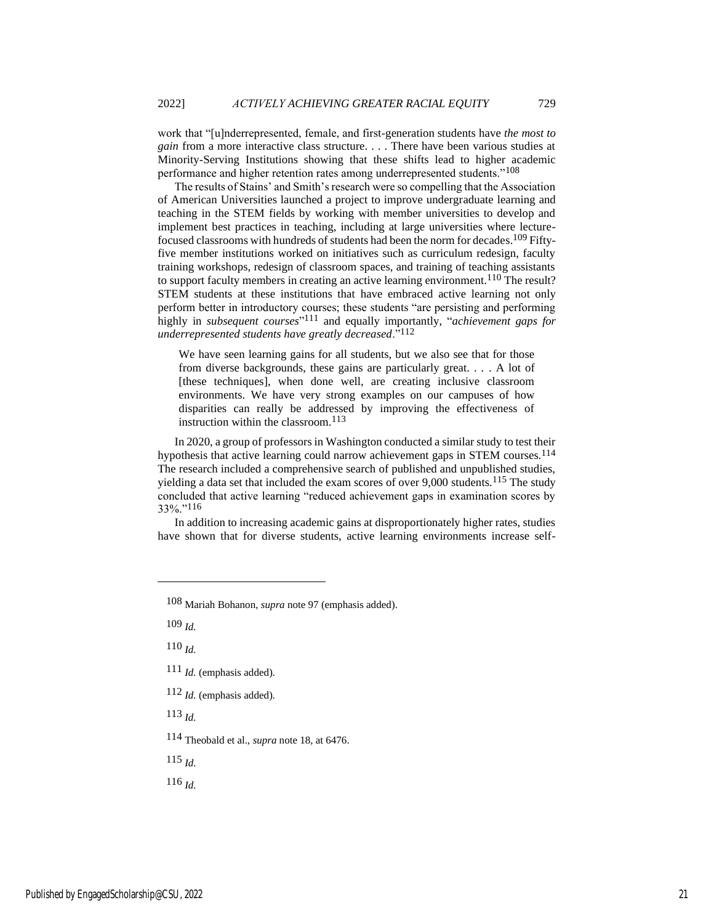work that "[u]nderrepresented, female, and first-generation students have *the most to gain* from a more interactive class structure. . . . There have been various studies at Minority-Serving Institutions showing that these shifts lead to higher academic performance and higher retention rates among underrepresented students."108

The results of Stains' and Smith's research were so compelling that the Association of American Universities launched a project to improve undergraduate learning and teaching in the STEM fields by working with member universities to develop and implement best practices in teaching, including at large universities where lecturefocused classrooms with hundreds of students had been the norm for decades.109 Fiftyfive member institutions worked on initiatives such as curriculum redesign, faculty training workshops, redesign of classroom spaces, and training of teaching assistants to support faculty members in creating an active learning environment.<sup>110</sup> The result? STEM students at these institutions that have embraced active learning not only perform better in introductory courses; these students "are persisting and performing highly in *subsequent courses*" 111 and equally importantly, "*achievement gaps for underrepresented students have greatly decreased*."112

We have seen learning gains for all students, but we also see that for those from diverse backgrounds, these gains are particularly great. . . . A lot of [these techniques], when done well, are creating inclusive classroom environments. We have very strong examples on our campuses of how disparities can really be addressed by improving the effectiveness of instruction within the classroom. $113$ 

In 2020, a group of professors in Washington conducted a similar study to test their hypothesis that active learning could narrow achievement gaps in STEM courses.114 The research included a comprehensive search of published and unpublished studies, yielding a data set that included the exam scores of over 9,000 students.<sup>115</sup> The study concluded that active learning "reduced achievement gaps in examination scores by 33%."116

In addition to increasing academic gains at disproportionately higher rates, studies have shown that for diverse students, active learning environments increase self-

109 *Id.*

110 *Id.*

- 111 *Id.* (emphasis added).
- 112 *Id.* (emphasis added).

113 *Id.*

114 Theobald et al., *supra* note 18, at 6476.

115 *Id.*

<sup>108</sup> Mariah Bohanon, *supra* note 97 (emphasis added).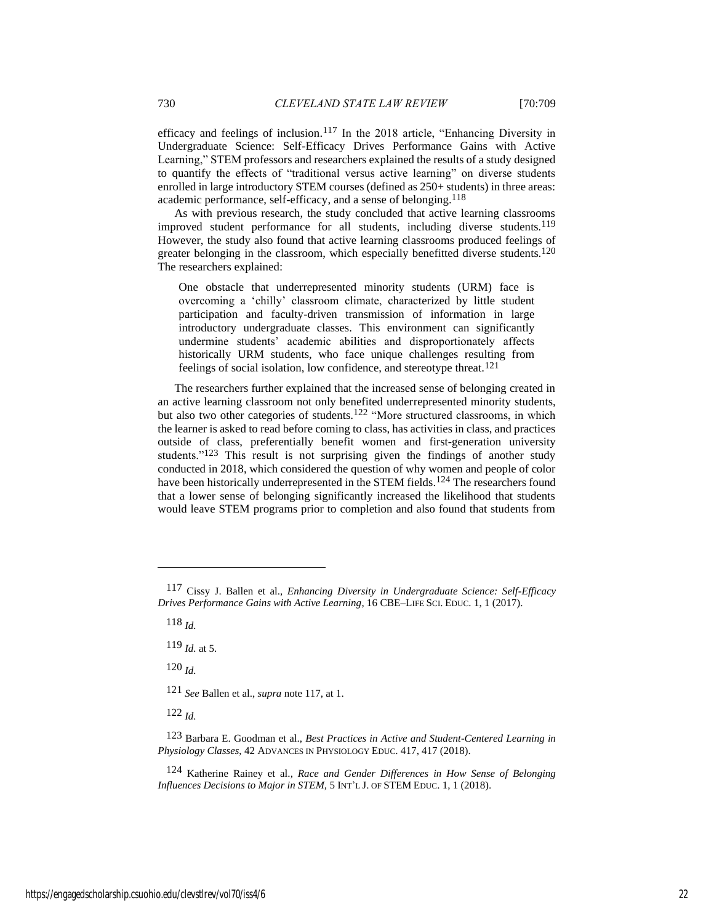efficacy and feelings of inclusion.117 In the 2018 article, "Enhancing Diversity in Undergraduate Science: Self-Efficacy Drives Performance Gains with Active Learning," STEM professors and researchers explained the results of a study designed to quantify the effects of "traditional versus active learning" on diverse students enrolled in large introductory STEM courses (defined as 250+ students) in three areas: academic performance, self-efficacy, and a sense of belonging.<sup>118</sup>

As with previous research, the study concluded that active learning classrooms improved student performance for all students, including diverse students.<sup>119</sup> However, the study also found that active learning classrooms produced feelings of greater belonging in the classroom, which especially benefitted diverse students.<sup>120</sup> The researchers explained:

One obstacle that underrepresented minority students (URM) face is overcoming a 'chilly' classroom climate, characterized by little student participation and faculty-driven transmission of information in large introductory undergraduate classes. This environment can significantly undermine students' academic abilities and disproportionately affects historically URM students, who face unique challenges resulting from feelings of social isolation, low confidence, and stereotype threat.<sup>121</sup>

The researchers further explained that the increased sense of belonging created in an active learning classroom not only benefited underrepresented minority students, but also two other categories of students.<sup>122</sup> "More structured classrooms, in which the learner is asked to read before coming to class, has activities in class, and practices outside of class, preferentially benefit women and first-generation university students."<sup>123</sup> This result is not surprising given the findings of another study conducted in 2018, which considered the question of why women and people of color have been historically underrepresented in the STEM fields.<sup>124</sup> The researchers found that a lower sense of belonging significantly increased the likelihood that students would leave STEM programs prior to completion and also found that students from

118 *Id.*

119 *Id.* at 5.

120 *Id.*

121 *See* Ballen et al., *supra* note 117, at 1.

<sup>117</sup> Cissy J. Ballen et al., *Enhancing Diversity in Undergraduate Science: Self-Efficacy Drives Performance Gains with Active Learning*, 16 CBE–LIFE SCI. EDUC. 1, 1 (2017).

<sup>123</sup> Barbara E. Goodman et al., *Best Practices in Active and Student-Centered Learning in Physiology Classes*, 42 ADVANCES IN PHYSIOLOGY EDUC. 417, 417 (2018).

<sup>124</sup> Katherine Rainey et al., *Race and Gender Differences in How Sense of Belonging Influences Decisions to Major in STEM*, 5 INT'L J. OF STEM EDUC. 1, 1 (2018).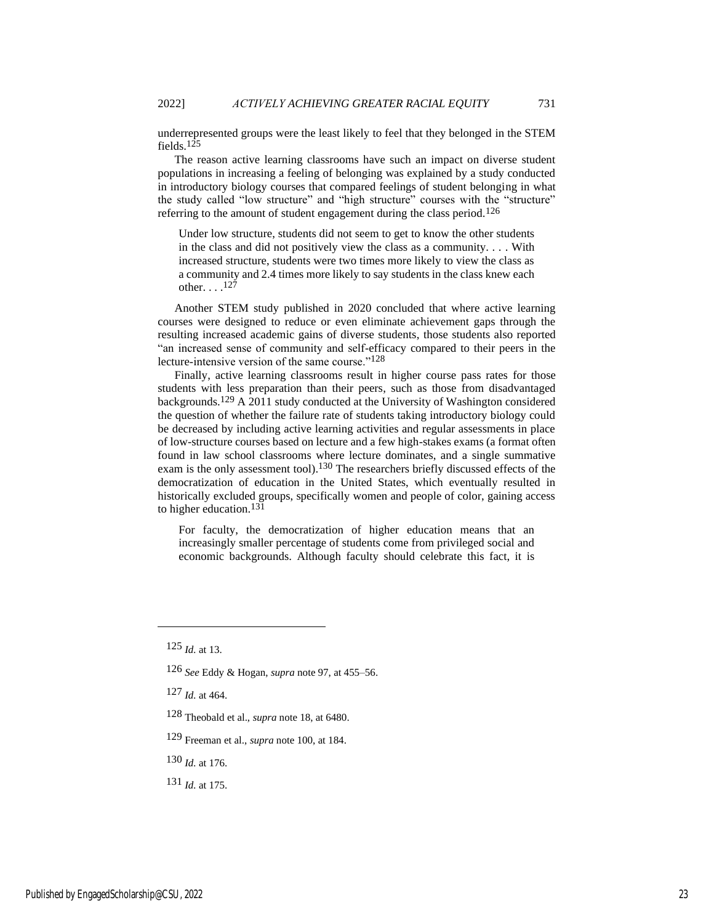underrepresented groups were the least likely to feel that they belonged in the STEM fields.125

The reason active learning classrooms have such an impact on diverse student populations in increasing a feeling of belonging was explained by a study conducted in introductory biology courses that compared feelings of student belonging in what the study called "low structure" and "high structure" courses with the "structure" referring to the amount of student engagement during the class period.126

Under low structure, students did not seem to get to know the other students in the class and did not positively view the class as a community. . . . With increased structure, students were two times more likely to view the class as a community and 2.4 times more likely to say students in the class knew each other.  $\ldots$ <sup>127</sup>

Another STEM study published in 2020 concluded that where active learning courses were designed to reduce or even eliminate achievement gaps through the resulting increased academic gains of diverse students, those students also reported "an increased sense of community and self-efficacy compared to their peers in the lecture-intensive version of the same course."<sup>128</sup>

Finally, active learning classrooms result in higher course pass rates for those students with less preparation than their peers, such as those from disadvantaged backgrounds.<sup>129</sup> A 2011 study conducted at the University of Washington considered the question of whether the failure rate of students taking introductory biology could be decreased by including active learning activities and regular assessments in place of low-structure courses based on lecture and a few high-stakes exams (a format often found in law school classrooms where lecture dominates, and a single summative exam is the only assessment tool).<sup>130</sup> The researchers briefly discussed effects of the democratization of education in the United States, which eventually resulted in historically excluded groups, specifically women and people of color, gaining access to higher education.131

For faculty, the democratization of higher education means that an increasingly smaller percentage of students come from privileged social and economic backgrounds. Although faculty should celebrate this fact, it is

- 128 Theobald et al., *supra* note 18, at 6480.
- 129 Freeman et al., *supra* note 100, at 184.
- 130 *Id.* at 176.
- 131 *Id.* at 175.

<sup>125</sup> *Id.* at 13.

<sup>126</sup> *See* Eddy & Hogan, *supra* note 97, at 455–56.

<sup>127</sup> *Id.* at 464.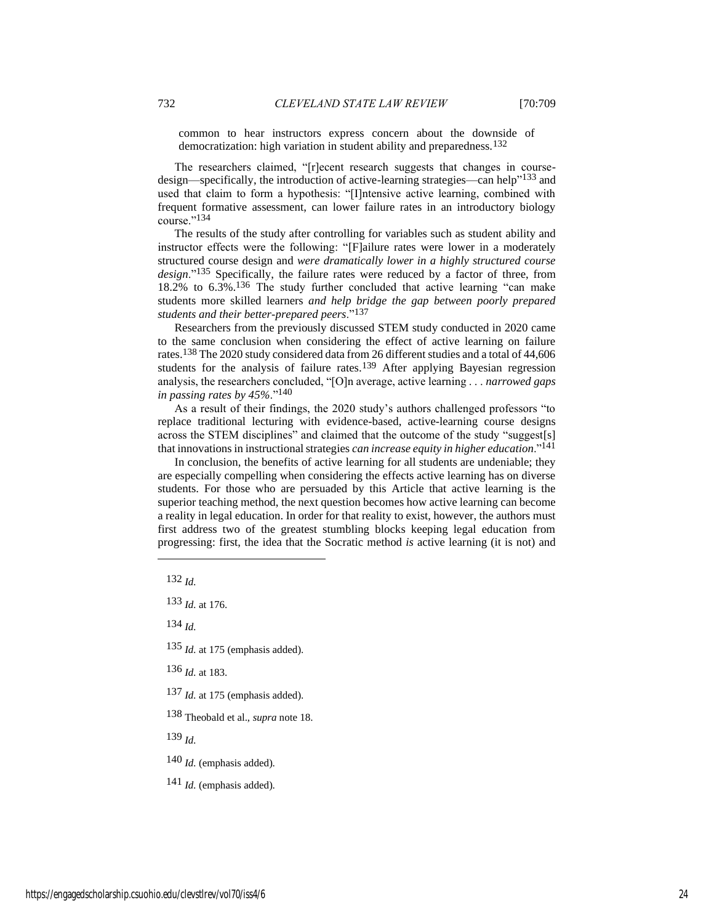common to hear instructors express concern about the downside of democratization: high variation in student ability and preparedness.132

The researchers claimed, "[r]ecent research suggests that changes in coursedesign—specifically, the introduction of active-learning strategies—can help"<sup>133</sup> and used that claim to form a hypothesis: "[I]ntensive active learning, combined with frequent formative assessment, can lower failure rates in an introductory biology course."134

The results of the study after controlling for variables such as student ability and instructor effects were the following: "[F]ailure rates were lower in a moderately structured course design and *were dramatically lower in a highly structured course design*."135 Specifically, the failure rates were reduced by a factor of three, from 18.2% to 6.3%.136 The study further concluded that active learning "can make students more skilled learners *and help bridge the gap between poorly prepared students and their better-prepared peers*."137

Researchers from the previously discussed STEM study conducted in 2020 came to the same conclusion when considering the effect of active learning on failure rates.138 The 2020 study considered data from 26 different studies and a total of 44,606 students for the analysis of failure rates.<sup>139</sup> After applying Bayesian regression analysis, the researchers concluded, "[O]n average, active learning . . . *narrowed gaps in passing rates by 45%*."140

As a result of their findings, the 2020 study's authors challenged professors "to replace traditional lecturing with evidence-based, active-learning course designs across the STEM disciplines" and claimed that the outcome of the study "suggest[s] that innovations in instructional strategies *can increase equity in higher education*."141

In conclusion, the benefits of active learning for all students are undeniable; they are especially compelling when considering the effects active learning has on diverse students. For those who are persuaded by this Article that active learning is the superior teaching method, the next question becomes how active learning can become a reality in legal education. In order for that reality to exist, however, the authors must first address two of the greatest stumbling blocks keeping legal education from progressing: first, the idea that the Socratic method *is* active learning (it is not) and

133 *Id.* at 176.

134 *Id.*

135 *Id.* at 175 (emphasis added).

136 *Id.* at 183.

137 *Id.* at 175 (emphasis added).

138 Theobald et al., *supra* note 18.

139 *Id.*

140 *Id.* (emphasis added).

141 *Id.* (emphasis added).

<sup>132</sup> *Id.*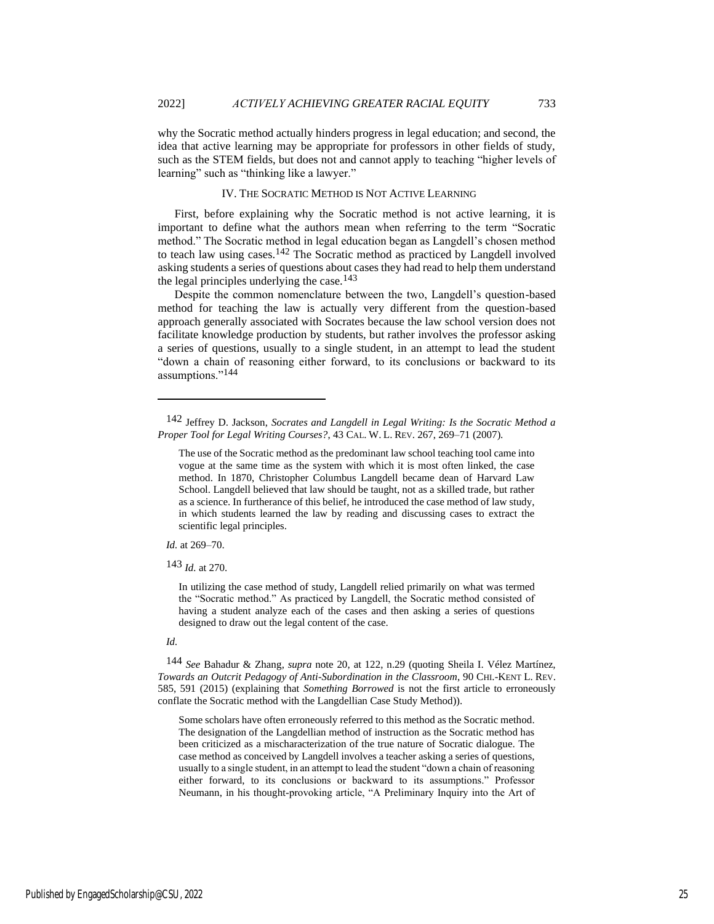why the Socratic method actually hinders progress in legal education; and second, the idea that active learning may be appropriate for professors in other fields of study, such as the STEM fields, but does not and cannot apply to teaching "higher levels of learning" such as "thinking like a lawyer."

#### IV. THE SOCRATIC METHOD IS NOT ACTIVE LEARNING

First, before explaining why the Socratic method is not active learning, it is important to define what the authors mean when referring to the term "Socratic method." The Socratic method in legal education began as Langdell's chosen method to teach law using cases.142 The Socratic method as practiced by Langdell involved asking students a series of questions about cases they had read to help them understand the legal principles underlying the case.<sup>143</sup>

Despite the common nomenclature between the two, Langdell's question-based method for teaching the law is actually very different from the question-based approach generally associated with Socrates because the law school version does not facilitate knowledge production by students, but rather involves the professor asking a series of questions, usually to a single student, in an attempt to lead the student "down a chain of reasoning either forward, to its conclusions or backward to its assumptions."144

*Id.* at 269–70.

143 *Id.* at 270.

In utilizing the case method of study, Langdell relied primarily on what was termed the "Socratic method." As practiced by Langdell, the Socratic method consisted of having a student analyze each of the cases and then asking a series of questions designed to draw out the legal content of the case.

#### *Id.*

144 *See* Bahadur & Zhang, *supra* note 20, at 122, n.29 (quoting Sheila I. Vélez Martínez, *Towards an Outcrit Pedagogy of Anti-Subordination in the Classroom*, 90 CHI.-KENT L. REV. 585, 591 (2015) (explaining that *Something Borrowed* is not the first article to erroneously conflate the Socratic method with the Langdellian Case Study Method)).

Some scholars have often erroneously referred to this method as the Socratic method. The designation of the Langdellian method of instruction as the Socratic method has been criticized as a mischaracterization of the true nature of Socratic dialogue. The case method as conceived by Langdell involves a teacher asking a series of questions, usually to a single student, in an attempt to lead the student "down a chain of reasoning either forward, to its conclusions or backward to its assumptions." Professor Neumann, in his thought-provoking article, "A Preliminary Inquiry into the Art of

<sup>142</sup> Jeffrey D. Jackson, *Socrates and Langdell in Legal Writing: Is the Socratic Method a Proper Tool for Legal Writing Courses?*, 43 CAL. W. L. REV. 267, 269–71 (2007).

The use of the Socratic method as the predominant law school teaching tool came into vogue at the same time as the system with which it is most often linked, the case method. In 1870, Christopher Columbus Langdell became dean of Harvard Law School. Langdell believed that law should be taught, not as a skilled trade, but rather as a science. In furtherance of this belief, he introduced the case method of law study, in which students learned the law by reading and discussing cases to extract the scientific legal principles.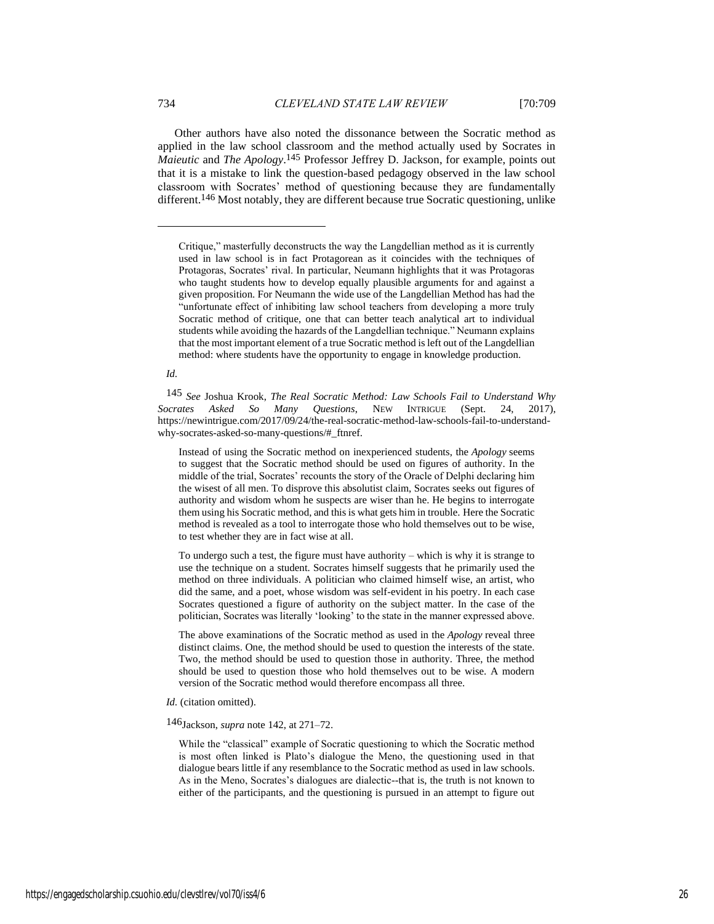Other authors have also noted the dissonance between the Socratic method as applied in the law school classroom and the method actually used by Socrates in *Maieutic* and *The Apology*. 145 Professor Jeffrey D. Jackson, for example, points out that it is a mistake to link the question-based pedagogy observed in the law school classroom with Socrates' method of questioning because they are fundamentally different.<sup>146</sup> Most notably, they are different because true Socratic questioning, unlike

*Id.*

145 *See* Joshua Krook, *The Real Socratic Method: Law Schools Fail to Understand Why Socrates Asked So Many Questions*, NEW INTRIGUE (Sept. 24, 2017), https://newintrigue.com/2017/09/24/the-real-socratic-method-law-schools-fail-to-understandwhy-socrates-asked-so-many-questions/#\_ftnref.

Instead of using the Socratic method on inexperienced students, the *Apology* seems to suggest that the Socratic method should be used on figures of authority. In the middle of the trial, Socrates' recounts the story of the Oracle of Delphi declaring him the wisest of all men. To disprove this absolutist claim, Socrates seeks out figures of authority and wisdom whom he suspects are wiser than he. He begins to interrogate them using his Socratic method, and this is what gets him in trouble. Here the Socratic method is revealed as a tool to interrogate those who hold themselves out to be wise, to test whether they are in fact wise at all.

To undergo such a test, the figure must have authority – which is why it is strange to use the technique on a student. Socrates himself suggests that he primarily used the method on three individuals. A politician who claimed himself wise, an artist, who did the same, and a poet, whose wisdom was self-evident in his poetry. In each case Socrates questioned a figure of authority on the subject matter. In the case of the politician, Socrates was literally 'looking' to the state in the manner expressed above.

The above examinations of the Socratic method as used in the *Apology* reveal three distinct claims. One, the method should be used to question the interests of the state. Two, the method should be used to question those in authority. Three, the method should be used to question those who hold themselves out to be wise. A modern version of the Socratic method would therefore encompass all three.

*Id.* (citation omitted).

146Jackson, *supra* note 142, at 271–72.

While the "classical" example of Socratic questioning to which the Socratic method is most often linked is Plato's dialogue the Meno, the questioning used in that dialogue bears little if any resemblance to the Socratic method as used in law schools. As in the Meno, Socrates's dialogues are dialectic--that is, the truth is not known to either of the participants, and the questioning is pursued in an attempt to figure out

Critique," masterfully deconstructs the way the Langdellian method as it is currently used in law school is in fact Protagorean as it coincides with the techniques of Protagoras, Socrates' rival. In particular, Neumann highlights that it was Protagoras who taught students how to develop equally plausible arguments for and against a given proposition. For Neumann the wide use of the Langdellian Method has had the "unfortunate effect of inhibiting law school teachers from developing a more truly Socratic method of critique, one that can better teach analytical art to individual students while avoiding the hazards of the Langdellian technique." Neumann explains that the most important element of a true Socratic method is left out of the Langdellian method: where students have the opportunity to engage in knowledge production.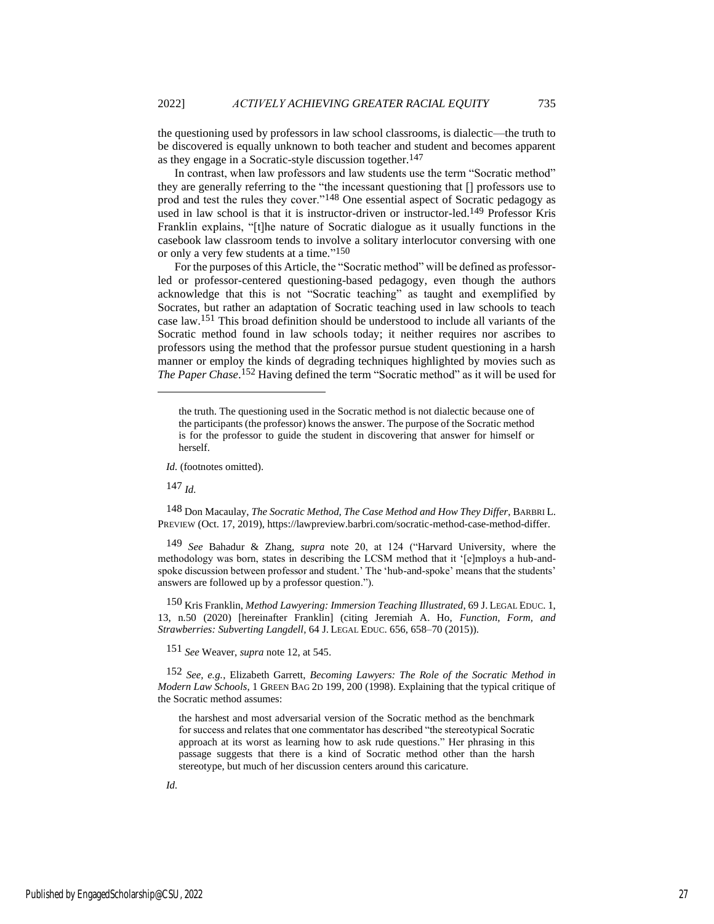the questioning used by professors in law school classrooms, is dialectic—the truth to be discovered is equally unknown to both teacher and student and becomes apparent as they engage in a Socratic-style discussion together.<sup>147</sup>

In contrast, when law professors and law students use the term "Socratic method" they are generally referring to the "the incessant questioning that [] professors use to prod and test the rules they cover."148 One essential aspect of Socratic pedagogy as used in law school is that it is instructor-driven or instructor-led.<sup>149</sup> Professor Kris Franklin explains, "[t]he nature of Socratic dialogue as it usually functions in the casebook law classroom tends to involve a solitary interlocutor conversing with one or only a very few students at a time." 150

For the purposes of this Article, the "Socratic method" will be defined as professorled or professor-centered questioning-based pedagogy, even though the authors acknowledge that this is not "Socratic teaching" as taught and exemplified by Socrates, but rather an adaptation of Socratic teaching used in law schools to teach case law.151 This broad definition should be understood to include all variants of the Socratic method found in law schools today; it neither requires nor ascribes to professors using the method that the professor pursue student questioning in a harsh manner or employ the kinds of degrading techniques highlighted by movies such as *The Paper Chase*. 152 Having defined the term "Socratic method" as it will be used for

*Id.* (footnotes omitted).

147 *Id.*

148 Don Macaulay, *The Socratic Method, The Case Method and How They Differ*, BARBRI L. PREVIEW (Oct. 17, 2019), https://lawpreview.barbri.com/socratic-method-case-method-differ.

149 *See* Bahadur & Zhang, *supra* note 20, at 124 ("Harvard University, where the methodology was born, states in describing the LCSM method that it '[e]mploys a hub-andspoke discussion between professor and student.' The 'hub-and-spoke' means that the students' answers are followed up by a professor question.").

150 Kris Franklin, *Method Lawyering: Immersion Teaching Illustrated*, 69 J. LEGAL EDUC. 1, 13, n.50 (2020) [hereinafter Franklin] (citing Jeremiah A. Ho, *Function, Form, and Strawberries: Subverting Langdell*, 64 J. LEGAL EDUC. 656, 658–70 (2015)).

151 *See* Weaver, *supra* note 12, at 545.

152 *See, e.g.*, Elizabeth Garrett, *Becoming Lawyers: The Role of the Socratic Method in Modern Law Schools*, 1 GREEN BAG 2D 199, 200 (1998). Explaining that the typical critique of the Socratic method assumes:

the harshest and most adversarial version of the Socratic method as the benchmark for success and relates that one commentator has described "the stereotypical Socratic approach at its worst as learning how to ask rude questions." Her phrasing in this passage suggests that there is a kind of Socratic method other than the harsh stereotype, but much of her discussion centers around this caricature.

the truth. The questioning used in the Socratic method is not dialectic because one of the participants (the professor) knows the answer. The purpose of the Socratic method is for the professor to guide the student in discovering that answer for himself or herself.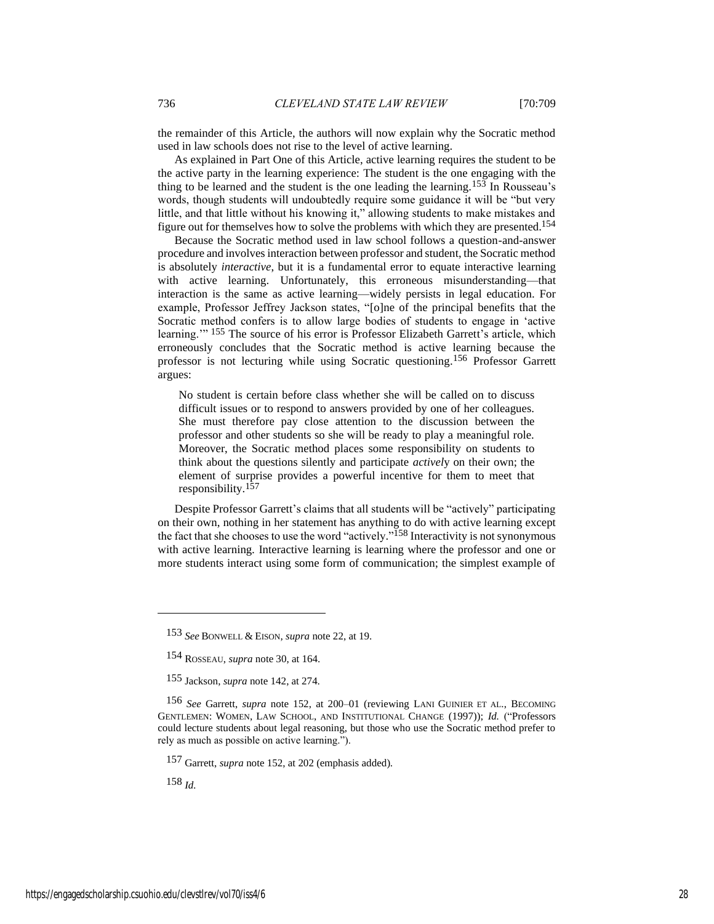the remainder of this Article, the authors will now explain why the Socratic method used in law schools does not rise to the level of active learning.

As explained in Part One of this Article, active learning requires the student to be the active party in the learning experience: The student is the one engaging with the thing to be learned and the student is the one leading the learning.<sup>153</sup> In Rousseau's words, though students will undoubtedly require some guidance it will be "but very little, and that little without his knowing it," allowing students to make mistakes and figure out for themselves how to solve the problems with which they are presented.154

Because the Socratic method used in law school follows a question-and-answer procedure and involves interaction between professor and student, the Socratic method is absolutely *interactive*, but it is a fundamental error to equate interactive learning with active learning. Unfortunately, this erroneous misunderstanding—that interaction is the same as active learning—widely persists in legal education. For example, Professor Jeffrey Jackson states, "[o]ne of the principal benefits that the Socratic method confers is to allow large bodies of students to engage in 'active learning." <sup>155</sup> The source of his error is Professor Elizabeth Garrett's article, which erroneously concludes that the Socratic method is active learning because the professor is not lecturing while using Socratic questioning.156 Professor Garrett argues:

No student is certain before class whether she will be called on to discuss difficult issues or to respond to answers provided by one of her colleagues. She must therefore pay close attention to the discussion between the professor and other students so she will be ready to play a meaningful role. Moreover, the Socratic method places some responsibility on students to think about the questions silently and participate *activel*y on their own; the element of surprise provides a powerful incentive for them to meet that responsibility.157

Despite Professor Garrett's claims that all students will be "actively" participating on their own, nothing in her statement has anything to do with active learning except the fact that she chooses to use the word "actively."<sup>158</sup> Interactivity is not synonymous with active learning*.* Interactive learning is learning where the professor and one or more students interact using some form of communication; the simplest example of

157 Garrett, *supra* note 152, at 202 (emphasis added).

<sup>153</sup> *See* BONWELL & EISON, *supra* note 22, at 19.

<sup>154</sup> ROSSEAU, *supra* note 30, at 164.

<sup>155</sup> Jackson, *supra* note 142, at 274.

<sup>156</sup> *See* Garrett, *supra* note 152, at 200–01 (reviewing LANI GUINIER ET AL., BECOMING GENTLEMEN: WOMEN, LAW SCHOOL, AND INSTITUTIONAL CHANGE (1997)); *Id.* ("Professors could lecture students about legal reasoning, but those who use the Socratic method prefer to rely as much as possible on active learning.").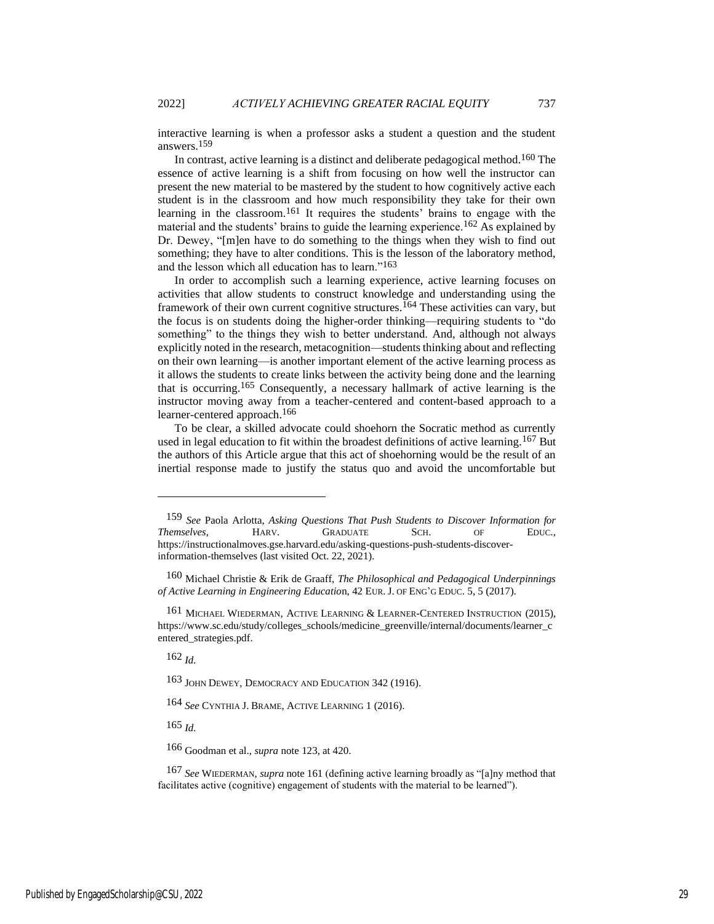interactive learning is when a professor asks a student a question and the student answers.159

In contrast, active learning is a distinct and deliberate pedagogical method.<sup>160</sup> The essence of active learning is a shift from focusing on how well the instructor can present the new material to be mastered by the student to how cognitively active each student is in the classroom and how much responsibility they take for their own learning in the classroom.<sup>161</sup> It requires the students' brains to engage with the material and the students' brains to guide the learning experience.162 As explained by Dr. Dewey, "[m]en have to do something to the things when they wish to find out something; they have to alter conditions. This is the lesson of the laboratory method, and the lesson which all education has to learn."163

In order to accomplish such a learning experience, active learning focuses on activities that allow students to construct knowledge and understanding using the framework of their own current cognitive structures.<sup>164</sup> These activities can vary, but the focus is on students doing the higher-order thinking—requiring students to "do something" to the things they wish to better understand. And, although not always explicitly noted in the research, metacognition—students thinking about and reflecting on their own learning—is another important element of the active learning process as it allows the students to create links between the activity being done and the learning that is occurring.165 Consequently, a necessary hallmark of active learning is the instructor moving away from a teacher-centered and content-based approach to a learner-centered approach.<sup>166</sup>

To be clear, a skilled advocate could shoehorn the Socratic method as currently used in legal education to fit within the broadest definitions of active learning.<sup>167</sup> But the authors of this Article argue that this act of shoehorning would be the result of an inertial response made to justify the status quo and avoid the uncomfortable but

162 *Id.*

163 JOHN DEWEY, DEMOCRACY AND EDUCATION 342 (1916).

164 *See* CYNTHIA J. BRAME, ACTIVE LEARNING 1 (2016).

165 *Id.*

166 Goodman et al., *supra* note 123, at 420.

167 *See* WIEDERMAN, *supra* note 161 (defining active learning broadly as "[a]ny method that facilitates active (cognitive) engagement of students with the material to be learned").

<sup>159</sup> *See* Paola Arlotta, *Asking Questions That Push Students to Discover Information for Themselves*, HARV. GRADUATE SCH. OF EDUC., https://instructionalmoves.gse.harvard.edu/asking-questions-push-students-discoverinformation-themselves (last visited Oct. 22, 2021).

<sup>160</sup> Michael Christie & Erik de Graaff, *The Philosophical and Pedagogical Underpinnings of Active Learning in Engineering Educatio*n, 42 EUR. J. OF ENG'G EDUC. 5, 5 (2017).

<sup>161</sup> MICHAEL WIEDERMAN, ACTIVE LEARNING & LEARNER-CENTERED INSTRUCTION (2015), https://www.sc.edu/study/colleges\_schools/medicine\_greenville/internal/documents/learner\_c entered\_strategies.pdf.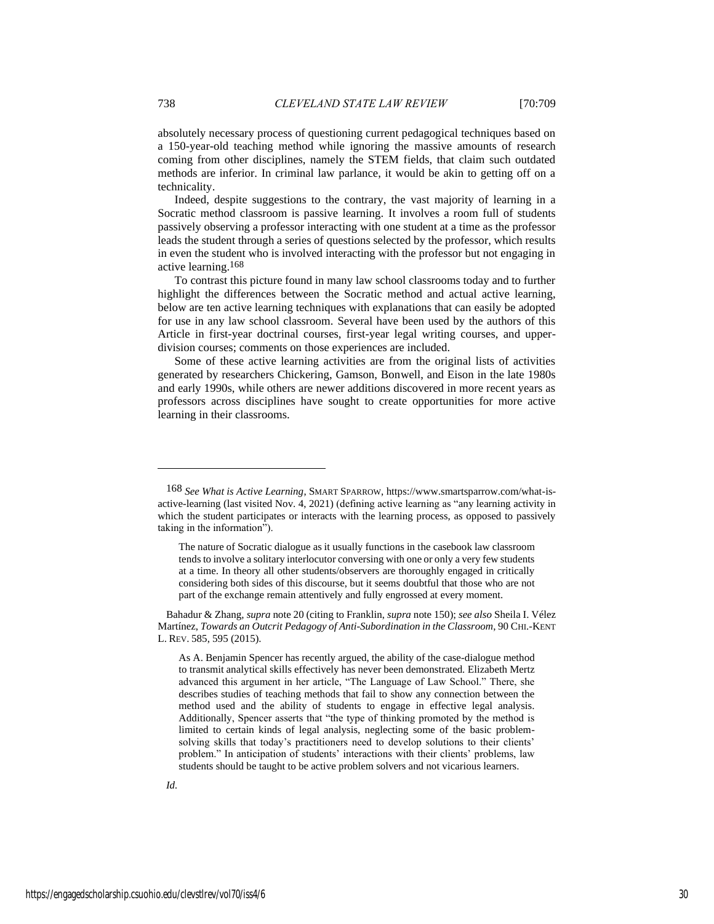absolutely necessary process of questioning current pedagogical techniques based on a 150-year-old teaching method while ignoring the massive amounts of research coming from other disciplines, namely the STEM fields, that claim such outdated methods are inferior. In criminal law parlance, it would be akin to getting off on a technicality.

Indeed, despite suggestions to the contrary, the vast majority of learning in a Socratic method classroom is passive learning. It involves a room full of students passively observing a professor interacting with one student at a time as the professor leads the student through a series of questions selected by the professor, which results in even the student who is involved interacting with the professor but not engaging in active learning.168

To contrast this picture found in many law school classrooms today and to further highlight the differences between the Socratic method and actual active learning, below are ten active learning techniques with explanations that can easily be adopted for use in any law school classroom. Several have been used by the authors of this Article in first-year doctrinal courses, first-year legal writing courses, and upperdivision courses; comments on those experiences are included.

Some of these active learning activities are from the original lists of activities generated by researchers Chickering, Gamson, Bonwell, and Eison in the late 1980s and early 1990s, while others are newer additions discovered in more recent years as professors across disciplines have sought to create opportunities for more active learning in their classrooms.

<sup>168</sup> *See What is Active Learning*, SMART SPARROW, https://www.smartsparrow.com/what-isactive-learning (last visited Nov. 4, 2021) (defining active learning as "any learning activity in which the student participates or interacts with the learning process, as opposed to passively taking in the information").

The nature of Socratic dialogue as it usually functions in the casebook law classroom tends to involve a solitary interlocutor conversing with one or only a very few students at a time. In theory all other students/observers are thoroughly engaged in critically considering both sides of this discourse, but it seems doubtful that those who are not part of the exchange remain attentively and fully engrossed at every moment.

Bahadur & Zhang, *supra* note 20 (citing to Franklin, *supra* note 150); *see also* Sheila I. Vélez Martínez, *Towards an Outcrit Pedagogy of Anti-Subordination in the Classroom*, 90 CHI.-KENT L. REV. 585, 595 (2015).

As A. Benjamin Spencer has recently argued, the ability of the case-dialogue method to transmit analytical skills effectively has never been demonstrated. Elizabeth Mertz advanced this argument in her article, "The Language of Law School." There, she describes studies of teaching methods that fail to show any connection between the method used and the ability of students to engage in effective legal analysis. Additionally, Spencer asserts that "the type of thinking promoted by the method is limited to certain kinds of legal analysis, neglecting some of the basic problemsolving skills that today's practitioners need to develop solutions to their clients' problem." In anticipation of students' interactions with their clients' problems, law students should be taught to be active problem solvers and not vicarious learners.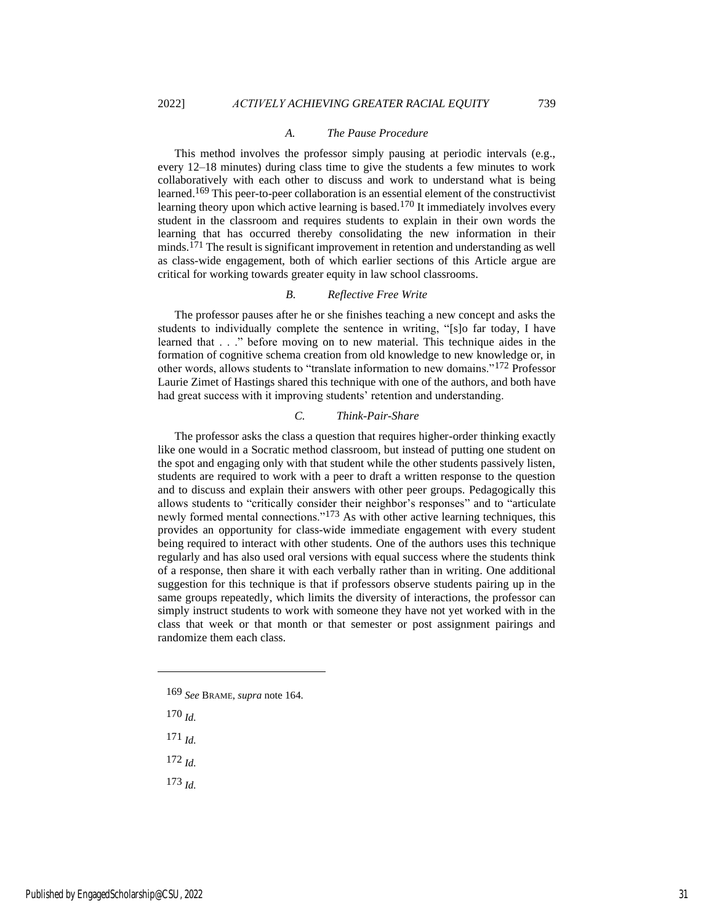#### *A. The Pause Procedure*

This method involves the professor simply pausing at periodic intervals (e.g., every 12–18 minutes) during class time to give the students a few minutes to work collaboratively with each other to discuss and work to understand what is being learned.169 This peer-to-peer collaboration is an essential element of the constructivist learning theory upon which active learning is based.<sup>170</sup> It immediately involves every student in the classroom and requires students to explain in their own words the learning that has occurred thereby consolidating the new information in their minds.171 The result is significant improvement in retention and understanding as well as class-wide engagement, both of which earlier sections of this Article argue are critical for working towards greater equity in law school classrooms.

#### *B. Reflective Free Write*

The professor pauses after he or she finishes teaching a new concept and asks the students to individually complete the sentence in writing, "[s]o far today, I have learned that . . ." before moving on to new material. This technique aides in the formation of cognitive schema creation from old knowledge to new knowledge or, in other words, allows students to "translate information to new domains."172 Professor Laurie Zimet of Hastings shared this technique with one of the authors, and both have had great success with it improving students' retention and understanding.

## *C. Think-Pair-Share*

The professor asks the class a question that requires higher-order thinking exactly like one would in a Socratic method classroom, but instead of putting one student on the spot and engaging only with that student while the other students passively listen, students are required to work with a peer to draft a written response to the question and to discuss and explain their answers with other peer groups. Pedagogically this allows students to "critically consider their neighbor's responses" and to "articulate newly formed mental connections."173 As with other active learning techniques, this provides an opportunity for class-wide immediate engagement with every student being required to interact with other students. One of the authors uses this technique regularly and has also used oral versions with equal success where the students think of a response, then share it with each verbally rather than in writing. One additional suggestion for this technique is that if professors observe students pairing up in the same groups repeatedly, which limits the diversity of interactions, the professor can simply instruct students to work with someone they have not yet worked with in the class that week or that month or that semester or post assignment pairings and randomize them each class.

- 169 *See* BRAME, *supra* note 164.
- 170 *Id.*
- 171 *Id.*
- 172 *Id.*
- 173 *Id.*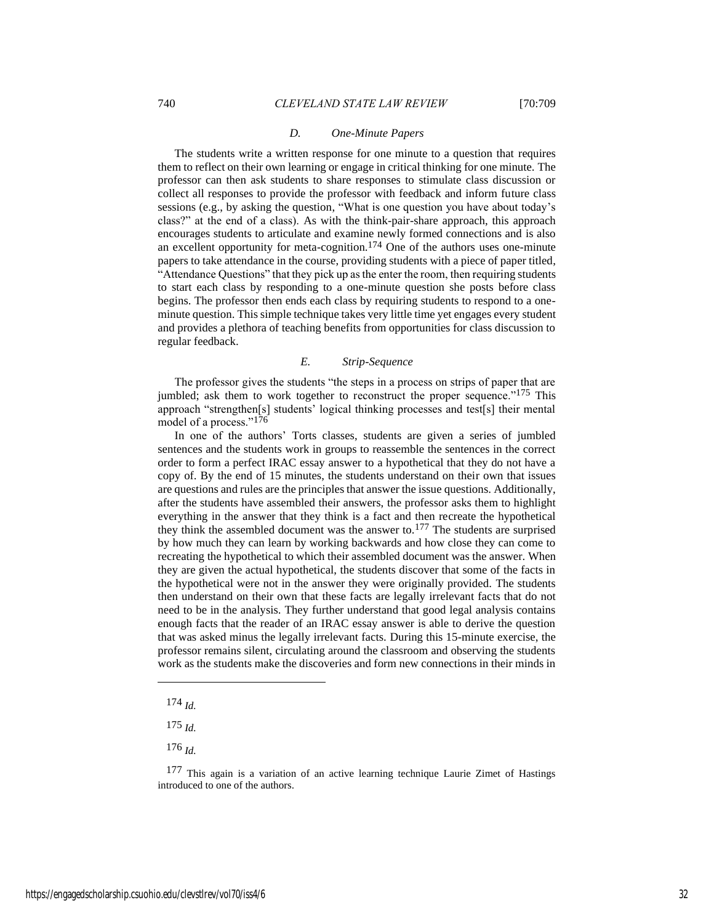#### *D. One-Minute Papers*

The students write a written response for one minute to a question that requires them to reflect on their own learning or engage in critical thinking for one minute. The professor can then ask students to share responses to stimulate class discussion or collect all responses to provide the professor with feedback and inform future class sessions (e.g., by asking the question, "What is one question you have about today's class?" at the end of a class). As with the think-pair-share approach, this approach encourages students to articulate and examine newly formed connections and is also an excellent opportunity for meta-cognition.<sup>174</sup> One of the authors uses one-minute papers to take attendance in the course, providing students with a piece of paper titled, "Attendance Questions" that they pick up as the enter the room, then requiring students to start each class by responding to a one-minute question she posts before class begins. The professor then ends each class by requiring students to respond to a oneminute question. This simple technique takes very little time yet engages every student and provides a plethora of teaching benefits from opportunities for class discussion to regular feedback.

#### *E. Strip-Sequence*

The professor gives the students "the steps in a process on strips of paper that are jumbled; ask them to work together to reconstruct the proper sequence."<sup>175</sup> This approach "strengthen[s] students' logical thinking processes and test[s] their mental model of a process."176

In one of the authors' Torts classes, students are given a series of jumbled sentences and the students work in groups to reassemble the sentences in the correct order to form a perfect IRAC essay answer to a hypothetical that they do not have a copy of. By the end of 15 minutes, the students understand on their own that issues are questions and rules are the principles that answer the issue questions. Additionally, after the students have assembled their answers, the professor asks them to highlight everything in the answer that they think is a fact and then recreate the hypothetical they think the assembled document was the answer to.177 The students are surprised by how much they can learn by working backwards and how close they can come to recreating the hypothetical to which their assembled document was the answer. When they are given the actual hypothetical, the students discover that some of the facts in the hypothetical were not in the answer they were originally provided. The students then understand on their own that these facts are legally irrelevant facts that do not need to be in the analysis. They further understand that good legal analysis contains enough facts that the reader of an IRAC essay answer is able to derive the question that was asked minus the legally irrelevant facts. During this 15-minute exercise, the professor remains silent, circulating around the classroom and observing the students work as the students make the discoveries and form new connections in their minds in

- 174 *Id.*
- 175 *Id.*
- 176 *Id.*

<sup>&</sup>lt;sup>177</sup> This again is a variation of an active learning technique Laurie Zimet of Hastings introduced to one of the authors.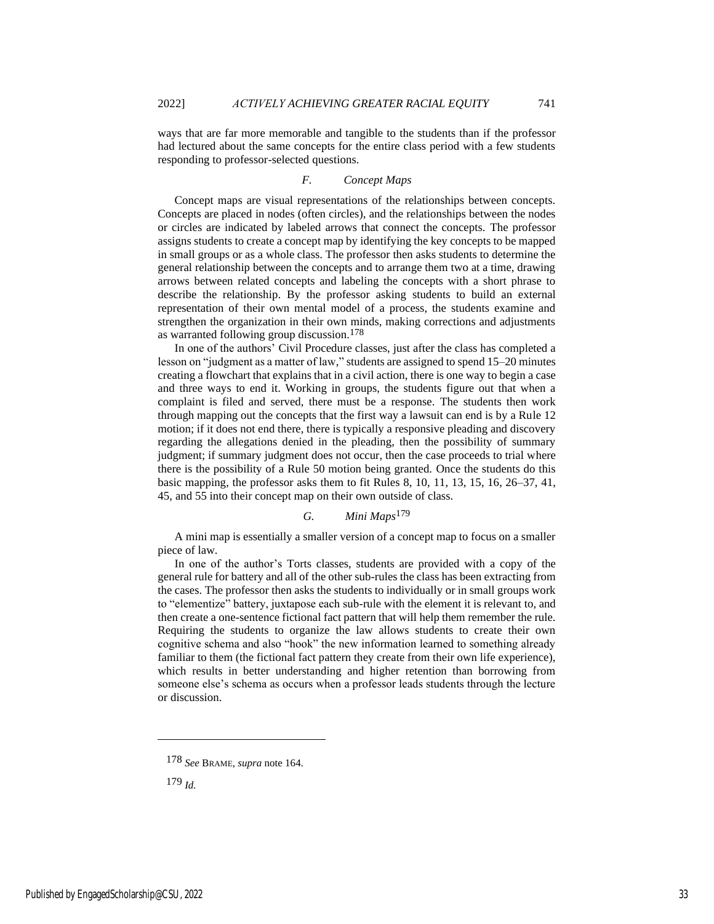ways that are far more memorable and tangible to the students than if the professor had lectured about the same concepts for the entire class period with a few students responding to professor-selected questions.

## *F. Concept Maps*

Concept maps are visual representations of the relationships between concepts. Concepts are placed in nodes (often circles), and the relationships between the nodes or circles are indicated by labeled arrows that connect the concepts. The professor assigns students to create a concept map by identifying the key concepts to be mapped in small groups or as a whole class. The professor then asks students to determine the general relationship between the concepts and to arrange them two at a time, drawing arrows between related concepts and labeling the concepts with a short phrase to describe the relationship. By the professor asking students to build an external representation of their own mental model of a process, the students examine and strengthen the organization in their own minds, making corrections and adjustments as warranted following group discussion.178

In one of the authors' Civil Procedure classes, just after the class has completed a lesson on "judgment as a matter of law," students are assigned to spend 15–20 minutes creating a flowchart that explains that in a civil action, there is one way to begin a case and three ways to end it. Working in groups, the students figure out that when a complaint is filed and served, there must be a response. The students then work through mapping out the concepts that the first way a lawsuit can end is by a Rule 12 motion; if it does not end there, there is typically a responsive pleading and discovery regarding the allegations denied in the pleading, then the possibility of summary judgment; if summary judgment does not occur, then the case proceeds to trial where there is the possibility of a Rule 50 motion being granted. Once the students do this basic mapping, the professor asks them to fit Rules 8, 10, 11, 13, 15, 16, 26–37, 41, 45, and 55 into their concept map on their own outside of class.

## *G. Mini Maps*179

A mini map is essentially a smaller version of a concept map to focus on a smaller piece of law.

In one of the author's Torts classes, students are provided with a copy of the general rule for battery and all of the other sub-rules the class has been extracting from the cases. The professor then asks the students to individually or in small groups work to "elementize" battery, juxtapose each sub-rule with the element it is relevant to, and then create a one-sentence fictional fact pattern that will help them remember the rule. Requiring the students to organize the law allows students to create their own cognitive schema and also "hook" the new information learned to something already familiar to them (the fictional fact pattern they create from their own life experience), which results in better understanding and higher retention than borrowing from someone else's schema as occurs when a professor leads students through the lecture or discussion.

<sup>178</sup> *See* BRAME, *supra* note 164.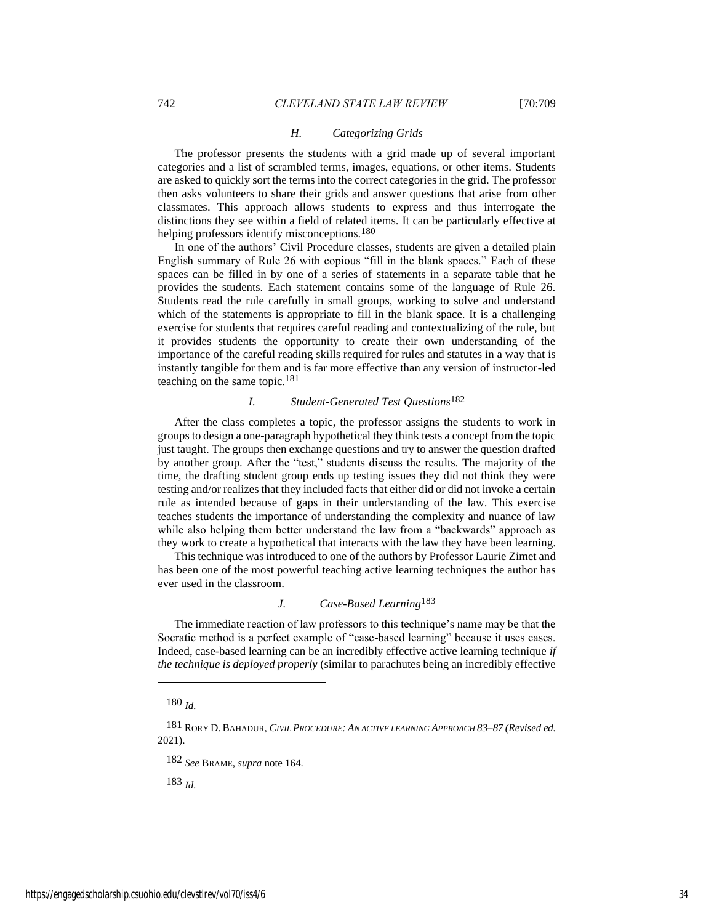#### *H. Categorizing Grids*

The professor presents the students with a grid made up of several important categories and a list of scrambled terms, images, equations, or other items. Students are asked to quickly sort the terms into the correct categories in the grid. The professor then asks volunteers to share their grids and answer questions that arise from other classmates. This approach allows students to express and thus interrogate the distinctions they see within a field of related items. It can be particularly effective at helping professors identify misconceptions.<sup>180</sup>

In one of the authors' Civil Procedure classes, students are given a detailed plain English summary of Rule 26 with copious "fill in the blank spaces." Each of these spaces can be filled in by one of a series of statements in a separate table that he provides the students. Each statement contains some of the language of Rule 26. Students read the rule carefully in small groups, working to solve and understand which of the statements is appropriate to fill in the blank space. It is a challenging exercise for students that requires careful reading and contextualizing of the rule, but it provides students the opportunity to create their own understanding of the importance of the careful reading skills required for rules and statutes in a way that is instantly tangible for them and is far more effective than any version of instructor-led teaching on the same topic.181

#### *I. Student-Generated Test Questions*182

After the class completes a topic, the professor assigns the students to work in groups to design a one-paragraph hypothetical they think tests a concept from the topic just taught. The groups then exchange questions and try to answer the question drafted by another group. After the "test," students discuss the results. The majority of the time, the drafting student group ends up testing issues they did not think they were testing and/or realizes that they included facts that either did or did not invoke a certain rule as intended because of gaps in their understanding of the law. This exercise teaches students the importance of understanding the complexity and nuance of law while also helping them better understand the law from a "backwards" approach as they work to create a hypothetical that interacts with the law they have been learning.

This technique was introduced to one of the authors by Professor Laurie Zimet and has been one of the most powerful teaching active learning techniques the author has ever used in the classroom.

## *J. Case-Based Learning*183

The immediate reaction of law professors to this technique's name may be that the Socratic method is a perfect example of "case-based learning" because it uses cases. Indeed, case-based learning can be an incredibly effective active learning technique *if the technique is deployed properly* (similar to parachutes being an incredibly effective

180 *Id.*

181 RORY D. BAHADUR, *CIVIL PROCEDURE: AN ACTIVE LEARNING APPROACH 83–87 (Revised ed.* 2021).

182 *See* BRAME, *supra* note 164.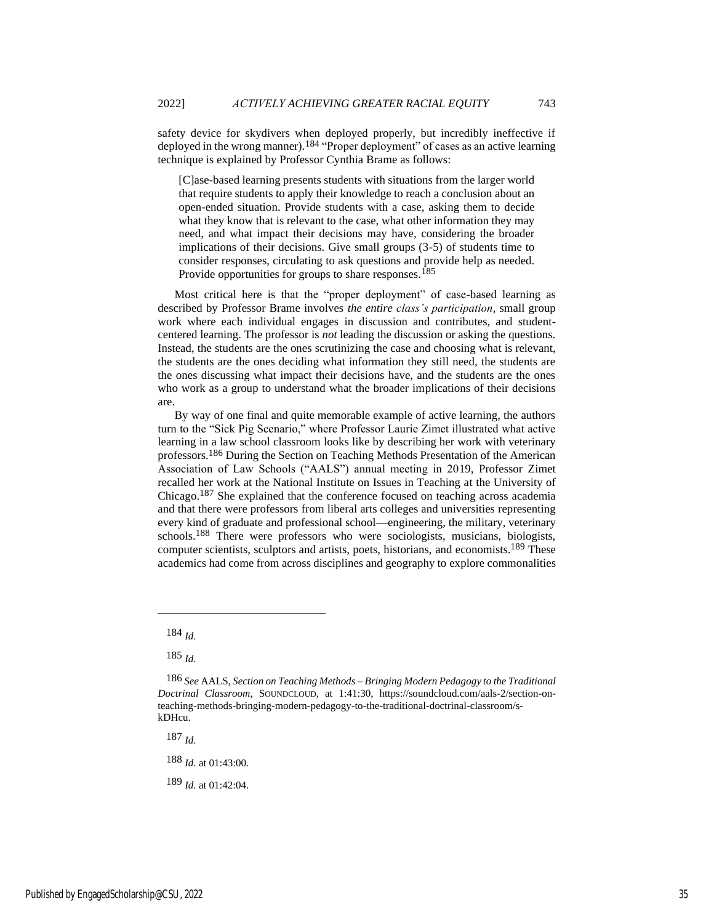safety device for skydivers when deployed properly, but incredibly ineffective if deployed in the wrong manner).184 "Proper deployment" of cases as an active learning technique is explained by Professor Cynthia Brame as follows:

[C]ase-based learning presents students with situations from the larger world that require students to apply their knowledge to reach a conclusion about an open-ended situation. Provide students with a case, asking them to decide what they know that is relevant to the case, what other information they may need, and what impact their decisions may have, considering the broader implications of their decisions. Give small groups (3-5) of students time to consider responses, circulating to ask questions and provide help as needed. Provide opportunities for groups to share responses.<sup>185</sup>

Most critical here is that the "proper deployment" of case-based learning as described by Professor Brame involves *the entire class's participation*, small group work where each individual engages in discussion and contributes, and studentcentered learning. The professor is *not* leading the discussion or asking the questions. Instead, the students are the ones scrutinizing the case and choosing what is relevant, the students are the ones deciding what information they still need, the students are the ones discussing what impact their decisions have, and the students are the ones who work as a group to understand what the broader implications of their decisions are.

By way of one final and quite memorable example of active learning, the authors turn to the "Sick Pig Scenario," where Professor Laurie Zimet illustrated what active learning in a law school classroom looks like by describing her work with veterinary professors.186 During the Section on Teaching Methods Presentation of the American Association of Law Schools ("AALS") annual meeting in 2019, Professor Zimet recalled her work at the National Institute on Issues in Teaching at the University of Chicago.187 She explained that the conference focused on teaching across academia and that there were professors from liberal arts colleges and universities representing every kind of graduate and professional school—engineering, the military, veterinary schools. 188 There were professors who were sociologists, musicians, biologists, computer scientists, sculptors and artists, poets, historians, and economists.<sup>189</sup> These academics had come from across disciplines and geography to explore commonalities

187 *Id.*

188 *Id.* at 01:43:00.

189 *Id.* at 01:42:04.

<sup>184</sup> *Id.*

<sup>185</sup> *Id.*

<sup>186</sup> *See* AALS, *Section on Teaching Methods – Bringing Modern Pedagogy to the Traditional Doctrinal Classroom*, SOUNDCLOUD, at 1:41:30, https://soundcloud.com/aals-2/section-onteaching-methods-bringing-modern-pedagogy-to-the-traditional-doctrinal-classroom/skDHcu.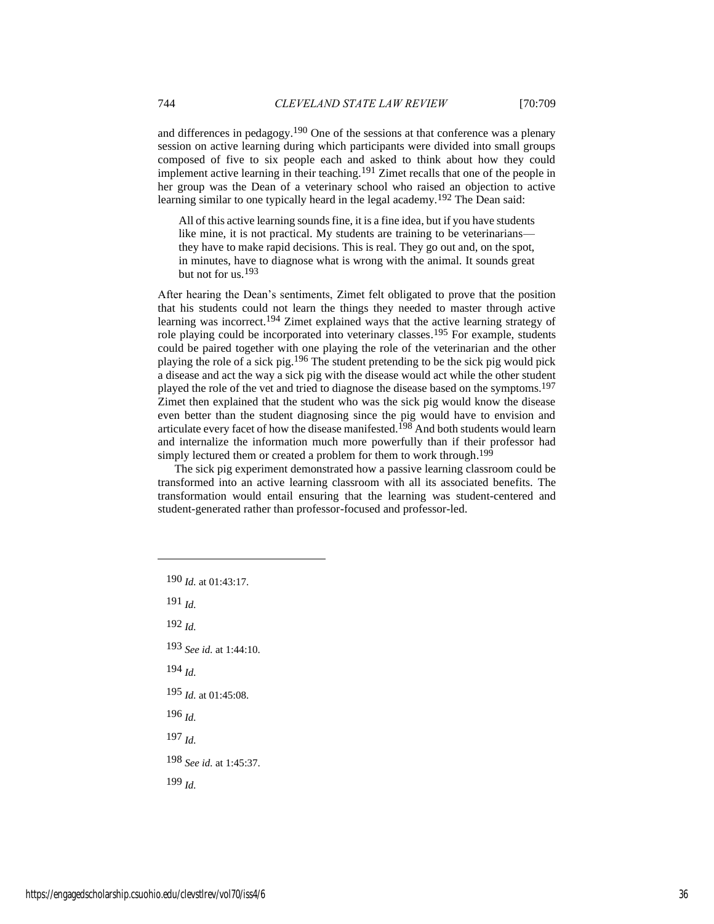and differences in pedagogy.<sup>190</sup> One of the sessions at that conference was a plenary session on active learning during which participants were divided into small groups composed of five to six people each and asked to think about how they could implement active learning in their teaching.191 Zimet recalls that one of the people in her group was the Dean of a veterinary school who raised an objection to active learning similar to one typically heard in the legal academy.<sup>192</sup> The Dean said:

All of this active learning sounds fine, it is a fine idea, but if you have students like mine, it is not practical. My students are training to be veterinarians they have to make rapid decisions. This is real. They go out and, on the spot, in minutes, have to diagnose what is wrong with the animal. It sounds great but not for us.<sup>193</sup>

After hearing the Dean's sentiments, Zimet felt obligated to prove that the position that his students could not learn the things they needed to master through active learning was incorrect.194 Zimet explained ways that the active learning strategy of role playing could be incorporated into veterinary classes. 195 For example, students could be paired together with one playing the role of the veterinarian and the other playing the role of a sick pig.196 The student pretending to be the sick pig would pick a disease and act the way a sick pig with the disease would act while the other student played the role of the vet and tried to diagnose the disease based on the symptoms.197 Zimet then explained that the student who was the sick pig would know the disease even better than the student diagnosing since the pig would have to envision and articulate every facet of how the disease manifested.<sup>198</sup> And both students would learn and internalize the information much more powerfully than if their professor had simply lectured them or created a problem for them to work through.<sup>199</sup>

The sick pig experiment demonstrated how a passive learning classroom could be transformed into an active learning classroom with all its associated benefits. The transformation would entail ensuring that the learning was student-centered and student-generated rather than professor-focused and professor-led.

190 *Id.* at 01:43:17. 191 *Id.* 192 *Id.* 193 *See id.* at 1:44:10. 194 *Id.* 195 *Id.* at 01:45:08. 196 *Id.* 197 *Id.*

198 *See id.* at 1:45:37.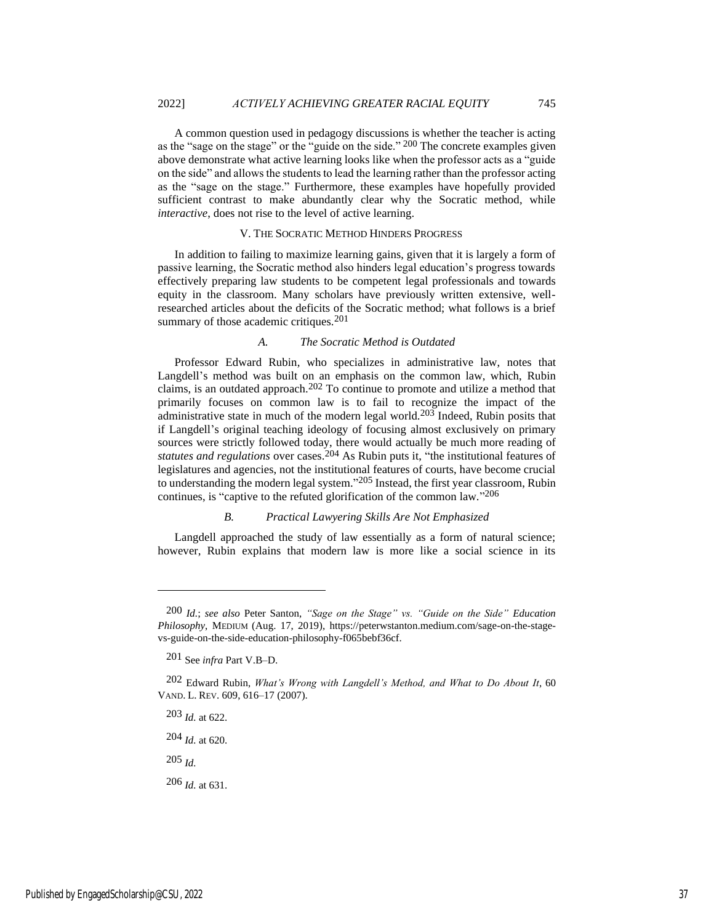A common question used in pedagogy discussions is whether the teacher is acting as the "sage on the stage" or the "guide on the side." 200 The concrete examples given above demonstrate what active learning looks like when the professor acts as a "guide on the side" and allows the students to lead the learning rather than the professor acting as the "sage on the stage." Furthermore, these examples have hopefully provided sufficient contrast to make abundantly clear why the Socratic method, while *interactive*, does not rise to the level of active learning.

#### V. THE SOCRATIC METHOD HINDERS PROGRESS

In addition to failing to maximize learning gains, given that it is largely a form of passive learning, the Socratic method also hinders legal education's progress towards effectively preparing law students to be competent legal professionals and towards equity in the classroom. Many scholars have previously written extensive, wellresearched articles about the deficits of the Socratic method; what follows is a brief summary of those academic critiques.<sup>201</sup>

#### *A. The Socratic Method is Outdated*

Professor Edward Rubin, who specializes in administrative law, notes that Langdell's method was built on an emphasis on the common law, which, Rubin claims, is an outdated approach.202 To continue to promote and utilize a method that primarily focuses on common law is to fail to recognize the impact of the administrative state in much of the modern legal world.<sup>203</sup> Indeed, Rubin posits that if Langdell's original teaching ideology of focusing almost exclusively on primary sources were strictly followed today, there would actually be much more reading of *statutes and regulations* over cases.204 As Rubin puts it, "the institutional features of legislatures and agencies, not the institutional features of courts, have become crucial to understanding the modern legal system." 205 Instead, the first year classroom, Rubin continues, is "captive to the refuted glorification of the common law."<sup>206</sup>

#### *B. Practical Lawyering Skills Are Not Emphasized*

Langdell approached the study of law essentially as a form of natural science; however, Rubin explains that modern law is more like a social science in its

204 *Id.* at 620.

205 *Id.*

206 *Id.* at 631.

<sup>200</sup> *Id.*; *see also* Peter Santon, *"Sage on the Stage" vs. "Guide on the Side" Education Philosophy*, MEDIUM (Aug. 17, 2019), https://peterwstanton.medium.com/sage-on-the-stagevs-guide-on-the-side-education-philosophy-f065bebf36cf.

<sup>201</sup> See *infra* Part V.B–D.

<sup>202</sup> Edward Rubin, *What's Wrong with Langdell's Method, and What to Do About It*, 60 VAND. L. REV. 609, 616–17 (2007).

<sup>203</sup> *Id.* at 622.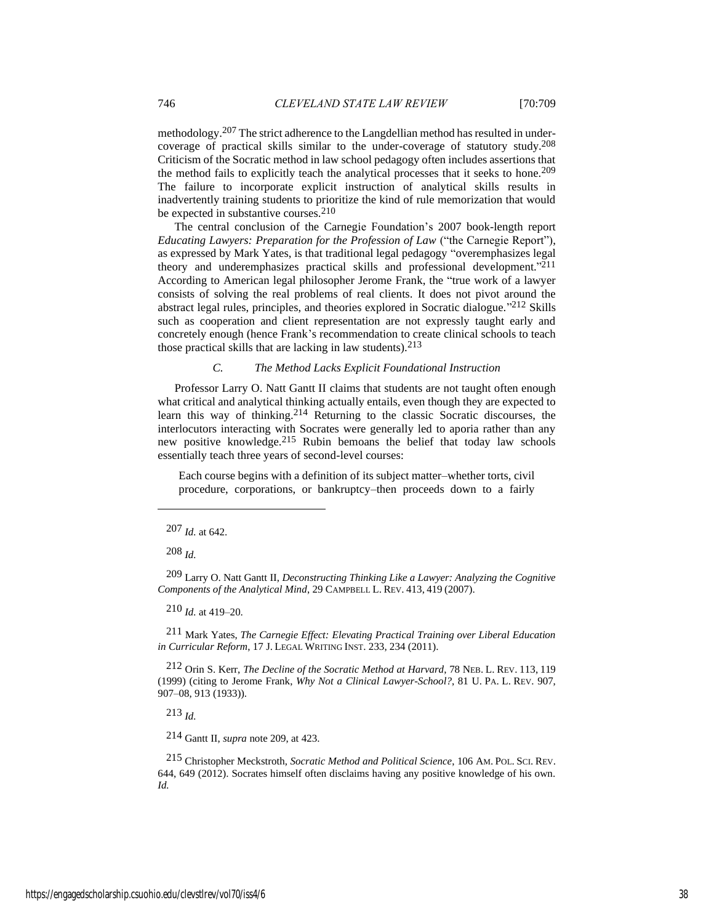methodology.207 The strict adherence to the Langdellian method has resulted in undercoverage of practical skills similar to the under-coverage of statutory study.208 Criticism of the Socratic method in law school pedagogy often includes assertions that the method fails to explicitly teach the analytical processes that it seeks to hone.<sup>209</sup> The failure to incorporate explicit instruction of analytical skills results in inadvertently training students to prioritize the kind of rule memorization that would be expected in substantive courses.<sup>210</sup>

The central conclusion of the Carnegie Foundation's 2007 book-length report *Educating Lawyers: Preparation for the Profession of Law* ("the Carnegie Report"), as expressed by Mark Yates, is that traditional legal pedagogy "overemphasizes legal theory and underemphasizes practical skills and professional development."<sup>211</sup> According to American legal philosopher Jerome Frank, the "true work of a lawyer consists of solving the real problems of real clients. It does not pivot around the abstract legal rules, principles, and theories explored in Socratic dialogue." 212 Skills such as cooperation and client representation are not expressly taught early and concretely enough (hence Frank's recommendation to create clinical schools to teach those practical skills that are lacking in law students).213

## *C. The Method Lacks Explicit Foundational Instruction*

Professor Larry O. Natt Gantt II claims that students are not taught often enough what critical and analytical thinking actually entails, even though they are expected to learn this way of thinking.214 Returning to the classic Socratic discourses, the interlocutors interacting with Socrates were generally led to aporia rather than any new positive knowledge.215 Rubin bemoans the belief that today law schools essentially teach three years of second-level courses:

Each course begins with a definition of its subject matter–whether torts, civil procedure, corporations, or bankruptcy–then proceeds down to a fairly

208 *Id.*

209 Larry O. Natt Gantt II, *Deconstructing Thinking Like a Lawyer: Analyzing the Cognitive Components of the Analytical Mind*, 29 CAMPBELL L. REV. 413, 419 (2007).

210 *Id.* at 419–20.

211 Mark Yates, *The Carnegie Effect: Elevating Practical Training over Liberal Education in Curricular Reform*, 17 J. LEGAL WRITING INST. 233, 234 (2011).

212 Orin S. Kerr, *The Decline of the Socratic Method at Harvard*, 78 NEB. L. REV. 113, 119 (1999) (citing to Jerome Frank, *Why Not a Clinical Lawyer-School?*, 81 U. PA. L. REV. 907, 907–08, 913 (1933)).

213 *Id.*

214 Gantt II, *supra* note 209, at 423.

215 Christopher Meckstroth, *Socratic Method and Political Science*, 106 AM. POL. SCI. REV. 644, 649 (2012). Socrates himself often disclaims having any positive knowledge of his own. *Id.*

<sup>207</sup> *Id.* at 642.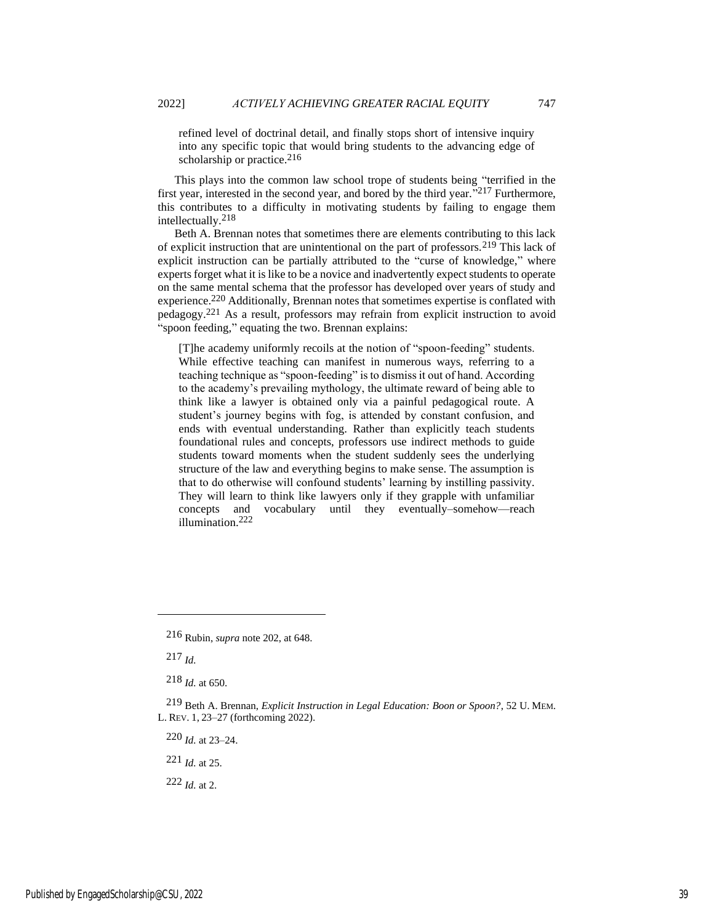refined level of doctrinal detail, and finally stops short of intensive inquiry into any specific topic that would bring students to the advancing edge of scholarship or practice. $216$ 

This plays into the common law school trope of students being "terrified in the first year, interested in the second year, and bored by the third year.<sup>"217</sup> Furthermore, this contributes to a difficulty in motivating students by failing to engage them intellectually.218

Beth A. Brennan notes that sometimes there are elements contributing to this lack of explicit instruction that are unintentional on the part of professors.219 This lack of explicit instruction can be partially attributed to the "curse of knowledge," where experts forget what it is like to be a novice and inadvertently expect students to operate on the same mental schema that the professor has developed over years of study and experience.220 Additionally, Brennan notes that sometimes expertise is conflated with pedagogy.221 As a result, professors may refrain from explicit instruction to avoid "spoon feeding," equating the two. Brennan explains:

[T]he academy uniformly recoils at the notion of "spoon-feeding" students. While effective teaching can manifest in numerous ways, referring to a teaching technique as "spoon-feeding" is to dismiss it out of hand. According to the academy's prevailing mythology, the ultimate reward of being able to think like a lawyer is obtained only via a painful pedagogical route. A student's journey begins with fog, is attended by constant confusion, and ends with eventual understanding. Rather than explicitly teach students foundational rules and concepts, professors use indirect methods to guide students toward moments when the student suddenly sees the underlying structure of the law and everything begins to make sense. The assumption is that to do otherwise will confound students' learning by instilling passivity. They will learn to think like lawyers only if they grapple with unfamiliar concepts and vocabulary until they eventually–somehow—reach illumination.222

217 *Id.*

220 *Id.* at 23–24.

221 *Id.* at 25.

222 *Id.* at 2.

<sup>216</sup> Rubin, *supra* note 202, at 648.

<sup>218</sup> *Id.* at 650.

<sup>219</sup> Beth A. Brennan, *Explicit Instruction in Legal Education: Boon or Spoon?*, 52 U. MEM. L. REV. 1, 23–27 (forthcoming 2022).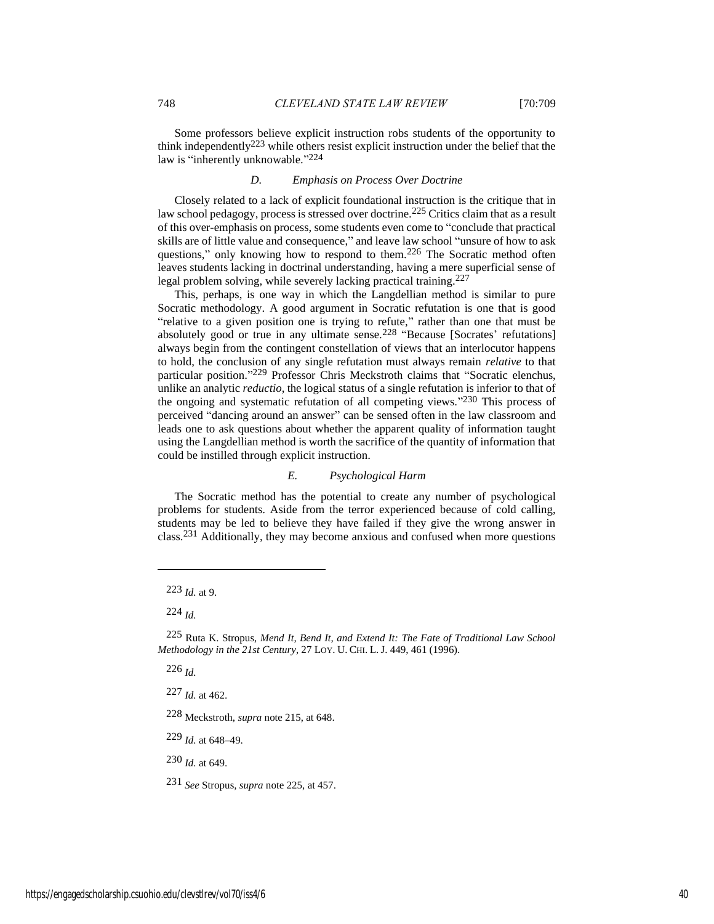Some professors believe explicit instruction robs students of the opportunity to think independently223 while others resist explicit instruction under the belief that the law is "inherently unknowable."<sup>224</sup>

## *D. Emphasis on Process Over Doctrine*

Closely related to a lack of explicit foundational instruction is the critique that in law school pedagogy, process is stressed over doctrine.225 Critics claim that as a result of this over-emphasis on process, some students even come to "conclude that practical skills are of little value and consequence," and leave law school "unsure of how to ask questions," only knowing how to respond to them.<sup>226</sup> The Socratic method often leaves students lacking in doctrinal understanding, having a mere superficial sense of legal problem solving, while severely lacking practical training.<sup>227</sup>

This, perhaps, is one way in which the Langdellian method is similar to pure Socratic methodology. A good argument in Socratic refutation is one that is good "relative to a given position one is trying to refute," rather than one that must be absolutely good or true in any ultimate sense.228 "Because [Socrates' refutations] always begin from the contingent constellation of views that an interlocutor happens to hold, the conclusion of any single refutation must always remain *relative* to that particular position."<sup>229</sup> Professor Chris Meckstroth claims that "Socratic elenchus, unlike an analytic *reductio*, the logical status of a single refutation is inferior to that of the ongoing and systematic refutation of all competing views." 230 This process of perceived "dancing around an answer" can be sensed often in the law classroom and leads one to ask questions about whether the apparent quality of information taught using the Langdellian method is worth the sacrifice of the quantity of information that could be instilled through explicit instruction.

## *E. Psychological Harm*

The Socratic method has the potential to create any number of psychological problems for students. Aside from the terror experienced because of cold calling, students may be led to believe they have failed if they give the wrong answer in class.231 Additionally, they may become anxious and confused when more questions

224 *Id.*

226 *Id.*

227 *Id.* at 462.

228 Meckstroth, *supra* note 215, at 648.

229 *Id.* at 648–49.

230 *Id.* at 649.

231 *See* Stropus, *supra* note 225, at 457.

<sup>223</sup> *Id.* at 9.

<sup>225</sup> Ruta K. Stropus, *Mend It, Bend It, and Extend It: The Fate of Traditional Law School Methodology in the 21st Century*, 27 LOY. U. CHI. L.J. 449, 461 (1996).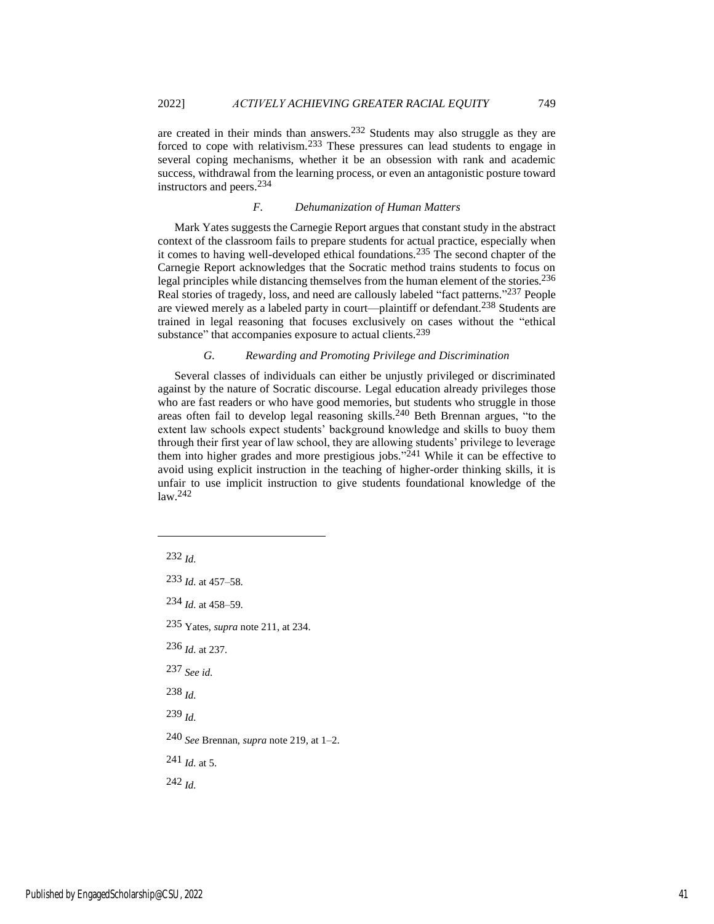are created in their minds than answers.232 Students may also struggle as they are forced to cope with relativism.233 These pressures can lead students to engage in several coping mechanisms, whether it be an obsession with rank and academic success, withdrawal from the learning process, or even an antagonistic posture toward instructors and peers.234

## *F. Dehumanization of Human Matters*

Mark Yates suggests the Carnegie Report argues that constant study in the abstract context of the classroom fails to prepare students for actual practice, especially when it comes to having well-developed ethical foundations.235 The second chapter of the Carnegie Report acknowledges that the Socratic method trains students to focus on legal principles while distancing themselves from the human element of the stories.236 Real stories of tragedy, loss, and need are callously labeled "fact patterns."<sup>237</sup> People are viewed merely as a labeled party in court—plaintiff or defendant.238 Students are trained in legal reasoning that focuses exclusively on cases without the "ethical substance" that accompanies exposure to actual clients.<sup>239</sup>

## *G. Rewarding and Promoting Privilege and Discrimination*

Several classes of individuals can either be unjustly privileged or discriminated against by the nature of Socratic discourse. Legal education already privileges those who are fast readers or who have good memories, but students who struggle in those areas often fail to develop legal reasoning skills. 240 Beth Brennan argues, "to the extent law schools expect students' background knowledge and skills to buoy them through their first year of law school, they are allowing students' privilege to leverage them into higher grades and more prestigious jobs."<sup>241</sup> While it can be effective to avoid using explicit instruction in the teaching of higher-order thinking skills, it is unfair to use implicit instruction to give students foundational knowledge of the  $law.<sup>242</sup>$ 

232 *Id.*

- 233 *Id.* at 457–58.
- 234 *Id.* at 458–59.
- 235 Yates, *supra* note 211, at 234.
- 236 *Id.* at 237.
- 237 *See id.*
- 238 *Id.*
- 239 *Id.*
- 240 *See* Brennan, *supra* note 219, at 1–2.
- 241 *Id.* at 5.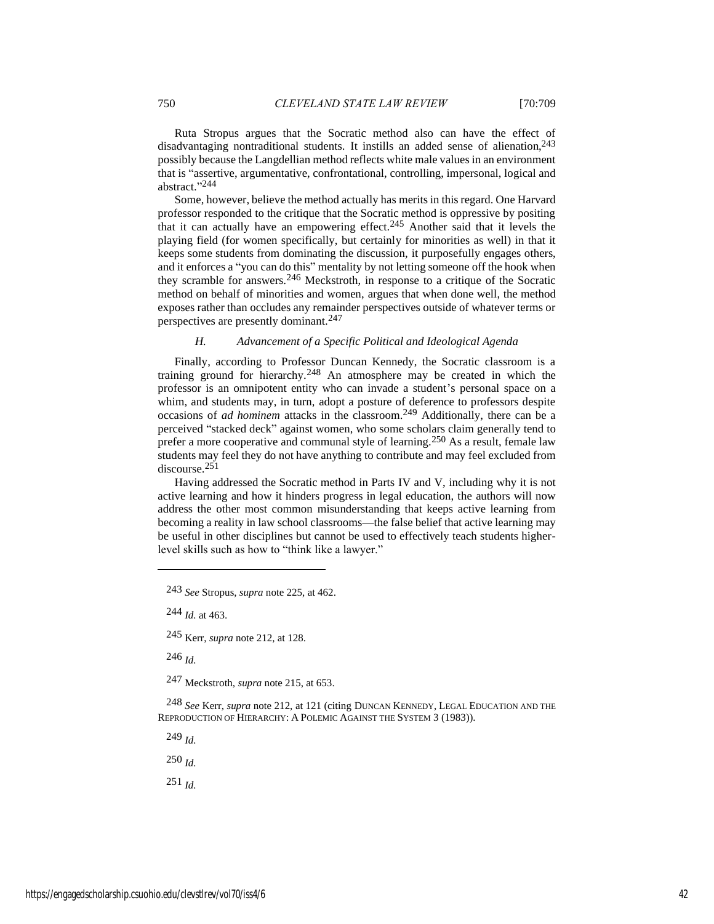Ruta Stropus argues that the Socratic method also can have the effect of disadvantaging nontraditional students. It instills an added sense of alienation, 243 possibly because the Langdellian method reflects white male values in an environment that is "assertive, argumentative, confrontational, controlling, impersonal, logical and abstract." 244

Some, however, believe the method actually has merits in this regard. One Harvard professor responded to the critique that the Socratic method is oppressive by positing that it can actually have an empowering effect.245 Another said that it levels the playing field (for women specifically, but certainly for minorities as well) in that it keeps some students from dominating the discussion, it purposefully engages others, and it enforces a "you can do this" mentality by not letting someone off the hook when they scramble for answers.246 Meckstroth, in response to a critique of the Socratic method on behalf of minorities and women, argues that when done well, the method exposes rather than occludes any remainder perspectives outside of whatever terms or perspectives are presently dominant.247

## *H. Advancement of a Specific Political and Ideological Agenda*

Finally, according to Professor Duncan Kennedy, the Socratic classroom is a training ground for hierarchy.248 An atmosphere may be created in which the professor is an omnipotent entity who can invade a student's personal space on a whim, and students may, in turn, adopt a posture of deference to professors despite occasions of *ad hominem* attacks in the classroom.249 Additionally, there can be a perceived "stacked deck" against women, who some scholars claim generally tend to prefer a more cooperative and communal style of learning.250 As a result, female law students may feel they do not have anything to contribute and may feel excluded from discourse.251

Having addressed the Socratic method in Parts IV and V, including why it is not active learning and how it hinders progress in legal education, the authors will now address the other most common misunderstanding that keeps active learning from becoming a reality in law school classrooms—the false belief that active learning may be useful in other disciplines but cannot be used to effectively teach students higherlevel skills such as how to "think like a lawyer."

243 *See* Stropus, *supra* note 225, at 462.

244 *Id.* at 463.

245 Kerr, *supra* note 212, at 128.

246 *Id.*

247 Meckstroth, *supra* note 215, at 653.

248 *See* Kerr, *supra* note 212, at 121 (citing DUNCAN KENNEDY, LEGAL EDUCATION AND THE REPRODUCTION OF HIERARCHY: A POLEMIC AGAINST THE SYSTEM 3 (1983)).

249 *Id.*

250 *Id.*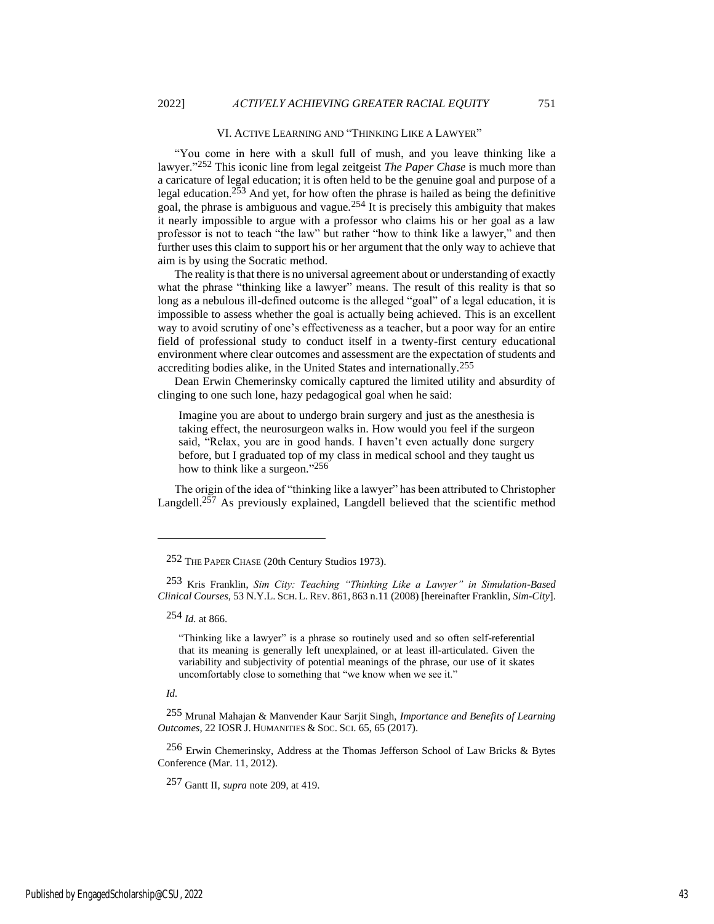#### VI. ACTIVE LEARNING AND "THINKING LIKE A LAWYER"

"You come in here with a skull full of mush, and you leave thinking like a lawyer."252 This iconic line from legal zeitgeist *The Paper Chase* is much more than a caricature of legal education; it is often held to be the genuine goal and purpose of a legal education.<sup>253</sup> And yet, for how often the phrase is hailed as being the definitive goal, the phrase is ambiguous and vague.254 It is precisely this ambiguity that makes it nearly impossible to argue with a professor who claims his or her goal as a law professor is not to teach "the law" but rather "how to think like a lawyer," and then further uses this claim to support his or her argument that the only way to achieve that aim is by using the Socratic method.

The reality is that there is no universal agreement about or understanding of exactly what the phrase "thinking like a lawyer" means. The result of this reality is that so long as a nebulous ill-defined outcome is the alleged "goal" of a legal education, it is impossible to assess whether the goal is actually being achieved. This is an excellent way to avoid scrutiny of one's effectiveness as a teacher, but a poor way for an entire field of professional study to conduct itself in a twenty-first century educational environment where clear outcomes and assessment are the expectation of students and accrediting bodies alike, in the United States and internationally.255

Dean Erwin Chemerinsky comically captured the limited utility and absurdity of clinging to one such lone, hazy pedagogical goal when he said:

Imagine you are about to undergo brain surgery and just as the anesthesia is taking effect, the neurosurgeon walks in. How would you feel if the surgeon said, "Relax, you are in good hands. I haven't even actually done surgery before, but I graduated top of my class in medical school and they taught us how to think like a surgeon."<sup>256</sup>

The origin of the idea of "thinking like a lawyer" has been attributed to Christopher Langdell.<sup>257</sup> As previously explained, Langdell believed that the scientific method

253 Kris Franklin, *Sim City: Teaching "Thinking Like a Lawyer" in Simulation-Based Clinical Courses*, 53 N.Y.L. SCH.L. REV. 861, 863 n.11 (2008) [hereinafter Franklin, *Sim-City*].

254 *Id.* at 866.

"Thinking like a lawyer" is a phrase so routinely used and so often self-referential that its meaning is generally left unexplained, or at least ill-articulated. Given the variability and subjectivity of potential meanings of the phrase, our use of it skates uncomfortably close to something that "we know when we see it."

*Id.*

256 Erwin Chemerinsky, Address at the Thomas Jefferson School of Law Bricks & Bytes Conference (Mar. 11, 2012).

257 Gantt II, *supra* note 209, at 419.

<sup>252</sup> THE PAPER CHASE (20th Century Studios 1973).

<sup>255</sup> Mrunal Mahajan & Manvender Kaur Sarjit Singh, *Importance and Benefits of Learning Outcomes*, 22 IOSR J. HUMANITIES & SOC. SCI. 65, 65 (2017).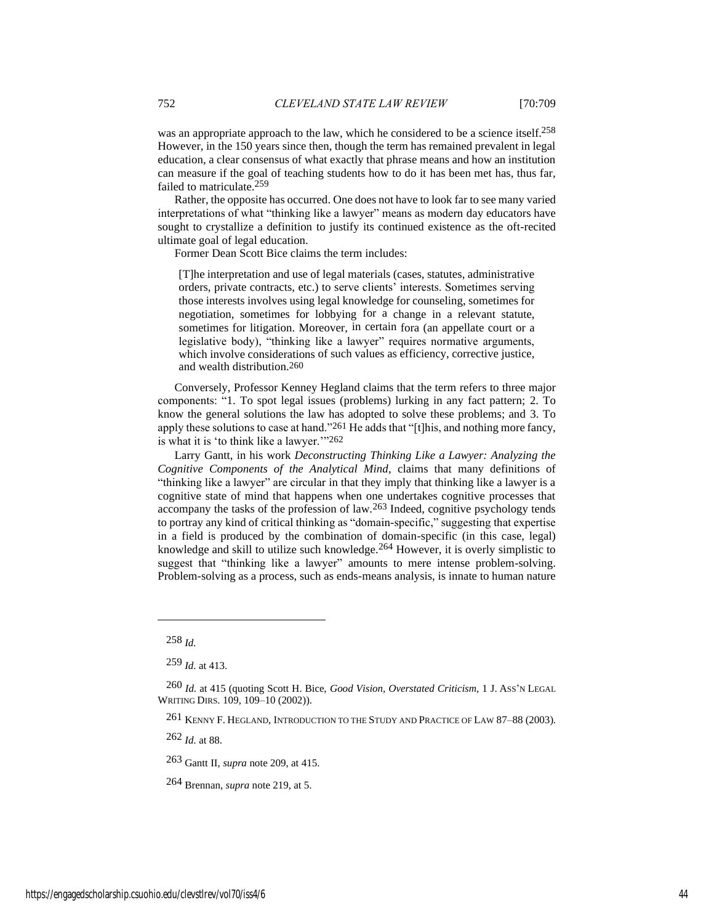was an appropriate approach to the law, which he considered to be a science itself.<sup>258</sup> However, in the 150 years since then, though the term has remained prevalent in legal education, a clear consensus of what exactly that phrase means and how an institution can measure if the goal of teaching students how to do it has been met has, thus far, failed to matriculate.259

Rather, the opposite has occurred. One does not have to look far to see many varied interpretations of what "thinking like a lawyer" means as modern day educators have sought to crystallize a definition to justify its continued existence as the oft-recited ultimate goal of legal education.

Former Dean Scott Bice claims the term includes:

[T]he interpretation and use of legal materials (cases, statutes, administrative orders, private contracts, etc.) to serve clients' interests. Sometimes serving those interests involves using legal knowledge for counseling, sometimes for negotiation, sometimes for lobbying for a change in a relevant statute, sometimes for litigation. Moreover, in certain fora (an appellate court or a legislative body), "thinking like a lawyer" requires normative arguments, which involve considerations of such values as efficiency, corrective justice, and wealth distribution.260

Conversely, Professor Kenney Hegland claims that the term refers to three major components: "1. To spot legal issues (problems) lurking in any fact pattern; 2. To know the general solutions the law has adopted to solve these problems; and 3. To apply these solutions to case at hand."261 He adds that "[t]his, and nothing more fancy, is what it is 'to think like a lawyer.'"262

Larry Gantt, in his work *Deconstructing Thinking Like a Lawyer: Analyzing the Cognitive Components of the Analytical Mind*, claims that many definitions of "thinking like a lawyer" are circular in that they imply that thinking like a lawyer is a cognitive state of mind that happens when one undertakes cognitive processes that accompany the tasks of the profession of law.263 Indeed, cognitive psychology tends to portray any kind of critical thinking as "domain-specific," suggesting that expertise in a field is produced by the combination of domain-specific (in this case, legal) knowledge and skill to utilize such knowledge.264 However, it is overly simplistic to suggest that "thinking like a lawyer" amounts to mere intense problem-solving. Problem-solving as a process, such as ends-means analysis, is innate to human nature

262 *Id.* at 88.

263 Gantt II, *supra* note 209, at 415.

264 Brennan, *supra* note 219, at 5.

<sup>258</sup> *Id.*

<sup>259</sup> *Id.* at 413.

<sup>260</sup> *Id.* at 415 (quoting Scott H. Bice, *Good Vision, Overstated Criticism*, 1 J. ASS'N LEGAL WRITING DIRS. 109, 109–10 (2002)).

<sup>261</sup> KENNY F. HEGLAND, INTRODUCTION TO THE STUDY AND PRACTICE OF LAW 87–88 (2003).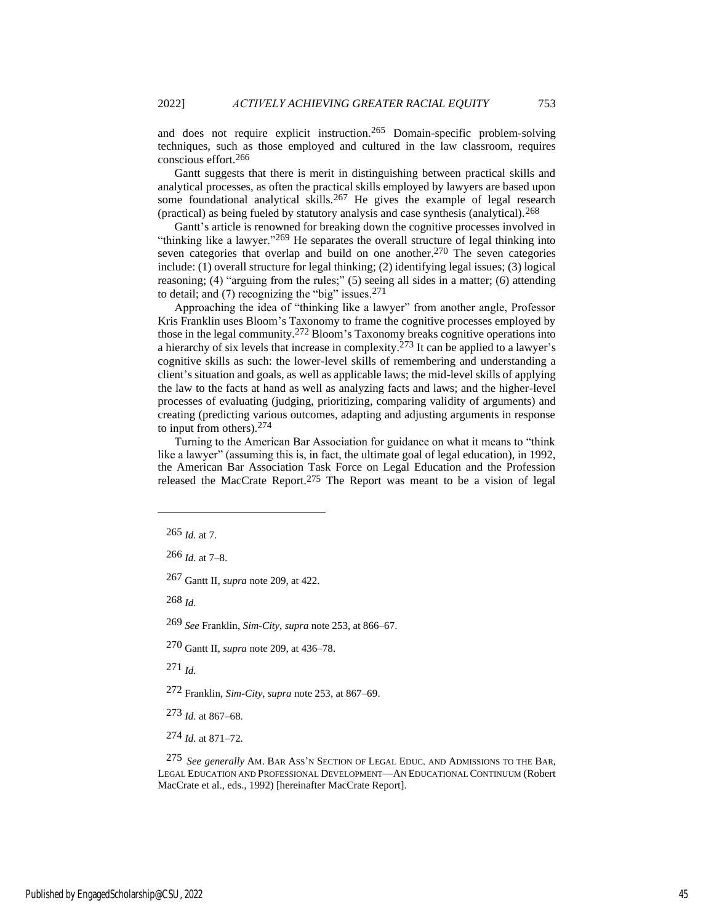and does not require explicit instruction.265 Domain-specific problem-solving techniques, such as those employed and cultured in the law classroom, requires conscious effort.266

Gantt suggests that there is merit in distinguishing between practical skills and analytical processes, as often the practical skills employed by lawyers are based upon some foundational analytical skills.<sup>267</sup> He gives the example of legal research (practical) as being fueled by statutory analysis and case synthesis (analytical).268

Gantt's article is renowned for breaking down the cognitive processes involved in "thinking like a lawyer."<sup>269</sup> He separates the overall structure of legal thinking into seven categories that overlap and build on one another.<sup>270</sup> The seven categories include: (1) overall structure for legal thinking; (2) identifying legal issues; (3) logical reasoning; (4) "arguing from the rules;" (5) seeing all sides in a matter; (6) attending to detail; and  $(7)$  recognizing the "big" issues.<sup>271</sup>

Approaching the idea of "thinking like a lawyer" from another angle, Professor Kris Franklin uses Bloom's Taxonomy to frame the cognitive processes employed by those in the legal community.272 Bloom's Taxonomy breaks cognitive operations into a hierarchy of six levels that increase in complexity.<sup>273</sup> It can be applied to a lawyer's cognitive skills as such: the lower-level skills of remembering and understanding a client's situation and goals, as well as applicable laws; the mid-level skills of applying the law to the facts at hand as well as analyzing facts and laws; and the higher-level processes of evaluating (judging, prioritizing, comparing validity of arguments) and creating (predicting various outcomes, adapting and adjusting arguments in response to input from others).274

Turning to the American Bar Association for guidance on what it means to "think like a lawyer" (assuming this is, in fact, the ultimate goal of legal education), in 1992, the American Bar Association Task Force on Legal Education and the Profession released the MacCrate Report.275 The Report was meant to be a vision of legal

268 *Id.*

269 *See* Franklin, *Sim-City*, *supra* note 253, at 866–67.

271 *Id.*

272 Franklin, *Sim-City*, *supra* note 253, at 867–69.

273 *Id.* at 867–68.

274 *Id.* at 871–72.

275 *See generally* AM. BAR ASS'N SECTION OF LEGAL EDUC. AND ADMISSIONS TO THE BAR, LEGAL EDUCATION AND PROFESSIONAL DEVELOPMENT—AN EDUCATIONAL CONTINUUM (Robert MacCrate et al., eds., 1992) [hereinafter MacCrate Report].

<sup>265</sup> *Id.* at 7.

<sup>266</sup> *Id.* at 7–8.

<sup>267</sup> Gantt II, *supra* note 209, at 422.

<sup>270</sup> Gantt II, *supra* note 209, at 436–78.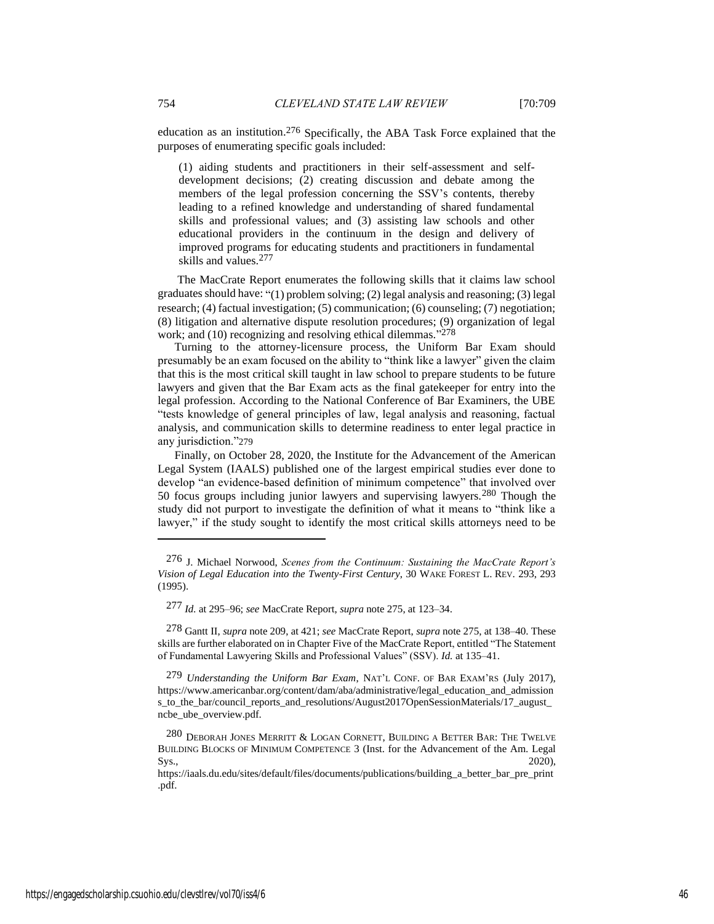education as an institution.276 Specifically, the ABA Task Force explained that the purposes of enumerating specific goals included:

(1) aiding students and practitioners in their self-assessment and selfdevelopment decisions; (2) creating discussion and debate among the members of the legal profession concerning the SSV's contents, thereby leading to a refined knowledge and understanding of shared fundamental skills and professional values; and (3) assisting law schools and other educational providers in the continuum in the design and delivery of improved programs for educating students and practitioners in fundamental skills and values.277

The MacCrate Report enumerates the following skills that it claims law school graduates should have: "(1) problem solving; (2) legal analysis and reasoning; (3) legal research; (4) factual investigation; (5) communication; (6) counseling; (7) negotiation; (8) litigation and alternative dispute resolution procedures; (9) organization of legal work; and (10) recognizing and resolving ethical dilemmas."<sup>278</sup>

Turning to the attorney-licensure process, the Uniform Bar Exam should presumably be an exam focused on the ability to "think like a lawyer" given the claim that this is the most critical skill taught in law school to prepare students to be future lawyers and given that the Bar Exam acts as the final gatekeeper for entry into the legal profession. According to the National Conference of Bar Examiners, the UBE "tests knowledge of general principles of law, legal analysis and reasoning, factual analysis, and communication skills to determine readiness to enter legal practice in any jurisdiction."279

Finally, on October 28, 2020, the Institute for the Advancement of the American Legal System (IAALS) published one of the largest empirical studies ever done to develop "an evidence-based definition of minimum competence" that involved over 50 focus groups including junior lawyers and supervising lawyers.280 Though the study did not purport to investigate the definition of what it means to "think like a lawyer," if the study sought to identify the most critical skills attorneys need to be

278 Gantt II, *supra* note 209, at 421; *see* MacCrate Report, *supra* note 275, at 138–40. These skills are further elaborated on in Chapter Five of the MacCrate Report, entitled "The Statement of Fundamental Lawyering Skills and Professional Values" (SSV). *Id.* at 135–41.

279 *Understanding the Uniform Bar Exam*, NAT'L CONF. OF BAR EXAM'RS (July 2017), https://www.americanbar.org/content/dam/aba/administrative/legal\_education\_and\_admission s\_to\_the\_bar/council\_reports\_and\_resolutions/August2017OpenSessionMaterials/17\_august\_ ncbe\_ube\_overview.pdf.

<sup>276</sup> J. Michael Norwood, *Scenes from the Continuum: Sustaining the MacCrate Report's Vision of Legal Education into the Twenty-First Century*, 30 WAKE FOREST L. REV. 293, 293 (1995).

<sup>277</sup> *Id.* at 295–96; *see* MacCrate Report, *supra* note 275, at 123–34.

<sup>280</sup> DEBORAH JONES MERRITT & LOGAN CORNETT, BUILDING A BETTER BAR: THE TWELVE BUILDING BLOCKS OF MINIMUM COMPETENCE 3 (Inst. for the Advancement of the Am. Legal  $\text{Sys.},$  2020),

https://iaals.du.edu/sites/default/files/documents/publications/building\_a\_better\_bar\_pre\_print .pdf.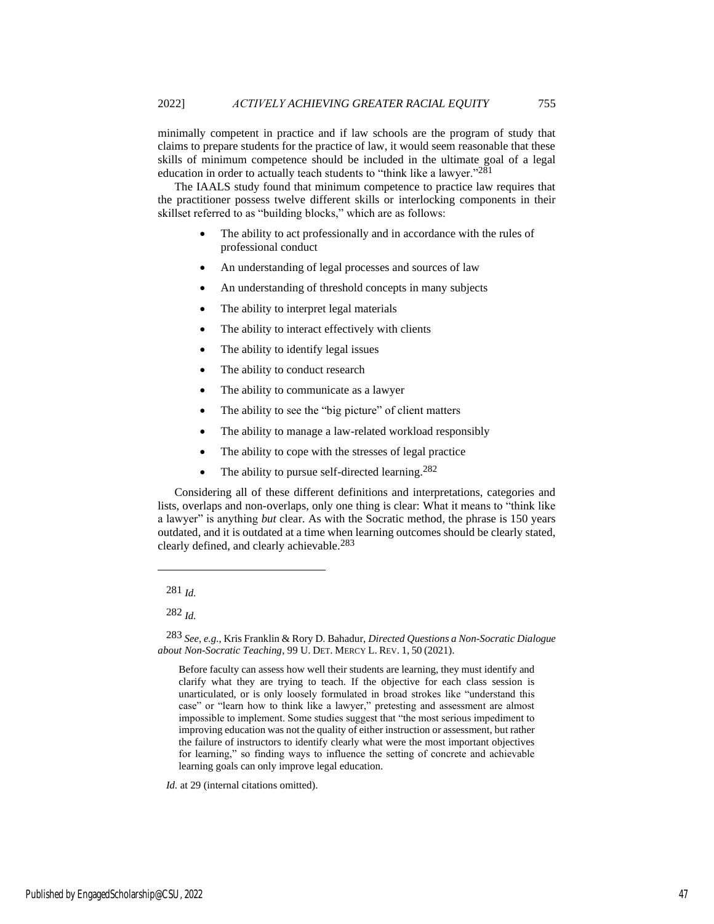minimally competent in practice and if law schools are the program of study that claims to prepare students for the practice of law, it would seem reasonable that these skills of minimum competence should be included in the ultimate goal of a legal education in order to actually teach students to "think like a lawyer."281

The IAALS study found that minimum competence to practice law requires that the practitioner possess twelve different skills or interlocking components in their skillset referred to as "building blocks," which are as follows:

- The ability to act professionally and in accordance with the rules of professional conduct
- An understanding of legal processes and sources of law
- An understanding of threshold concepts in many subjects
- The ability to interpret legal materials
- The ability to interact effectively with clients
- The ability to identify legal issues
- The ability to conduct research
- The ability to communicate as a lawyer
- The ability to see the "big picture" of client matters
- The ability to manage a law-related workload responsibly
- The ability to cope with the stresses of legal practice
- The ability to pursue self-directed learning.<sup>282</sup>

Considering all of these different definitions and interpretations, categories and lists, overlaps and non-overlaps, only one thing is clear: What it means to "think like a lawyer" is anything *but* clear. As with the Socratic method, the phrase is 150 years outdated, and it is outdated at a time when learning outcomes should be clearly stated, clearly defined, and clearly achievable.283

Before faculty can assess how well their students are learning, they must identify and clarify what they are trying to teach. If the objective for each class session is unarticulated, or is only loosely formulated in broad strokes like "understand this case" or "learn how to think like a lawyer," pretesting and assessment are almost impossible to implement. Some studies suggest that "the most serious impediment to improving education was not the quality of either instruction or assessment, but rather the failure of instructors to identify clearly what were the most important objectives for learning," so finding ways to influence the setting of concrete and achievable learning goals can only improve legal education.

*Id.* at 29 (internal citations omitted).

<sup>281</sup> *Id.*

<sup>282</sup> *Id.*

<sup>283</sup> *See, e.g.*, Kris Franklin & Rory D. Bahadur, *Directed Questions a Non-Socratic Dialogue about Non-Socratic Teaching*, 99 U. DET. MERCY L. REV. 1, 50 (2021).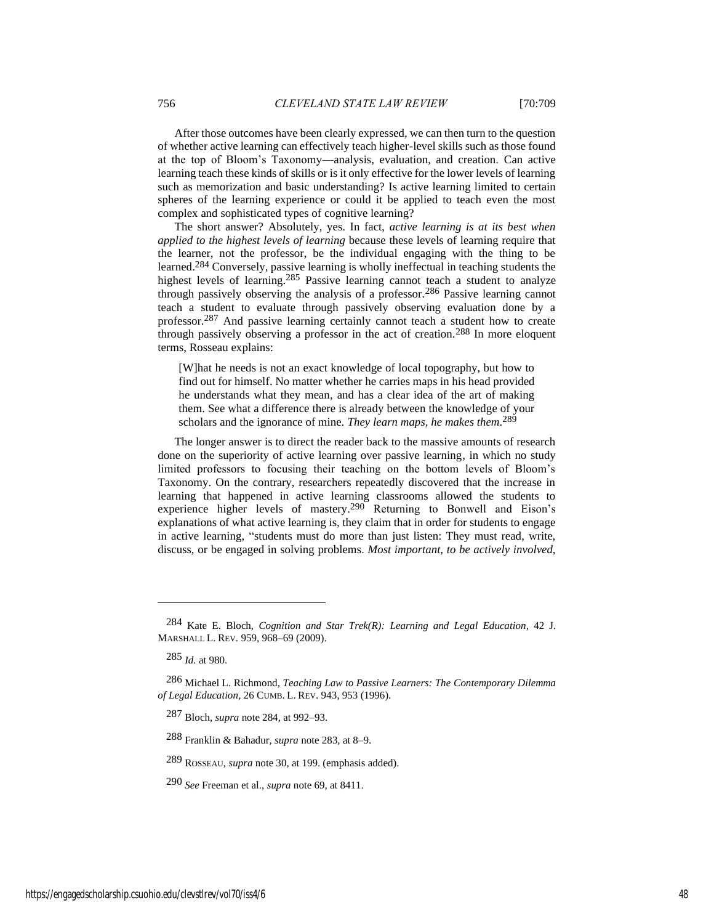After those outcomes have been clearly expressed, we can then turn to the question of whether active learning can effectively teach higher-level skills such as those found at the top of Bloom's Taxonomy—analysis, evaluation, and creation. Can active learning teach these kinds of skills or is it only effective for the lower levels of learning such as memorization and basic understanding? Is active learning limited to certain spheres of the learning experience or could it be applied to teach even the most complex and sophisticated types of cognitive learning?

The short answer? Absolutely, yes. In fact, *active learning is at its best when applied to the highest levels of learning* because these levels of learning require that the learner, not the professor, be the individual engaging with the thing to be learned.284 Conversely, passive learning is wholly ineffectual in teaching students the highest levels of learning.<sup>285</sup> Passive learning cannot teach a student to analyze through passively observing the analysis of a professor.286 Passive learning cannot teach a student to evaluate through passively observing evaluation done by a professor.287 And passive learning certainly cannot teach a student how to create through passively observing a professor in the act of creation.288 In more eloquent terms, Rosseau explains:

[W]hat he needs is not an exact knowledge of local topography, but how to find out for himself. No matter whether he carries maps in his head provided he understands what they mean, and has a clear idea of the art of making them. See what a difference there is already between the knowledge of your scholars and the ignorance of mine. *They learn maps, he makes them*.<sup>289</sup>

The longer answer is to direct the reader back to the massive amounts of research done on the superiority of active learning over passive learning, in which no study limited professors to focusing their teaching on the bottom levels of Bloom's Taxonomy. On the contrary, researchers repeatedly discovered that the increase in learning that happened in active learning classrooms allowed the students to experience higher levels of mastery.290 Returning to Bonwell and Eison's explanations of what active learning is, they claim that in order for students to engage in active learning, "students must do more than just listen: They must read, write, discuss, or be engaged in solving problems. *Most important, to be actively involved,* 

289 ROSSEAU, *supra* note 30, at 199. (emphasis added).

<sup>284</sup> Kate E. Bloch, *Cognition and Star Trek(R): Learning and Legal Education*, 42 J. MARSHALL L. REV. 959, 968–69 (2009).

<sup>285</sup> *Id.* at 980.

<sup>286</sup> Michael L. Richmond, *Teaching Law to Passive Learners: The Contemporary Dilemma of Legal Education*, 26 CUMB. L. REV. 943, 953 (1996).

<sup>287</sup> Bloch, *supra* note 284, at 992–93.

<sup>288</sup> Franklin & Bahadur, *supra* note 283, at 8–9.

<sup>290</sup> *See* Freeman et al., *supra* note 69, at 8411.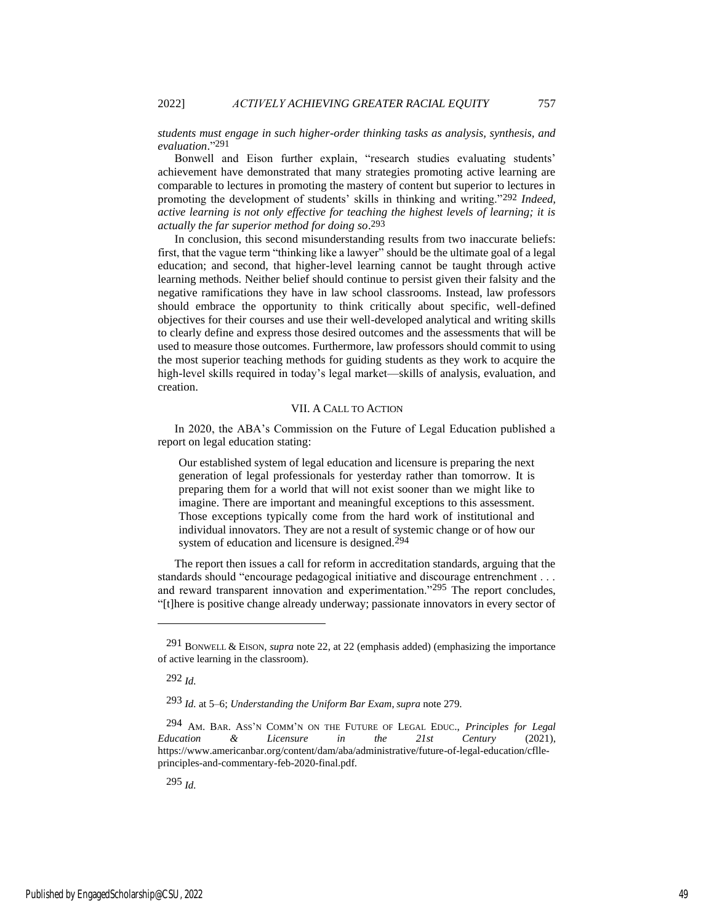*students must engage in such higher-order thinking tasks as analysis, synthesis, and evaluation*." 291

Bonwell and Eison further explain, "research studies evaluating students' achievement have demonstrated that many strategies promoting active learning are comparable to lectures in promoting the mastery of content but superior to lectures in promoting the development of students' skills in thinking and writing."292 *Indeed, active learning is not only effective for teaching the highest levels of learning; it is actually the far superior method for doing so*. 293

In conclusion, this second misunderstanding results from two inaccurate beliefs: first, that the vague term "thinking like a lawyer" should be the ultimate goal of a legal education; and second, that higher-level learning cannot be taught through active learning methods. Neither belief should continue to persist given their falsity and the negative ramifications they have in law school classrooms. Instead, law professors should embrace the opportunity to think critically about specific, well-defined objectives for their courses and use their well-developed analytical and writing skills to clearly define and express those desired outcomes and the assessments that will be used to measure those outcomes. Furthermore, law professors should commit to using the most superior teaching methods for guiding students as they work to acquire the high-level skills required in today's legal market—skills of analysis, evaluation, and creation.

#### VII. A CALL TO ACTION

In 2020, the ABA's Commission on the Future of Legal Education published a report on legal education stating:

Our established system of legal education and licensure is preparing the next generation of legal professionals for yesterday rather than tomorrow. It is preparing them for a world that will not exist sooner than we might like to imagine. There are important and meaningful exceptions to this assessment. Those exceptions typically come from the hard work of institutional and individual innovators. They are not a result of systemic change or of how our system of education and licensure is designed.<sup>294</sup>

The report then issues a call for reform in accreditation standards, arguing that the standards should "encourage pedagogical initiative and discourage entrenchment . . . and reward transparent innovation and experimentation."295 The report concludes, "[t]here is positive change already underway; passionate innovators in every sector of

292 *Id.*

Published by EngagedScholarship@CSU, 2022 49

<sup>291</sup> BONWELL & EISON, *supra* note 22, at 22 (emphasis added) (emphasizing the importance of active learning in the classroom).

<sup>293</sup> *Id.* at 5–6; *Understanding the Uniform Bar Exam*, *supra* note 279.

<sup>294</sup> AM. BAR. ASS'<sup>N</sup> COMM'N ON THE FUTURE OF LEGAL EDUC., *Principles for Legal Education & Licensure in the 21st Century* (2021), https://www.americanbar.org/content/dam/aba/administrative/future-of-legal-education/cflleprinciples-and-commentary-feb-2020-final.pdf.

<sup>295</sup> *Id.*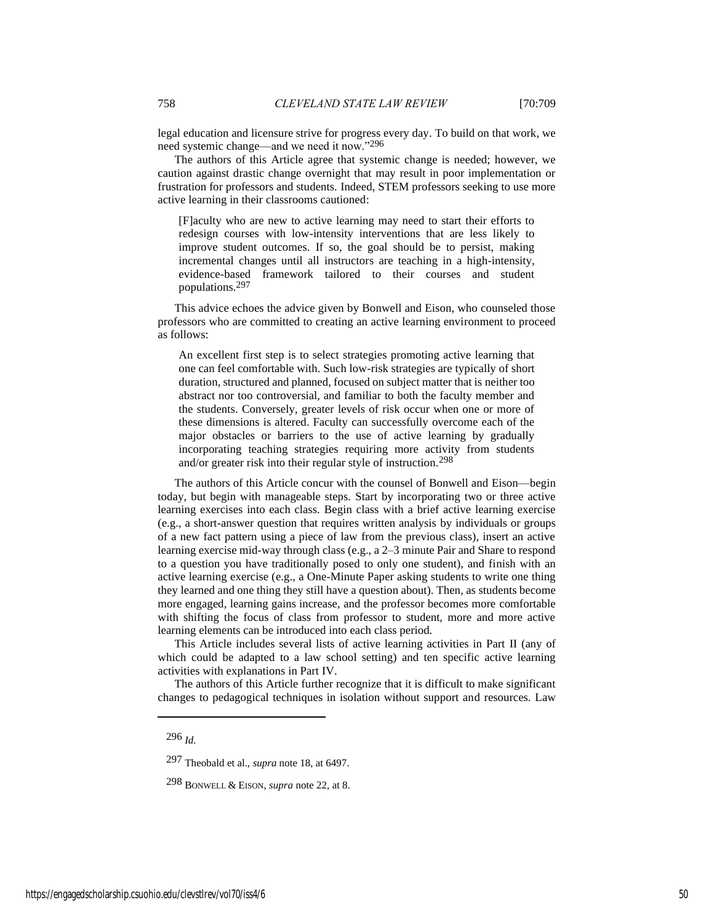legal education and licensure strive for progress every day. To build on that work, we need systemic change—and we need it now."296

The authors of this Article agree that systemic change is needed; however, we caution against drastic change overnight that may result in poor implementation or frustration for professors and students. Indeed, STEM professors seeking to use more active learning in their classrooms cautioned:

[F]aculty who are new to active learning may need to start their efforts to redesign courses with low-intensity interventions that are less likely to improve student outcomes. If so, the goal should be to persist, making incremental changes until all instructors are teaching in a high-intensity, evidence-based framework tailored to their courses and student populations.297

This advice echoes the advice given by Bonwell and Eison, who counseled those professors who are committed to creating an active learning environment to proceed as follows:

An excellent first step is to select strategies promoting active learning that one can feel comfortable with. Such low-risk strategies are typically of short duration, structured and planned, focused on subject matter that is neither too abstract nor too controversial, and familiar to both the faculty member and the students. Conversely, greater levels of risk occur when one or more of these dimensions is altered. Faculty can successfully overcome each of the major obstacles or barriers to the use of active learning by gradually incorporating teaching strategies requiring more activity from students and/or greater risk into their regular style of instruction.298

The authors of this Article concur with the counsel of Bonwell and Eison—begin today, but begin with manageable steps. Start by incorporating two or three active learning exercises into each class. Begin class with a brief active learning exercise (e.g., a short-answer question that requires written analysis by individuals or groups of a new fact pattern using a piece of law from the previous class), insert an active learning exercise mid-way through class (e.g., a 2–3 minute Pair and Share to respond to a question you have traditionally posed to only one student), and finish with an active learning exercise (e.g., a One-Minute Paper asking students to write one thing they learned and one thing they still have a question about). Then, as students become more engaged, learning gains increase, and the professor becomes more comfortable with shifting the focus of class from professor to student, more and more active learning elements can be introduced into each class period.

This Article includes several lists of active learning activities in Part II (any of which could be adapted to a law school setting) and ten specific active learning activities with explanations in Part IV.

The authors of this Article further recognize that it is difficult to make significant changes to pedagogical techniques in isolation without support and resources. Law

<sup>296</sup> *Id.*

<sup>297</sup> Theobald et al., *supra* note 18, at 6497.

<sup>298</sup> BONWELL & EISON, *supra* note 22, at 8.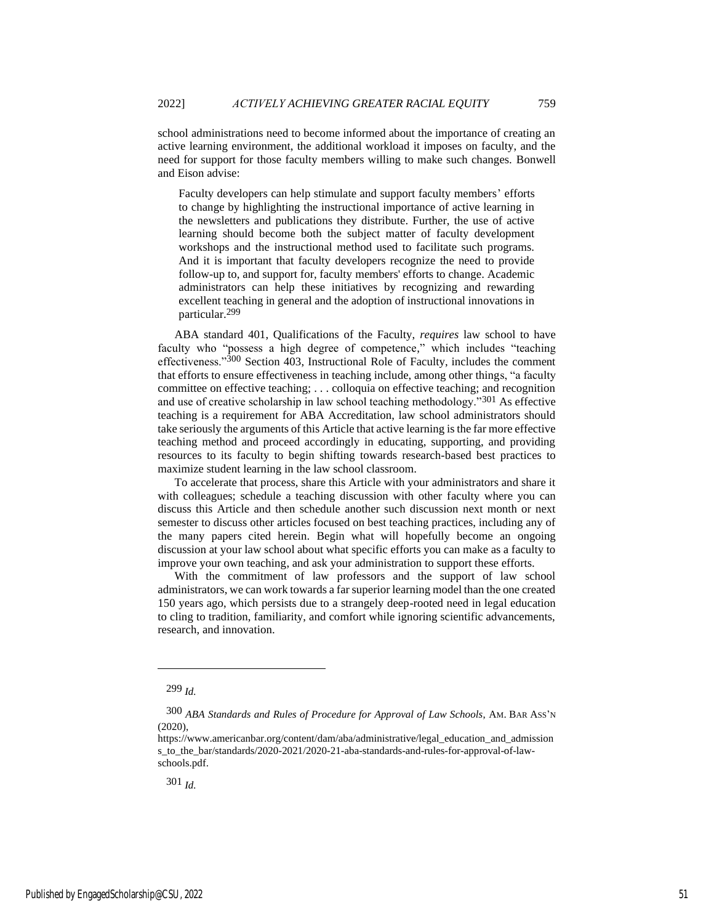school administrations need to become informed about the importance of creating an active learning environment, the additional workload it imposes on faculty, and the need for support for those faculty members willing to make such changes. Bonwell and Eison advise:

Faculty developers can help stimulate and support faculty members' efforts to change by highlighting the instructional importance of active learning in the newsletters and publications they distribute. Further, the use of active learning should become both the subject matter of faculty development workshops and the instructional method used to facilitate such programs. And it is important that faculty developers recognize the need to provide follow-up to, and support for, faculty members' efforts to change. Academic administrators can help these initiatives by recognizing and rewarding excellent teaching in general and the adoption of instructional innovations in particular.299

ABA standard 401, Qualifications of the Faculty, *requires* law school to have faculty who "possess a high degree of competence," which includes "teaching effectiveness."300 Section 403, Instructional Role of Faculty, includes the comment that efforts to ensure effectiveness in teaching include, among other things, "a faculty committee on effective teaching; . . . colloquia on effective teaching; and recognition and use of creative scholarship in law school teaching methodology."301 As effective teaching is a requirement for ABA Accreditation, law school administrators should take seriously the arguments of this Article that active learning is the far more effective teaching method and proceed accordingly in educating, supporting, and providing resources to its faculty to begin shifting towards research-based best practices to maximize student learning in the law school classroom.

To accelerate that process, share this Article with your administrators and share it with colleagues; schedule a teaching discussion with other faculty where you can discuss this Article and then schedule another such discussion next month or next semester to discuss other articles focused on best teaching practices, including any of the many papers cited herein. Begin what will hopefully become an ongoing discussion at your law school about what specific efforts you can make as a faculty to improve your own teaching, and ask your administration to support these efforts.

With the commitment of law professors and the support of law school administrators, we can work towards a far superior learning model than the one created 150 years ago, which persists due to a strangely deep-rooted need in legal education to cling to tradition, familiarity, and comfort while ignoring scientific advancements, research, and innovation.

<sup>299</sup> *Id.*

<sup>300</sup> *ABA Standards and Rules of Procedure for Approval of Law Schools*, AM. BAR ASS'<sup>N</sup> (2020),

https://www.americanbar.org/content/dam/aba/administrative/legal\_education\_and\_admission s\_to\_the\_bar/standards/2020-2021/2020-21-aba-standards-and-rules-for-approval-of-lawschools.pdf.